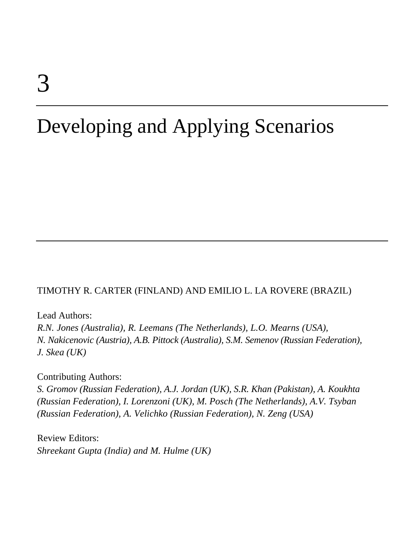# Developing and Applying Scenarios

## TIMOTHY R. CARTER (FINLAND) AND EMILIO L. LA ROVERE (BRAZIL)

Lead Authors:

*R.N. Jones (Australia), R. Leemans (The Netherlands), L.O. Mearns (USA), N. Nakicenovic (Austria), A.B. Pittock (Australia), S.M. Semenov (Russian Federation), J. Skea (UK)*

Contributing Authors:

*S. Gromov (Russian Federation), A.J. Jordan (UK), S.R. Khan (Pakistan), A. Koukhta (Russian Federation), I. Lorenzoni (UK), M. Posch (The Netherlands), A.V. Tsyban (Russian Federation), A. Velichko (Russian Federation), N. Zeng (USA)*

Review Editors: *Shreekant Gupta (India) and M. Hulme (UK)*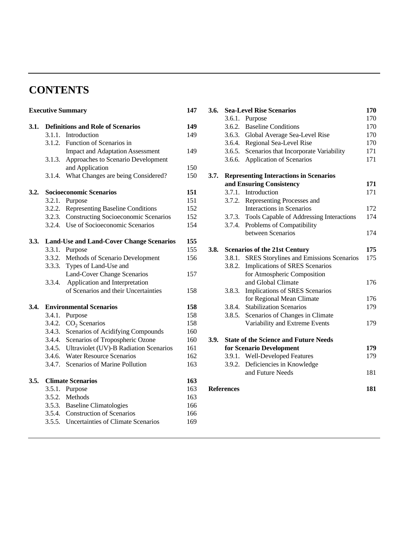## **CONTENTS**

| <b>Executive Summary</b> | 147    |                                                 |     |
|--------------------------|--------|-------------------------------------------------|-----|
| 3.1.                     |        | <b>Definitions and Role of Scenarios</b>        | 149 |
|                          | 3.1.1  | Introduction                                    | 149 |
|                          | 3.1.2. | Function of Scenarios in                        |     |
|                          |        | <b>Impact and Adaptation Assessment</b>         | 149 |
|                          | 3.1.3. | Approaches to Scenario Development              |     |
|                          |        | and Application                                 | 150 |
|                          | 3.1.4. | What Changes are being Considered?              | 150 |
| 3.2.                     |        | <b>Socioeconomic Scenarios</b>                  | 151 |
|                          |        | 3.2.1. Purpose                                  | 151 |
|                          |        | 3.2.2. Representing Baseline Conditions         | 152 |
|                          |        | 3.2.3. Constructing Socioeconomic Scenarios     | 152 |
|                          |        | 3.2.4. Use of Socioeconomic Scenarios           | 154 |
| 3.3.                     |        | <b>Land-Use and Land-Cover Change Scenarios</b> | 155 |
|                          |        | 3.3.1. Purpose                                  | 155 |
|                          |        | 3.3.2. Methods of Scenario Development          | 156 |
|                          |        | 3.3.3. Types of Land-Use and                    |     |
|                          |        | <b>Land-Cover Change Scenarios</b>              | 157 |
|                          | 3.3.4. | Application and Interpretation                  |     |
|                          |        | of Scenarios and their Uncertainties            | 158 |
| 3.4.                     |        | <b>Environmental Scenarios</b>                  | 158 |
|                          |        | 3.4.1. Purpose                                  | 158 |
|                          |        | 3.4.2. $CO2$ Scenarios                          | 158 |
|                          |        | 3.4.3. Scenarios of Acidifying Compounds        | 160 |
|                          |        | 3.4.4. Scenarios of Tropospheric Ozone          | 160 |
|                          |        | 3.4.5. Ultraviolet (UV)-B Radiation Scenarios   | 161 |
|                          |        | 3.4.6. Water Resource Scenarios                 | 162 |
|                          |        | 3.4.7. Scenarios of Marine Pollution            | 163 |
| 3.5.                     |        | <b>Climate Scenarios</b>                        | 163 |
|                          |        | 3.5.1. Purpose                                  | 163 |
|                          |        | 3.5.2. Methods                                  | 163 |
|                          |        | 3.5.3. Baseline Climatologies                   | 166 |
|                          |        | 3.5.4. Construction of Scenarios                | 166 |
|                          |        | 3.5.5. Uncertainties of Climate Scenarios       | 169 |
|                          |        |                                                 |     |

| 3.6. |                   | <b>Sea-Level Rise Scenarios</b>                 | 170 |
|------|-------------------|-------------------------------------------------|-----|
|      |                   | 3.6.1. Purpose                                  | 170 |
|      | 3.6.2.            | <b>Baseline Conditions</b>                      | 170 |
|      |                   | 3.6.3. Global Average Sea-Level Rise            | 170 |
|      |                   | 3.6.4. Regional Sea-Level Rise                  | 170 |
|      |                   | 3.6.5. Scenarios that Incorporate Variability   | 171 |
|      | 3.6.6.            | Application of Scenarios                        | 171 |
| 3.7. |                   | <b>Representing Interactions in Scenarios</b>   |     |
|      |                   | and Ensuring Consistency                        | 171 |
|      |                   | 3.7.1. Introduction                             | 171 |
|      |                   | 3.7.2. Representing Processes and               |     |
|      |                   | Interactions in Scenarios                       | 172 |
|      |                   | 3.7.3. Tools Capable of Addressing Interactions | 174 |
|      |                   | 3.7.4. Problems of Compatibility                |     |
|      |                   | between Scenarios                               | 174 |
| 3.8. |                   | <b>Scenarios of the 21st Century</b>            | 175 |
|      | 3.8.1.            | <b>SRES Storylines and Emissions Scenarios</b>  | 175 |
|      | 3.8.2.            | Implications of SRES Scenarios                  |     |
|      |                   | for Atmospheric Composition                     |     |
|      |                   | and Global Climate                              | 176 |
|      | 3.8.3.            | Implications of SRES Scenarios                  |     |
|      |                   | for Regional Mean Climate                       | 176 |
|      |                   | 3.8.4. Stabilization Scenarios                  | 179 |
|      | 3.8.5.            | Scenarios of Changes in Climate                 |     |
|      |                   | Variability and Extreme Events                  | 179 |
| 3.9. |                   | <b>State of the Science and Future Needs</b>    |     |
|      |                   | for Scenario Development                        | 179 |
|      |                   | 3.9.1. Well-Developed Features                  | 179 |
|      | 3.9.2.            | Deficiencies in Knowledge                       |     |
|      |                   | and Future Needs                                | 181 |
|      | <b>References</b> |                                                 | 181 |
|      |                   |                                                 |     |
|      |                   |                                                 |     |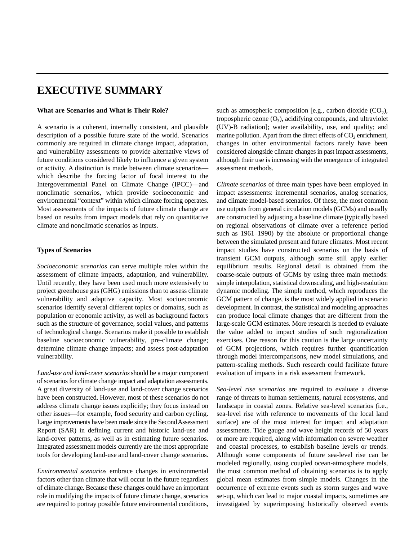## **EXECUTIVE SUMMARY**

#### **What are Scenarios and What is Their Role?**

A scenario is a coherent, internally consistent, and plausible description of a possible future state of the world. Scenarios commonly are required in climate change impact, adaptation, and vulnerability assessments to provide alternative views of future conditions considered likely to influence a given system or activity. A distinction is made between climate scenarios which describe the forcing factor of focal interest to the Intergovernmental Panel on Climate Change (IPCC)—and nonclimatic scenarios, which provide socioeconomic and environmental "context" within which climate forcing operates. Most assessments of the impacts of future climate change are based on results from impact models that rely on quantitative climate and nonclimatic scenarios as inputs.

#### **Types of Scenarios**

*Socioeconomic scenarios* can serve multiple roles within the assessment of climate impacts, adaptation, and vulnerability. Until recently, they have been used much more extensively to project greenhouse gas (GHG) emissions than to assess climate vulnerability and adaptive capacity. Most socioeconomic scenarios identify several different topics or domains, such as population or economic activity, as well as background factors such as the structure of governance, social values, and patterns of technological change. Scenarios make it possible to establish baseline socioeconomic vulnerability, pre-climate change; determine climate change impacts; and assess post-adaptation vulnerability.

*Land-use and land-cover scenarios*should be a major component of scenarios for climate change impact and adaptation assessments. A great diversity of land-use and land-cover change scenarios have been constructed. However, most of these scenarios do not address climate change issues explicitly; they focus instead on other issues—for example, food security and carbon cycling. Large improvements have been made since the Second Assessment Report (SAR) in defining current and historic land-use and land-cover patterns, as well as in estimating future scenarios. Integrated assessment models currently are the most appropriate tools for developing land-use and land-cover change scenarios.

*Environmental scenarios* embrace changes in environmental factors other than climate that will occur in the future regardless of climate change. Because these changes could have an important role in modifying the impacts of future climate change, scenarios are required to portray possible future environmental conditions,

such as atmospheric composition [e.g., carbon dioxide  $(CO<sub>2</sub>)$ , tropospheric ozone  $(O_3)$ , acidifying compounds, and ultraviolet (UV)-B radiation]; water availability, use, and quality; and marine pollution. Apart from the direct effects of  $CO<sub>2</sub>$  enrichment, changes in other environmental factors rarely have been considered alongside climate changes in past impact assessments, although their use is increasing with the emergence of integrated assessment methods.

*Climate scenarios* of three main types have been employed in impact assessments: incremental scenarios, analog scenarios, and climate model-based scenarios. Of these, the most common use outputs from general circulation models (GCMs) and usually are constructed by adjusting a baseline climate (typically based on regional observations of climate over a reference period such as 1961–1990) by the absolute or proportional change between the simulated present and future climates. Most recent impact studies have constructed scenarios on the basis of transient GCM outputs, although some still apply earlier equilibrium results. Regional detail is obtained from the coarse-scale outputs of GCMs by using three main methods: simple interpolation, statistical downscaling, and high-resolution dynamic modeling. The simple method, which reproduces the GCM pattern of change, is the most widely applied in scenario development. In contrast, the statistical and modeling approaches can produce local climate changes that are different from the large-scale GCM estimates. More research is needed to evaluate the value added to impact studies of such regionalization exercises. One reason for this caution is the large uncertainty of GCM projections, which requires further quantification through model intercomparisons, new model simulations, and pattern-scaling methods. Such research could facilitate future evaluation of impacts in a risk assessment framework.

*Sea-level rise scenarios* are required to evaluate a diverse range of threats to human settlements, natural ecosystems, and landscape in coastal zones. Relative sea-level scenarios (i.e., sea-level rise with reference to movements of the local land surface) are of the most interest for impact and adaptation assessments. Tide gauge and wave height records of 50 years or more are required, along with information on severe weather and coastal processes, to establish baseline levels or trends. Although some components of future sea-level rise can be modeled regionally, using coupled ocean-atmosphere models, the most common method of obtaining scenarios is to apply global mean estimates from simple models. Changes in the occurrence of extreme events such as storm surges and wave set-up, which can lead to major coastal impacts, sometimes are investigated by superimposing historically observed events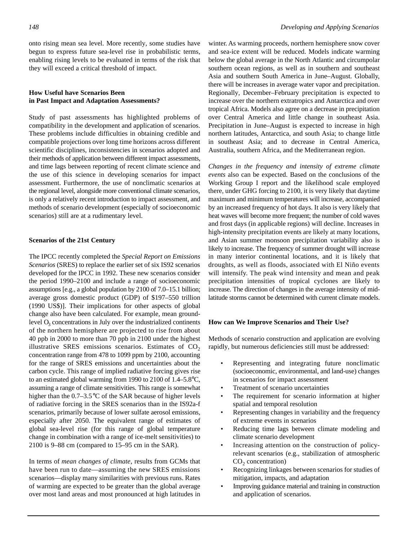onto rising mean sea level. More recently, some studies have begun to express future sea-level rise in probabilistic terms, enabling rising levels to be evaluated in terms of the risk that they will exceed a critical threshold of impact.

#### **How Useful have Scenarios Been in Past Impact and Adaptation Assessments?**

Study of past assessments has highlighted problems of compatibility in the development and application of scenarios. These problems include difficulties in obtaining credible and compatible projections over long time horizons across different scientific disciplines, inconsistencies in scenarios adopted and their methods of application between different impact assessments, and time lags between reporting of recent climate science and the use of this science in developing scenarios for impact assessment. Furthermore, the use of nonclimatic scenarios at the regional level, alongside more conventional climate scenarios, is only a relatively recent introduction to impact assessment, and methods of scenario development (especially of socioeconomic scenarios) still are at a rudimentary level.

#### **Scenarios of the 21st Century**

The IPCC recently completed the *Special Report on Emissions Scenarios* (SRES) to replace the earlier set of six IS92 scenarios developed for the IPCC in 1992. These new scenarios consider the period 1990–2100 and include a range of socioeconomic assumptions [e.g., a global population by 2100 of 7.0–15.1 billion; average gross domestic product (GDP) of \$197–550 trillion (1990 US\$)]. Their implications for other aspects of global change also have been calculated. For example, mean groundlevel  $O<sub>3</sub>$  concentrations in July over the industrialized continents of the northern hemisphere are projected to rise from about 40 ppb in 2000 to more than 70 ppb in 2100 under the highest illustrative SRES emissions scenarios. Estimates of  $CO<sub>2</sub>$ concentration range from 478 to 1099 ppm by 2100, accounting for the range of SRES emissions and uncertainties about the carbon cycle. This range of implied radiative forcing gives rise to an estimated global warming from 1990 to 2100 of  $1.4-5.8^{\circ}C$ , assuming a range of climate sensitivities. This range is somewhat higher than the  $0.7-3.5\textdegree C$  of the SAR because of higher levels of radiative forcing in the SRES scenarios than in the IS92a-f scenarios, primarily because of lower sulfate aerosol emissions, especially after 2050. The equivalent range of estimates of global sea-level rise (for this range of global temperature change in combination with a range of ice-melt sensitivities) to 2100 is 9–88 cm (compared to 15–95 cm in the SAR).

In terms of *mean changes of climate*, results from GCMs that have been run to date—assuming the new SRES emissions scenarios—display many similarities with previous runs. Rates of warming are expected to be greater than the global average over most land areas and most pronounced at high latitudes in winter. As warming proceeds, northern hemisphere snow cover and sea-ice extent will be reduced. Models indicate warming below the global average in the North Atlantic and circumpolar southern ocean regions, as well as in southern and southeast Asia and southern South America in June–August. Globally, there will be increases in average water vapor and precipitation. Regionally, December–February precipitation is expected to increase over the northern extratropics and Antarctica and over tropical Africa. Models also agree on a decrease in precipitation over Central America and little change in southeast Asia. Precipitation in June–August is expected to increase in high northern latitudes, Antarctica, and south Asia; to change little in southeast Asia; and to decrease in Central America, Australia, southern Africa, and the Mediterranean region.

*Changes in the frequency and intensity of extreme climate events* also can be expected. Based on the conclusions of the Working Group I report and the likelihood scale employed there, under GHG forcing to 2100, it is very likely that daytime maximum and minimum temperatures will increase, accompanied by an increased frequency of hot days. It also is very likely that heat waves will become more frequent; the number of cold waves and frost days (in applicable regions) will decline. Increases in high-intensity precipitation events are likely at many locations, and Asian summer monsoon precipitation variability also is likely to increase. The frequency of summer drought will increase in many interior continental locations, and it is likely that droughts, as well as floods, associated with El Niño events will intensify. The peak wind intensity and mean and peak precipitation intensities of tropical cyclones are likely to increase. The direction of changes in the average intensity of midlatitude storms cannot be determined with current climate models.

#### **How can We Improve Scenarios and Their Use?**

Methods of scenario construction and application are evolving rapidly, but numerous deficiencies still must be addressed:

- Representing and integrating future nonclimatic (socioeconomic, environmental, and land-use) changes in scenarios for impact assessment
- Treatment of scenario uncertainties
- The requirement for scenario information at higher spatial and temporal resolution
- Representing changes in variability and the frequency of extreme events in scenarios
- Reducing time lags between climate modeling and climate scenario development
- Increasing attention on the construction of policyrelevant scenarios (e.g., stabilization of atmospheric  $CO<sub>2</sub> concentration)$
- Recognizing linkages between scenarios for studies of mitigation, impacts, and adaptation
- Improving guidance material and training in construction and application of scenarios.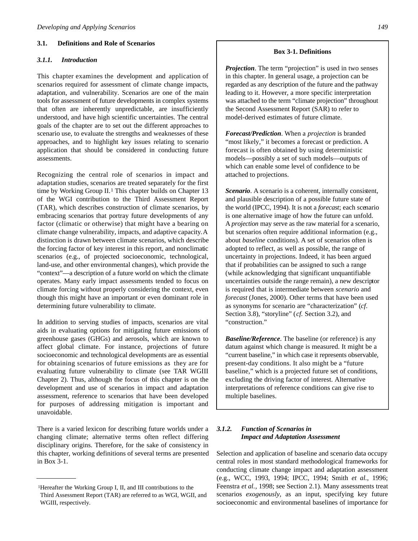#### **3.1. Definitions and Role of Scenarios**

#### *3.1.1. Introduction*

This chapter examines the development and application of scenarios required for assessment of climate change impacts, adaptation, and vulnerability. Scenarios are one of the main tools for assessment of future developments in complex systems that often are inherently unpredictable, are insufficiently understood, and have high scientific uncertainties. The central goals of the chapter are to set out the different approaches to scenario use, to evaluate the strengths and weaknesses of these approaches, and to highlight key issues relating to scenario application that should be considered in conducting future assessments.

Recognizing the central role of scenarios in impact and adaptation studies, scenarios are treated separately for the first time by Working Group II.<sup>1</sup> This chapter builds on Chapter 13 of the WGI contribution to the Third Assessment Report (TAR), which describes construction of climate scenarios, by embracing scenarios that portray future developments of any factor (climatic or otherwise) that might have a bearing on climate change vulnerability, impacts, and adaptive capacity. A distinction is drawn between climate scenarios, which describe the forcing factor of key interest in this report, and nonclimatic scenarios (e.g., of projected socioeconomic, technological, land-use, and other environmental changes), which provide the "context"—a description of a future world on which the climate operates. Many early impact assessments tended to focus on climate forcing without properly considering the context, even though this might have an important or even dominant role in determining future vulnerability to climate.

In addition to serving studies of impacts, scenarios are vital aids in evaluating options for mitigating future emissions of greenhouse gases (GHGs) and aerosols, which are known to a ffect global climate. For instance, projections of future socioeconomic and technological developments are as essential for obtaining scenarios of future emissions as they are for evaluating future vulnerability to climate (see TAR WGIII Chapter 2). Thus, although the focus of this chapter is on the development and use of scenarios in impact and adaptation assessment, reference to scenarios that have been developed for purposes of addressing mitigation is important and unavoidable.

There is a varied lexicon for describing future worlds under a changing climate; alternative terms often reflect differing disciplinary origins. Therefore, for the sake of consistency in this chapter, working definitions of several terms are presented in Box 3-1.

#### **Box 3-1. Definitions**

*Projection*. The term "projection" is used in two senses in this chapter. In general usage, a projection can be regarded as any description of the future and the pathway leading to it. However, a more specific interpretation was attached to the term "climate projection" throughout the Second Assessment Report (SAR) to refer to model-derived estimates of future climate.

*Forecast/Prediction*. When a *projection* is branded "most likely," it becomes a forecast or prediction. A forecast is often obtained by using deterministic models—possibly a set of such models—outputs of which can enable some level of confidence to be attached to projections.

*Scenario.* A scenario is a coherent, internally consistent, and plausible description of a possible future state of the world (IPCC, 1994). It is not a *forecast*; each scenario is one alternative image of how the future can unfold. A *projection* may serve as the raw material for a scenario, but scenarios often require additional information (e.g., about *baseline* conditions). A set of scenarios often is adopted to reflect, as well as possible, the range of uncertainty in projections. Indeed, it has been argued that if probabilities can be assigned to such a range (while acknowledging that significant unquantifiable uncertainties outside the range remain), a new descriptor is required that is intermediate between *scenario* and *forecast* (Jones, 2000). Other terms that have been used as synonyms for scenario are "characterization" (*cf*. Section 3.8), "storyline" (*cf.* Section 3.2), and "construction."

*Baseline/Reference*. The baseline (or reference) is any datum against which change is measured. It might be a "current baseline," in which case it represents observable, present-day conditions. It also might be a "future baseline," which is a projected future set of conditions, excluding the driving factor of interest. Alternative interpretations of reference conditions can give rise to multiple baselines.

#### *3.1.2. Function of Scenarios in Impact and Adaptation Assessment*

Selection and application of baseline and scenario data occupy central roles in most standard methodological frameworks for conducting climate change impact and adaptation assessment (e.g., WCC, 1993, 1994; IPCC, 1994; Smith *et al.*, 1996; Feenstra *et al.*, 1998; see Section 2.1). Many assessments treat scenarios *exogenously*, as an input, specifying key future socioeconomic and environmental baselines of importance for

<sup>1</sup>Hereafter the Working Group I, II, and III contributions to the Third Assessment Report (TAR) are referred to as WGI, WGII, and WGIII, respectively.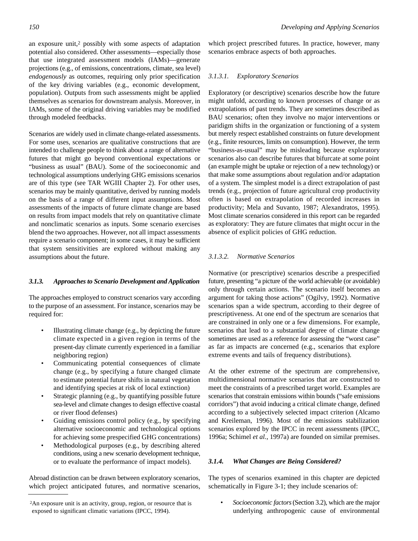an exposure unit,<sup>2</sup> possibly with some aspects of adaptation potential also considered. Other assessments—especially those that use integrated assessment models (IAMs)—generate projections (e.g., of emissions, concentrations, climate, sea level) *endogenously* as outcomes, requiring only prior specification of the key driving variables (e.g., economic development, population). Outputs from such assessments might be applied themselves as scenarios for downstream analysis. Moreover, in IAMs, some of the original driving variables may be modified through modeled feedbacks.

Scenarios are widely used in climate change-related assessments. For some uses, scenarios are qualitative constructions that are intended to challenge people to think about a range of alternative futures that might go beyond conventional expectations or "business as usual" (BAU). Some of the socioeconomic and technological assumptions underlying GHG emissions scenarios are of this type (see TAR WGIII Chapter 2). For other uses, scenarios may be mainly quantitative, derived by running models on the basis of a range of different input assumptions. Most assessments of the impacts of future climate change are based on results from impact models that rely on quantitative climate and nonclimatic scenarios as inputs. Some scenario exercises blend the two approaches. However, not all impact assessments require a scenario component; in some cases, it may be sufficient that system sensitivities are explored without making any assumptions about the future.

#### 3.1.3. Approaches to Scenario Development and Application

The approaches employed to construct scenarios vary according to the purpose of an assessment. For instance, scenarios may be required for:

- Illustrating climate change (e.g., by depicting the future climate expected in a given region in terms of the present-day climate currently experienced in a familiar neighboring region)
- Communicating potential consequences of climate change (e.g., by specifying a future changed climate to estimate potential future shifts in natural vegetation and identifying species at risk of local extinction)
- Strategic planning (e.g., by quantifying possible future sea-level and climate changes to design effective coastal or river flood defenses)
- Guiding emissions control policy (e.g., by specifying alternative socioeconomic and technological options for achieving some prespecified GHG concentrations)
- Methodological purposes (e.g., by describing altered conditions, using a new scenario development technique, or to evaluate the performance of impact models).

Abroad distinction can be drawn between exploratory scenarios, which project anticipated futures, and normative scenarios, which project prescribed futures. In practice, however, many scenarios embrace aspects of both approaches.

#### *3.1.3.1. Exploratory Scenarios*

Exploratory (or descriptive) scenarios describe how the future might unfold, according to known processes of change or as extrapolations of past trends. They are sometimes described as BAU scenarios; often they involve no major interventions or paridigm shifts in the organization or functioning of a system but merely respect established constraints on future development (e.g., finite resources, limits on consumption). However, the term "business-as-usual" may be misleading because exploratory scenarios also can describe futures that bifurcate at some point (an example might be uptake or rejection of a new technology) or that make some assumptions about regulation and/or adaptation of a system. The simplest model is a direct extrapolation of past trends (e.g., projection of future agricultural crop productivity often is based on extrapolation of recorded increases in productivity; Mela and Suvanto, 1987; Alexandratos, 1995). Most climate scenarios considered in this report can be regarded as exploratory: They are future climates that might occur in the absence of explicit policies of GHG reduction.

#### *3.1.3.2. Normative Scenarios*

Normative (or prescriptive) scenarios describe a prespecified future, presenting "a picture of the world achievable (or avoidable) only through certain actions. The scenario itself becomes an argument for taking those actions" (Ogilvy, 1992). Normative scenarios span a wide spectrum, according to their degree of prescriptiveness. At one end of the spectrum are scenarios that are constrained in only one or a few dimensions. For example, scenarios that lead to a substantial degree of climate change sometimes are used as a reference for assessing the "worst case" as far as impacts are concerned (e.g., scenarios that explore extreme events and tails of frequency distributions).

At the other extreme of the spectrum are comprehensive, multidimensional normative scenarios that are constructed to meet the constraints of a prescribed target world. Examples are scenarios that constrain emissions within bounds ("safe emissions corridors") that avoid inducing a critical climate change, defined according to a subjectively selected impact criterion (Alcamo and Kreileman, 1996). Most of the emissions stabilization scenarios explored by the IPCC in recent assessments (IPCC, 1996a; Schimel *et al.*, 1997a) are founded on similar premises.

#### *3.1.4. What Changes are Being Considered?*

The types of scenarios examined in this chapter are depicted schematically in Figure 3-1; they include scenarios of:

• *Socioeconomic factors*(Section 3.2), which are the major underlying anthropogenic cause of environmental

<sup>2</sup>An exposure unit is an activity, group, region, or resource that is exposed to significant climatic variations (IPCC, 1994).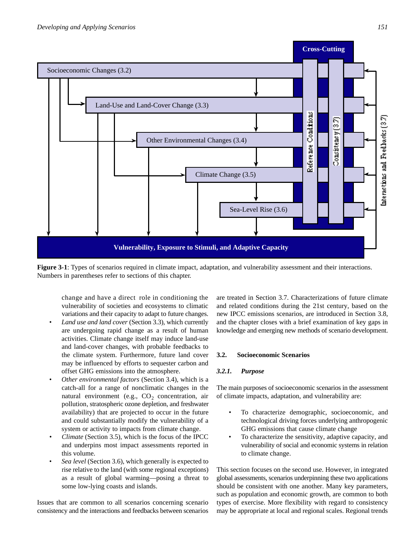

**Figure 3-1**: Types of scenarios required in climate impact, adaptation, and vulnerability assessment and their interactions. Numbers in parentheses refer to sections of this chapter.

change and have a direct role in conditioning the vulnerability of societies and ecosystems to climatic variations and their capacity to adapt to future changes.

- *Land use and land cover* (Section 3.3), which currently are undergoing rapid change as a result of human activities. Climate change itself may induce land-use and land-cover changes, with probable feedbacks to the climate system. Furthermore, future land cover may be influenced by efforts to sequester carbon and offset GHG emissions into the atmosphere.
- *Other environmental factors* (Section 3.4), which is a catch-all for a range of nonclimatic changes in the natural environment (e.g.,  $CO<sub>2</sub>$  concentration, air pollution, stratospheric ozone depletion, and freshwater availability) that are projected to occur in the future and could substantially modify the vulnerability of a system or activity to impacts from climate change.
- *Climate* (Section 3.5), which is the focus of the IPCC and underpins most impact assessments reported in this volume.
- *Sea level* (Section 3.6), which generally is expected to rise relative to the land (with some regional exceptions) as a result of global warming—posing a threat to some low-lying coasts and islands.

Issues that are common to all scenarios concerning scenario consistency and the interactions and feedbacks between scenarios

are treated in Section 3.7. Characterizations of future climate and related conditions during the 21st century, based on the new IPCC emissions scenarios, are introduced in Section 3.8, and the chapter closes with a brief examination of key gaps in knowledge and emerging new methods of scenario development.

#### **3.2. Socioeconomic Scenarios**

#### *3.2.1. Purpose*

The main purposes of socioeconomic scenarios in the assessment of climate impacts, adaptation, and vulnerability are:

- To characterize demographic, socioeconomic, and technological driving forces underlying anthropogenic GHG emissions that cause climate change
- To characterize the sensitivity, adaptive capacity, and vulnerability of social and economic systems in relation to climate change.

This section focuses on the second use. However, in integrated global assessments, scenarios underpinning these two applications should be consistent with one another. Many key parameters, such as population and economic growth, are common to both types of exercise. More flexibility with regard to consistency may be appropriate at local and regional scales. Regional trends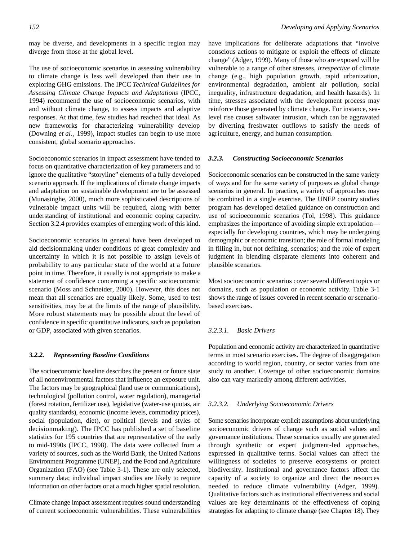may be diverse, and developments in a specific region may diverge from those at the global level.

The use of socioeconomic scenarios in assessing vulnerability to climate change is less well developed than their use in exploring GHG emissions. The IPCC *Technical Guidelines for Assessing Climate Change Impacts and Adaptations* (IPCC, 1994) recommend the use of socioeconomic scenarios, with and without climate change, to assess impacts and adaptive responses. At that time, few studies had reached that ideal. As new frameworks for characterizing vulnerability develop (Downing *et al.*, 1999), impact studies can begin to use more consistent, global scenario approaches.

Socioeconomic scenarios in impact assessment have tended to focus on quantitative characterization of key parameters and to ignore the qualitative "storyline" elements of a fully developed scenario approach. If the implications of climate change impacts and adaptation on sustainable development are to be assessed (Munasinghe, 2000), much more sophisticated descriptions of vulnerable impact units will be required, along with better understanding of institutional and economic coping capacity. Section 3.2.4 provides examples of emerging work of this kind.

Socioeconomic scenarios in general have been developed to aid decisionmaking under conditions of great complexity and uncertainty in which it is not possible to assign levels of probability to any particular state of the world at a future point in time. Therefore, it usually is not appropriate to make a statement of confidence concerning a specific socioeconomic scenario (Moss and Schneider, 2000). However, this does not mean that all scenarios are equally likely. Some, used to test sensitivities, may be at the limits of the range of plausibility. More robust statements may be possible about the level of confidence in specific quantitative indicators, such as population or GDP, associated with given scenarios.

#### *3.2.2. Representing Baseline Conditions*

The socioeconomic baseline describes the present or future state of all nonenvironmental factors that influence an exposure unit. The factors may be geographical (land use or communications), technological (pollution control, water regulation), managerial (forest rotation, fertilizer use), legislative (water-use quotas, air quality standards), economic (income levels, commodity prices), social (population, diet), or political (levels and styles of decisionmaking). The IPCC has published a set of baseline statistics for 195 countries that are representative of the early to mid-1990s (IPCC, 1998). The data were collected from a variety of sources, such as the World Bank, the United Nations Environment Programme (UNEP), and the Food and Agriculture Organization (FAO) (see Table 3-1). These are only selected, summary data; individual impact studies are likely to require information on other factors or at a much higher spatial resolution.

Climate change impact assessment requires sound understanding of current socioeconomic vulnerabilities. These vulnerabilities have implications for deliberate adaptations that "involve conscious actions to mitigate or exploit the effects of climate change" (Adger, 1999). Many of those who are exposed will be vulnerable to a range of other stresses, *irrespective* of climate change (e.g., high population growth, rapid urbanization, environmental degradation, ambient air pollution, social inequality, infrastructure degradation, and health hazards). In time, stresses associated with the development process may reinforce those generated by climate change. For instance, sealevel rise causes saltwater intrusion, which can be aggravated by diverting freshwater outflows to satisfy the needs of agriculture, energy, and human consumption.

#### *3.2.3. Constructing Socioeconomic Scenarios*

Socioeconomic scenarios can be constructed in the same variety of ways and for the same variety of purposes as global change scenarios in general. In practice, a variety of approaches may be combined in a single exercise. The UNEP country studies program has developed detailed guidance on construction and use of socioeconomic scenarios (Tol, 1998). This guidance emphasizes the importance of avoiding simple extrapolation especially for developing countries, which may be undergoing demographic or economic transition; the role of formal modeling in filling in, but not defining, scenarios; and the role of expert judgment in blending disparate elements into coherent and plausible scenarios.

Most socioeconomic scenarios cover several different topics or domains, such as population or economic activity. Table 3-1 shows the range of issues covered in recent scenario or scenariobased exercises.

#### *3.2.3.1. Basic Drivers*

Population and economic activity are characterized in quantitative terms in most scenario exercises. The degree of disaggregation according to world region, country, or sector varies from one study to another. Coverage of other socioeconomic domains also can vary markedly among different activities.

#### *3.2.3.2. Underlying Socioeconomic Drivers*

Some scenarios incorporate explicit assumptions about underlying socioeconomic drivers of change such as social values and governance institutions. These scenarios usually are generated through synthetic or expert judgment-led approaches, expressed in qualitative terms. Social values can affect the willingness of societies to preserve ecosystems or protect biodiversity. Institutional and governance factors affect the capacity of a society to organize and direct the resources needed to reduce climate vulnerability (Adger, 1999). Qualitative factors such as institutional effectiveness and social values are key determinants of the effectiveness of coping strategies for adapting to climate change (see Chapter 18). They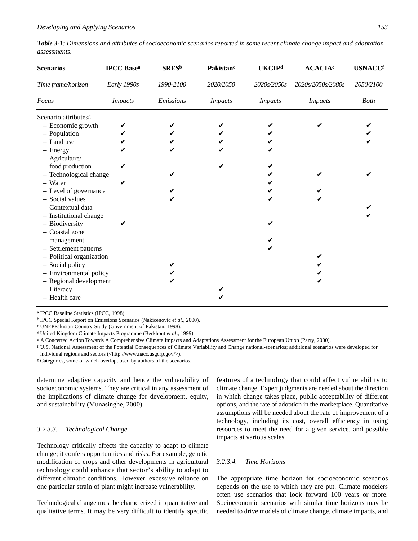| Table 3-1: Dimensions and attributes of socioeconomic scenarios reported in some recent climate change impact and adaptation |  |  |  |  |  |
|------------------------------------------------------------------------------------------------------------------------------|--|--|--|--|--|
| assessments.                                                                                                                 |  |  |  |  |  |

| <b>Scenarios</b>         | <b>IPCC</b> Basea | <b>SRESb</b> | Pakistanc      | <b>UKCIPd</b>  | <b>ACACIA</b> <sup>e</sup> | <b>USNACCf</b> |
|--------------------------|-------------------|--------------|----------------|----------------|----------------------------|----------------|
| Time frame/horizon       | Early 1990s       | 1990-2100    | 2020/2050      | 2020s/2050s    | 2020s/2050s/2080s          | 2050/2100      |
| Focus                    | <b>Impacts</b>    | Emissions    | <b>Impacts</b> | <b>Impacts</b> | <b>Impacts</b>             | <b>Both</b>    |
| Scenario attributesg     |                   |              |                |                |                            |                |
| - Economic growth        |                   |              |                |                |                            |                |
| - Population             |                   |              |                |                |                            |                |
| - Land use               |                   |              |                |                |                            |                |
| $-$ Energy               |                   |              |                |                |                            |                |
| - Agriculture/           |                   |              |                |                |                            |                |
| food production          |                   |              |                |                |                            |                |
| - Technological change   |                   |              |                |                |                            |                |
| - Water                  |                   |              |                |                |                            |                |
| - Level of governance    |                   |              |                |                |                            |                |
| - Social values          |                   |              |                |                |                            |                |
| - Contextual data        |                   |              |                |                |                            |                |
| - Institutional change   |                   |              |                |                |                            |                |
| - Biodiversity           |                   |              |                |                |                            |                |
| - Coastal zone           |                   |              |                |                |                            |                |
| management               |                   |              |                |                |                            |                |
| - Settlement patterns    |                   |              |                |                |                            |                |
| - Political organization |                   |              |                |                |                            |                |
| - Social policy          |                   |              |                |                |                            |                |
| - Environmental policy   |                   |              |                |                |                            |                |
| - Regional development   |                   |              |                |                |                            |                |
| - Literacy               |                   |              |                |                |                            |                |
| - Health care            |                   |              |                |                |                            |                |

a IPCC Baseline Statistics (IPCC, 1998).

b IPCC Special Report on Emissions Scenarios (Nakicenovic *et al*., 2000).

c UNEPPakistan Country Study (Government of Pakistan, 1998).

d United Kingdom Climate Impacts Programme (Berkhout *et al*., 1999).

e A Concerted Action Towards A Comprehensive Climate Impacts and Adaptations Assessment for the European Union (Parry, 2000).

f U.S. National Assessment of the Potential Consequences of Climate Variability and Change national-scenarios; additional scenarios were developed for individual regions and sectors (<http://www.nacc.usgcrp.gov/>).

g Categories, some of which overlap, used by authors of the scenarios.

determine adaptive capacity and hence the vulnerability of socioeconomic systems. They are critical in any assessment of the implications of climate change for development, equity, and sustainability (Munasinghe, 2000).

#### *3.2.3.3. Technological Change*

Technology critically affects the capacity to adapt to climate change; it confers opportunities and risks. For example, genetic modification of crops and other developments in agricultural technology could enhance that sector's ability to adapt to different climatic conditions. However, excessive reliance on one particular strain of plant might increase vulnerability.

Technological change must be characterized in quantitative and qualitative terms. It may be very difficult to identify specific

features of a technology that could affect vulnerability to climate change. Expert judgments are needed about the direction in which change takes place, public acceptability of different options, and the rate of adoption in the marketplace. Quantitative assumptions will be needed about the rate of improvement of a technology, including its cost, overall efficiency in using resources to meet the need for a given service, and possible impacts at various scales.

#### *3.2.3.4. Time Horizons*

The appropriate time horizon for socioeconomic scenarios depends on the use to which they are put. Climate modelers often use scenarios that look forward 100 years or more. Socioeconomic scenarios with similar time horizons may be needed to drive models of climate change, climate impacts, and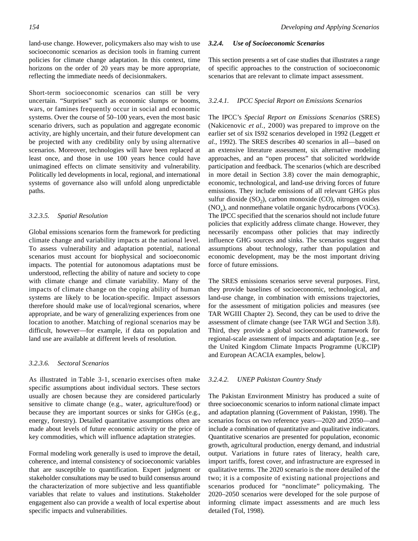land-use change. However, policymakers also may wish to use socioeconomic scenarios as decision tools in framing current policies for climate change adaptation. In this context, time horizons on the order of 20 years may be more appropriate, reflecting the immediate needs of decisionmakers.

Short-term socioeconomic scenarios can still be very uncertain. "Surprises" such as economic slumps or booms, wars, or famines frequently occur in social and economic systems. Over the course of 50–100 years, even the most basic scenario drivers, such as population and aggregate economic activity, are highly uncertain, and their future development can be projected with any credibility only by using alternative scenarios. Moreover, technologies will have been replaced at least once, and those in use 100 years hence could have unimagined effects on climate sensitivity and vulnerability. Politically led developments in local, regional, and international systems of governance also will unfold along unpredictable paths.

#### *3.2.3.5. Spatial Resolution*

Global emissions scenarios form the framework for predicting climate change and variability impacts at the national level. To assess vulnerability and adaptation potential, national scenarios must account for biophysical and socioeconomic impacts. The potential for autonomous adaptations must be understood, reflecting the ability of nature and society to cope with climate change and climate variability. Many of the impacts of climate change on the coping ability of human systems are likely to be location-specific. Impact assessors therefore should make use of local/regional scenarios, where appropriate, and be wary of generalizing experiences from one location to another. Matching of regional scenarios may be difficult, however—for example, if data on population and land use are available at different levels of resolution.

#### *3.2.3.6. Sectoral Scenarios*

As illustrated in Table 3-1, scenario exercises often make specific assumptions about individual sectors. These sectors usually are chosen because they are considered particularly sensitive to climate change (e.g., water, agriculture/food) or because they are important sources or sinks for GHGs (e.g., energy, forestry). Detailed quantitative assumptions often are made about levels of future economic activity or the price of key commodities, which will influence adaptation strategies.

Formal modeling work generally is used to improve the detail, coherence, and internal consistency of socioeconomic variables that are susceptible to quantification. Expert judgment or stakeholder consultations may be used to build consensus around the characterization of more subjective and less quantifiable variables that relate to values and institutions. Stakeholder engagement also can provide a wealth of local expertise about specific impacts and vulnerabilities.

#### *3.2.4. Use of Socioeconomic Scenarios*

This section presents a set of case studies that illustrates a range of specific approaches to the construction of socioeconomic scenarios that are relevant to climate impact assessment.

#### *3.2.4.1. IPCC Special Report on Emissions Scenarios*

The IPCC's *Special Report on Emissions Scenarios* (SRES) (Nakicenovic *et al.,* 2000) was prepared to improve on the earlier set of six IS92 scenarios developed in 1992 (Leggett *et al.*, 1992). The SRES describes 40 scenarios in all—based on an extensive literature assessment, six alternative modeling approaches, and an "open process" that solicited worldwide participation and feedback. The scenarios (which are described in more detail in Section 3.8) cover the main demographic, economic, technological, and land-use driving forces of future emissions. They include emissions of all relevant GHGs plus sulfur dioxide (SO<sub>2</sub>), carbon monoxide (CO), nitrogen oxides  $(NO<sub>x</sub>)$ , and nonmethane volatile organic hydrocarbons (VOCs). The IPCC specified that the scenarios should not include future policies that explicitly address climate change. However, they necessarily encompass other policies that may indirectly influence GHG sources and sinks. The scenarios suggest that assumptions about technology, rather than population and economic development, may be the most important driving force of future emissions.

The SRES emissions scenarios serve several purposes. First, they provide baselines of socioeconomic, technological, and land-use change, in combination with emissions trajectories, for the assessment of mitigation policies and measures (see TAR WGIII Chapter 2). Second, they can be used to drive the assessment of climate change (see TAR WGI and Section 3.8). Third, they provide a global socioeconomic framework for regional-scale assessment of impacts and adaptation [e.g., see the United Kingdom Climate Impacts Programme (UKCIP) and European ACACIA examples, below].

#### *3.2.4.2. UNEP Pakistan Country Study*

The Pakistan Environment Ministry has produced a suite of three socioeconomic scenarios to inform national climate impact and adaptation planning (Government of Pakistan, 1998). The scenarios focus on two reference years—2020 and 2050—and include a combination of quantitative and qualitative indicators. Quantitative scenarios are presented for population, economic growth, agricultural production, energy demand, and industrial output. Variations in future rates of literacy, health care, import tariffs, forest cover, and infrastructure are expressed in qualitative terms. The 2020 scenario is the more detailed of the two; it is a composite of existing national projections and scenarios produced for "nonclimate" policymaking. The 2020–2050 scenarios were developed for the sole purpose of informing climate impact assessments and are much less detailed (Tol, 1998).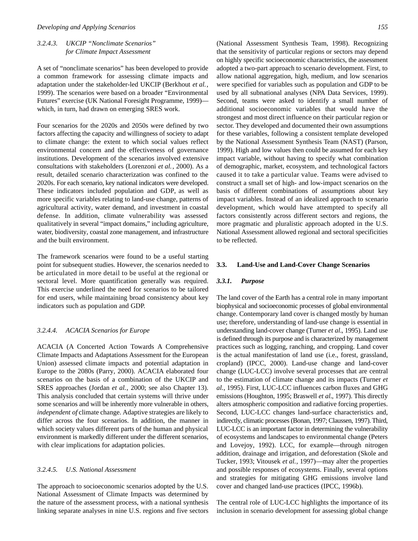#### *3.2.4.3. UKCIP "Nonclimate Scenarios" for Climate Impact Assessment*

A set of "nonclimate scenarios" has been developed to provide a common framework for assessing climate impacts and adaptation under the stakeholder-led UKCIP (Berkhout *et al.*, 1999). The scenarios were based on a broader "Environmental Futures" exercise (UK National Foresight Programme, 1999) which, in turn, had drawn on emerging SRES work.

Four scenarios for the 2020s and 2050s were defined by two factors affecting the capacity and willingness of society to adapt to climate change: the extent to which social values reflect environmental concern and the effectiveness of governance institutions. Development of the scenarios involved extensive consultations with stakeholders (Lorenzoni *et al.*, 2000). As a result, detailed scenario characterization was confined to the 2020s. For each scenario, key national indicators were developed. These indicators included population and GDP, as well as more specific variables relating to land-use change, patterns of agricultural activity, water demand, and investment in coastal defense. In addition, climate vulnerability was assessed qualitatively in several "impact domains," including agriculture, water, biodiversity, coastal zone management, and infrastructure and the built environment.

The framework scenarios were found to be a useful starting point for subsequent studies. However, the scenarios needed to be articulated in more detail to be useful at the regional or sectoral level. More quantification generally was required. This exercise underlined the need for scenarios to be tailored for end users, while maintaining broad consistency about key indicators such as population and GDP.

#### *3.2.4.4. ACACIA Scenarios for Europe*

ACACIA (A Concerted Action Towards A Comprehensive Climate Impacts and Adaptations Assessment for the European Union) assessed climate impacts and potential adaptation in Europe to the 2080s (Parry, 2000). ACACIA elaborated four scenarios on the basis of a combination of the UKCIP and SRES approaches (Jordan *et al.*, 2000; see also Chapter 13). This analysis concluded that certain systems will thrive under some scenarios and will be inherently more vulnerable in others, *independent of* climate change. Adaptive strategies are likely to differ across the four scenarios. In addition, the manner in which society values different parts of the human and physical environment is markedly different under the different scenarios, with clear implications for adaptation policies.

#### *3.2.4.5. U.S. National Assessment*

The approach to socioeconomic scenarios adopted by the U.S. National Assessment of Climate Impacts was determined by the nature of the assessment process, with a national synthesis linking separate analyses in nine U.S. regions and five sectors

(National Assessment Synthesis Team, 1998). Recognizing that the sensitivity of particular regions or sectors may depend on highly specific socioeconomic characteristics, the assessment adopted a two-part approach to scenario development. First, to allow national aggregation, high, medium, and low scenarios were specified for variables such as population and GDP to be used by all subnational analyses (NPA Data Services, 1999). Second, teams were asked to identify a small number of additional socioeconomic variables that would have the strongest and most direct influence on their particular region or sector. They developed and documented their own assumptions for these variables, following a consistent template developed by the National Assessment Synthesis Team (NAST) (Parson, 1999). High and low values then could be assumed for each key impact variable, without having to specify what combination of demographic, market, ecosystem, and technological factors caused it to take a particular value. Teams were advised to construct a small set of high- and low-impact scenarios on the basis of different combinations of assumptions about key impact variables. Instead of an idealized approach to scenario development, which would have attempted to specify all factors consistently across different sectors and regions, the more pragmatic and pluralistic approach adopted in the U.S. National Assessment allowed regional and sectoral specificities to be reflected.

#### **3.3. Land-Use and Land-Cover Change Scenarios**

#### *3.3.1. Purpose*

The land cover of the Earth has a central role in many important biophysical and socioeconomic processes of global environmental change. Contemporary land cover is changed mostly by human use; therefore, understanding of land-use change is essential in understanding land-cover change (Turner *et al.*, 1995). Land use is defined through its purpose and is characterized by management practices such as logging, ranching, and cropping. Land cover is the actual manifestation of land use (i.e., forest, grassland, cropland) (IPCC, 2000). Land-use change and land-cover change (LUC-LCC) involve several processes that are central to the estimation of climate change and its impacts (Turner *et al.*, 1995). First, LUC-LCC influences carbon fluxes and GHG emissions (Houghton, 1995; Braswell *et al.*, 1997). This directly alters atmospheric composition and radiative forcing properties. Second, LUC-LCC changes land-surface characteristics and, indirectly, climatic processes (Bonan, 1997; Claussen, 1997). Third, LUC-LCC is an important factor in determining the vulnerability of ecosystems and landscapes to environmental change (Peters and Lovejoy, 1992). LCC, for example—through nitrogen addition, drainage and irrigation, and deforestation (Skole and Tucker, 1993; Vitousek *et al.*, 1997)—may alter the properties and possible responses of ecosystems. Finally, several options and strategies for mitigating GHG emissions involve land cover and changed land-use practices (IPCC, 1996b).

The central role of LUC-LCC highlights the importance of its inclusion in scenario development for assessing global change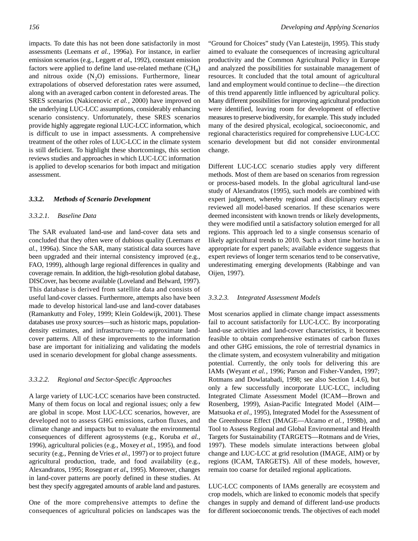impacts. To date this has not been done satisfactorily in most assessments (Leemans *et al.*, 1996a). For instance, in earlier emission scenarios (e.g., Leggett *et al.*, 1992), constant emission factors were applied to define land use-related methane  $(CH_4)$ and nitrous oxide  $(N_2O)$  emissions. Furthermore, linear extrapolations of observed deforestation rates were assumed, along with an averaged carbon content in deforested areas. The SRES scenarios (Nakicenovic *et al.*, 2000) have improved on the underlying LUC-LCC assumptions, considerably enhancing scenario consistency. Unfortunately, these SRES scenarios provide highly aggregate regional LUC-LCC information, which is difficult to use in impact assessments. A comprehensive treatment of the other roles of LUC-LCC in the climate system is still deficient. To highlight these shortcomings, this section reviews studies and approaches in which LUC-LCC information is applied to develop scenarios for both impact and mitigation assessment.

#### *3.3.2. Methods of Scenario Development*

#### *3.3.2.1. Baseline Data*

The SAR evaluated land-use and land-cover data sets and concluded that they often were of dubious quality (Leemans *et al.*, 1996a). Since the SAR, many statistical data sources have been upgraded and their internal consistency improved (e.g., FAO, 1999), although large regional differences in quality and coverage remain. In addition, the high-resolution global database, DISCover, has become available (Loveland and Belward, 1997). This database is derived from satellite data and consists of useful land-cover classes. Furthermore, attempts also have been made to develop historical land-use and land-cover databases (Ramankutty and Foley, 1999; Klein Goldewijk, 2001). These databases use proxy sources—such as historic maps, populationdensity estimates, and infrastructure—to approximate landcover patterns. All of these improvements to the information base are important for initializing and validating the models used in scenario development for global change assessments.

#### *3.3.2.2. Regional and Sector-Specific Approaches*

A large variety of LUC-LCC scenarios have been constructed. Many of them focus on local and regional issues; only a few are global in scope. Most LUC-LCC scenarios, however, are developed not to assess GHG emissions, carbon fluxes, and climate change and impacts but to evaluate the environmental consequences of different agrosystems (e.g., Koruba *et al.*, 1996), agricultural policies (e.g., Moxey *et al.*, 1995), and food security (e.g., Penning de Vries *et al.*, 1997) or to project future agricultural production, trade, and food availability (e.g., Alexandratos, 1995; Rosegrant *et al.*, 1995). Moreover, changes in land-cover patterns are poorly defined in these studies. At best they specify aggregated amounts of arable land and pastures.

One of the more comprehensive attempts to define the consequences of agricultural policies on landscapes was the

"Ground for Choices" study (Van Latesteijn, 1995). This study aimed to evaluate the consequences of increasing agricultural productivity and the Common Agricultural Policy in Europe and analyzed the possibilities for sustainable management of resources. It concluded that the total amount of agricultural land and employment would continue to decline—the direction of this trend apparently little influenced by agricultural policy. Many different possibilities for improving agricultural production were identified, leaving room for development of effective measures to preserve biodiversity, for example. This study included many of the desired physical, ecological, socioeconomic, and regional characteristics required for comprehensive LUC-LCC scenario development but did not consider environmental change.

Different LUC-LCC scenario studies apply very different methods. Most of them are based on scenarios from regression or process-based models. In the global agricultural land-use study of Alexandratos (1995), such models are combined with expert judgment, whereby regional and disciplinary experts reviewed all model-based scenarios. If these scenarios were deemed inconsistent with known trends or likely developments, they were modified until a satisfactory solution emerged for all regions. This approach led to a single consensus scenario of likely agricultural trends to 2010. Such a short time horizon is appropriate for expert panels; available evidence suggests that expert reviews of longer term scenarios tend to be conservative, underestimating emerging developments (Rabbinge and van Oijen, 1997).

#### *3.3.2.3. Integrated Assessment Models*

Most scenarios applied in climate change impact assessments fail to account satisfactorily for LUC-LCC. By incorporating land-use activities and land-cover characteristics, it becomes feasible to obtain comprehensive estimates of carbon fluxes and other GHG emissions, the role of terrestrial dynamics in the climate system, and ecosystem vulnerability and mitigation potential. Currently, the only tools for delivering this are IAMs (Weyant *et al.*, 1996; Parson and Fisher-Vanden, 1997; Rotmans and Dowlatabadi, 1998; see also Section 1.4.6), but only a few successfully incorporate LUC-LCC, including Integrated Climate Assessment Model (ICAM—Brown and Rosenberg, 1999), Asian-Pacific Integrated Model (AIM— Matsuoka *et al.*, 1995), Integrated Model for the Assessment of the Greenhouse Effect (IMAGE—Alcamo *et al.*, 1998b), and Tool to Assess Regional and Global Environmental and Health Targets for Sustainability (TARGETS—Rotmans and de Vries, 1997). These models simulate interactions between global change and LUC-LCC at grid resolution (IMAGE, AIM) or by regions (ICAM, TARGETS). All of these models, however, remain too coarse for detailed regional applications.

LUC-LCC components of IAMs generally are ecosystem and crop models, which are linked to economic models that specify changes in supply and demand of different land-use products for different socioeconomic trends. The objectives of each model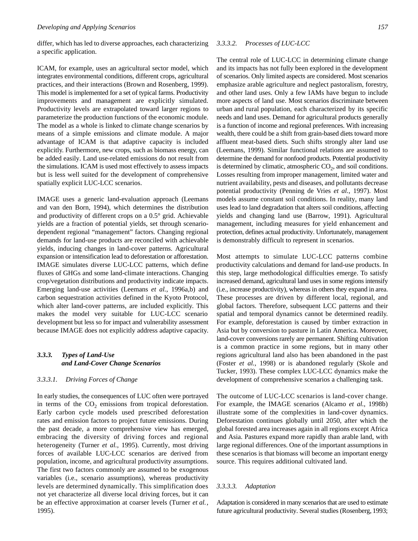differ, which has led to diverse approaches, each characterizing a specific application.

ICAM, for example, uses an agricultural sector model, which integrates environmental conditions, different crops, agricultural practices, and their interactions (Brown and Rosenberg, 1999). This model is implemented for a set of typical farms. Productivity improvements and management are explicitly simulated. Productivity levels are extrapolated toward larger regions to parameterize the production functions of the economic module. The model as a whole is linked to climate change scenarios by means of a simple emissions and climate module. A major advantage of ICAM is that adaptive capacity is included explicitly. Furthermore, new crops, such as biomass energy, can be added easily. Land use-related emissions do not result from the simulations. ICAM is used most effectively to assess impacts but is less well suited for the development of comprehensive spatially explicit LUC-LCC scenarios.

IMAGE uses a generic land-evaluation approach (Leemans and van den Born, 1994), which determines the distribution and productivity of different crops on a 0.5° grid. Achievable yields are a fraction of potential yields, set through scenariodependent regional "management" factors. Changing regional demands for land-use products are reconciled with achievable yields, inducing changes in land-cover patterns. Agricultural expansion or intensification lead to deforestation or afforestation. IMAGE simulates diverse LUC-LCC patterns, which define fluxes of GHGs and some land-climate interactions. Changing crop/vegetation distributions and productivity indicate impacts. Emerging land-use activities (Leemans *et al.*, 1996a,b) and carbon sequestration activities defined in the Kyoto Protocol, which alter land-cover patterns, are included explicitly. This makes the model very suitable for LUC-LCC scenario development but less so for impact and vulnerability assessment because IMAGE does not explicitly address adaptive capacity.

#### *3.3.3. Types of Land-Use and Land-Cover Change Scenarios*

#### *3.3.3.1. Driving Forces of Change*

In early studies, the consequences of LUC often were portrayed in terms of the  $CO<sub>2</sub>$  emissions from tropical deforestation. Early carbon cycle models used prescribed deforestation rates and emission factors to project future emissions. During the past decade, a more comprehensive view has emerged, embracing the diversity of driving forces and regional heterogeneity (Turner *et al.*, 1995). Currently, most driving forces of available LUC-LCC scenarios are derived from population, income, and agricultural productivity assumptions. The first two factors commonly are assumed to be exogenous variables (i.e., scenario assumptions), whereas productivity levels are determined dynamically. This simplification does not yet characterize all diverse local driving forces, but it can be an effective approximation at coarser levels (Turner *et al.*, 1995).

#### *3.3.3.2. Processes of LUC-LCC*

The central role of LUC-LCC in determining climate change and its impacts has not fully been explored in the development of scenarios. Only limited aspects are considered. Most scenarios emphasize arable agriculture and neglect pastoralism, forestry, and other land uses. Only a few IAMs have begun to include more aspects of land use. Most scenarios discriminate between urban and rural population, each characterized by its specific needs and land uses. Demand for agricultural products generally is a function of income and regional preferences. With increasing wealth, there could be a shift from grain-based diets toward more affluent meat-based diets. Such shifts strongly alter land use (Leemans, 1999). Similar functional relations are assumed to determine the demand for nonfood products. Potential productivity is determined by climatic, atmospheric  $CO<sub>2</sub>$ , and soil conditions. Losses resulting from improper management, limited water and nutrient availability, pests and diseases, and pollutants decrease potential productivity (Penning de Vries *et al.*, 1997). Most models assume constant soil conditions. In reality, many land uses lead to land degradation that alters soil conditions, affecting yields and changing land use (Barrow, 1991). Agricultural management, including measures for yield enhancement and protection, defines actual productivity. Unfortunately, management is demonstrably difficult to represent in scenarios.

Most attempts to simulate LUC-LCC patterns combine productivity calculations and demand for land-use products. In this step, large methodological difficulties emerge. To satisfy increased demand, agricultural land uses in some regions intensify (i.e., increase productivity), whereas in others they expand in area. These processes are driven by different local, regional, and global factors. Therefore, subsequent LCC patterns and their spatial and temporal dynamics cannot be determined readily. For example, deforestation is caused by timber extraction in Asia but by conversion to pasture in Latin America. Moreover, land-cover conversions rarely are permanent. Shifting cultivation is a common practice in some regions, but in many other regions agricultural land also has been abandoned in the past (Foster *et al.*, 1998) or is abandoned regularly (Skole and Tucker, 1993). These complex LUC-LCC dynamics make the development of comprehensive scenarios a challenging task.

The outcome of LUC-LCC scenarios is land-cover change. For example, the IMAGE scenarios (Alcamo *et al.*, 1998b) illustrate some of the complexities in land-cover dynamics. Deforestation continues globally until 2050, after which the global forested area increases again in all regions except Africa and Asia. Pastures expand more rapidly than arable land, with large regional differences. One of the important assumptions in these scenarios is that biomass will become an important energy source. This requires additional cultivated land.

#### *3.3.3.3. Adaptation*

Adaptation is considered in many scenarios that are used to estimate future agricultural productivity. Several studies (Rosenberg, 1993;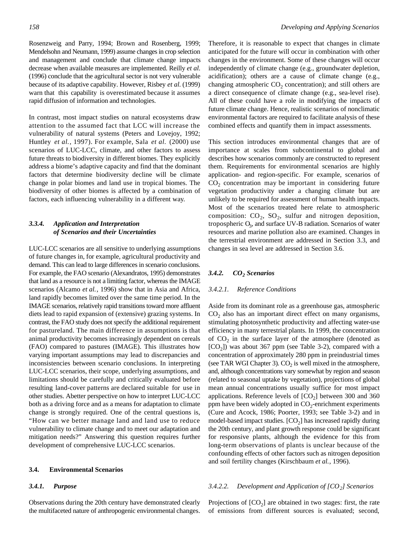Rosenzweig and Parry, 1994; Brown and Rosenberg, 1999; Mendelsohn and Neumann, 1999) assume changes in crop selection and management and conclude that climate change impacts decrease when available measures are implemented. Reilly *et al.* (1996) conclude that the agricultural sector is not very vulnerable because of its adaptive capability. However, Risbey *et al.* (1999) warn that this capability is overestimated because it assumes rapid diffusion of information and technologies.

In contrast, most impact studies on natural ecosystems draw attention to the assumed fact that LCC will increase the vulnerability of natural systems (Peters and Lovejoy, 1992; Huntley *et al.*, 1997). For example, Sala *et al.* (2000) use scenarios of LUC-LCC, climate, and other factors to assess future threats to biodiversity in different biomes. They explicitly address a biome's adaptive capacity and find that the dominant factors that determine biodiversity decline will be climate change in polar biomes and land use in tropical biomes. The biodiversity of other biomes is affected by a combination of factors, each influencing vulnerability in a different way.

#### *3.3.4. Application and Interpretation of Scenarios and their Uncertainties*

LUC-LCC scenarios are all sensitive to underlying assumptions of future changes in, for example, agricultural productivity and demand. This can lead to large differences in scenario conclusions. For example, the FAO scenario (Alexandratos, 1995) demonstrates that land as a resource is not a limiting factor, whereas the IMAGE scenarios (Alcamo *et al.*, 1996) show that in Asia and Africa, land rapidly becomes limited over the same time period. In the IMAGE scenarios, relatively rapid transitions toward more affluent diets lead to rapid expansion of (extensive) grazing systems. In contrast, the FAO study does not specify the additional requirement for pastureland. The main difference in assumptions is that animal productivity becomes increasingly dependent on cereals (FAO) compared to pastures (IMAGE). This illustrates how varying important assumptions may lead to discrepancies and inconsistencies between scenario conclusions. In interpreting LUC-LCC scenarios, their scope, underlying assumptions, and limitations should be carefully and critically evaluated before resulting land-cover patterns are declared suitable for use in other studies. Abetter perspective on how to interpret LUC-LCC both as a driving force and as a means for adaptation to climate change is strongly required. One of the central questions is, "How can we better manage land and land use to reduce vulnerability to climate change and to meet our adaptation and mitigation needs?" Answering this question requires further development of comprehensive LUC-LCC scenarios.

#### **3.4. Environmental Scenarios**

#### *3.4.1. Purpose*

Observations during the 20th century have demonstrated clearly the multifaceted nature of anthropogenic environmental changes. Therefore, it is reasonable to expect that changes in climate anticipated for the future will occur in combination with other changes in the environment. Some of these changes will occur independently of climate change (e.g., groundwater depletion, acidification); others are a cause of climate change (e.g., changing atmospheric  $CO_2$  concentration); and still others are a direct consequence of climate change (e.g., sea-level rise). All of these could have a role in modifying the impacts of future climate change. Hence, realistic scenarios of nonclimatic environmental factors are required to facilitate analysis of these combined effects and quantify them in impact assessments.

This section introduces environmental changes that are of importance at scales from subcontinental to global and describes how scenarios commonly are constructed to represent them. Requirements for environmental scenarios are highly application- and region-specific. For example, scenarios of  $CO<sub>2</sub>$  concentration may be important in considering future vegetation productivity under a changing climate but are unlikely to be required for assessment of human health impacts. Most of the scenarios treated here relate to atmospheric composition:  $CO_2$ ,  $SO_2$ , sulfur and nitrogen deposition, tropospheric O<sub>3</sub>, and surface UV-B radiation. Scenarios of water resources and marine pollution also are examined. Changes in the terrestrial environment are addressed in Section 3.3, and changes in sea level are addressed in Section 3.6.

#### *3.4.2. CO<sup>2</sup> Scenarios*

#### *3.4.2.1. Reference Conditions*

Aside from its dominant role as a greenhouse gas, atmospheric  $CO<sub>2</sub>$  also has an important direct effect on many organisms, stimulating photosynthetic productivity and affecting water-use efficiency in many terrestrial plants. In 1999, the concentration of  $CO<sub>2</sub>$  in the surface layer of the atmosphere (denoted as [CO<sub>2</sub>]) was about 367 ppm (see Table 3-2), compared with a concentration of approximately 280 ppm in preindustrial times (see TAR WGI Chapter 3).  $CO<sub>2</sub>$  is well mixed in the atmosphere, and, although concentrations vary somewhat by region and season (related to seasonal uptake by vegetation), projections of global mean annual concentrations usually suffice for most impact applications. Reference levels of  $[CO<sub>2</sub>]$  between 300 and 360 ppm have been widely adopted in  $CO_2$ -enrichment experiments (Cure and Acock, 1986; Poorter, 1993; see Table 3-2) and in model-based impact studies.  $[CO<sub>2</sub>]$  has increased rapidly during the 20th century, and plant growth response could be significant for responsive plants, although the evidence for this from long-term observations of plants is unclear because of the confounding effects of other factors such as nitrogen deposition and soil fertility changes (Kirschbaum *et al.*, 1996).

#### *3.4.2.2. Development and Application of [CO<sup>2</sup> ] Scenarios*

Projections of  $[CO<sub>2</sub>]$  are obtained in two stages: first, the rate of emissions from different sources is evaluated; second,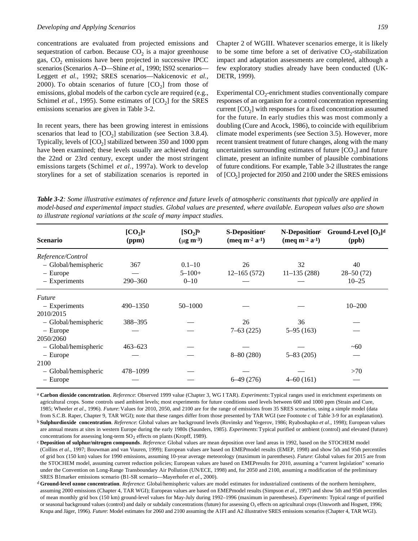concentrations are evaluated from projected emissions and sequestration of carbon. Because  $CO<sub>2</sub>$  is a major greenhouse gas,  $CO<sub>2</sub>$  emissions have been projected in successive IPCC scenarios (Scenarios A–D—Shine *et al.*, 1990; IS92 scenarios— Leggett *et al.*, 1992; SRES scenarios—Nakicenovic *et al.*, 2000). To obtain scenarios of future  $[CO<sub>2</sub>]$  from those of emissions, global models of the carbon cycle are required (e.g., Schimel *et al.*, 1995). Some estimates of  $[CO<sub>2</sub>]$  for the SRES emissions scenarios are given in Table 3-2.

In recent years, there has been growing interest in emissions scenarios that lead to  $[CO_2]$  stabilization (see Section 3.8.4). Typically, levels of  $[CO<sub>2</sub>]$  stabilized between 350 and 1000 ppm have been examined; these levels usually are achieved during the 22nd or 23rd century, except under the most stringent emissions targets (Schimel *et al.*, 1997a). Work to develop storylines for a set of stabilization scenarios is reported in Chapter 2 of WGIII. Whatever scenarios emerge, it is likely to be some time before a set of derivative  $CO_2$ -stabilization impact and adaptation assessments are completed, although a few exploratory studies already have been conducted (UK-DETR, 1999).

Experimental CO<sub>2</sub>-enrichment studies conventionally compare responses of an organism for a control concentration representing current  $[CO<sub>2</sub>]$  with responses for a fixed concentration assumed for the future. In early studies this was most commonly a doubling (Cure and Acock, 1986), to coincide with equilibrium climate model experiments (see Section 3.5). However, more recent transient treatment of future changes, along with the many uncertainties surrounding estimates of future  $[CO<sub>2</sub>]$  and future climate, present an infinite number of plausible combinations of future conditions. For example, Table 3-2 illustrates the range of [CO<sub>2</sub>] projected for 2050 and 2100 under the SRES emissions

*Table 3-2: Some illustrative estimates of reference and future levels of atmospheric constituents that typically are applied in model-based and experimental impact studies. Global values are presented, where available. European values also are shown to illustrate regional variations at the scale of many impact studies.*

| <b>Scenario</b>      | $[CO2]$ <sup>a</sup><br>(ppm) | $[SO2]$ <sup>b</sup><br>$(\mu$ g m <sup>-3</sup> ) | S-Deposition <sup>c</sup><br>$(\text{meq m-2 a-1})$ | $(\text{meq m-2 a-1})$ | N-Deposition <sup>c</sup> Ground-Level $[O_3]^d$<br>(ppb) |
|----------------------|-------------------------------|----------------------------------------------------|-----------------------------------------------------|------------------------|-----------------------------------------------------------|
| Reference/Control    |                               |                                                    |                                                     |                        |                                                           |
| - Global/hemispheric | 367                           | $0.1 - 10$                                         | 26                                                  | 32                     | 40                                                        |
| $-$ Europe           |                               | $5 - 100 +$                                        | $12 - 165(572)$                                     | $11 - 135(288)$        | $28 - 50(72)$                                             |
| - Experiments        | $290 - 360$                   | $0 - 10$                                           |                                                     |                        | $10 - 25$                                                 |
| <i>Future</i>        |                               |                                                    |                                                     |                        |                                                           |
| - Experiments        | 490-1350                      | 50-1000                                            |                                                     |                        | $10 - 200$                                                |
| 2010/2015            |                               |                                                    |                                                     |                        |                                                           |
| - Global/hemispheric | 388-395                       |                                                    | 26                                                  | 36                     |                                                           |
| - Europe             |                               |                                                    | $7 - 63$ (225)                                      | $5-95(163)$            |                                                           |
| 2050/2060            |                               |                                                    |                                                     |                        |                                                           |
| - Global/hemispheric | $463 - 623$                   |                                                    |                                                     |                        | ~10                                                       |
| $-$ Europe           |                               |                                                    | $8 - 80(280)$                                       | $5 - 83$ (205)         |                                                           |
| 2100                 |                               |                                                    |                                                     |                        |                                                           |
| - Global/hemispheric | 478-1099                      |                                                    |                                                     |                        | >70                                                       |
| - Europe             |                               |                                                    | $6-49(276)$                                         | $4 - 60(161)$          |                                                           |

a **Carbon dioxide concentration**. *Reference*: Observed 1999 value (Chapter 3, WG I TAR). *Experiments*: Typical ranges used in enrichment experiments on agricultural crops. Some controls used ambient levels; most experiments for future conditions used levels between 600 and 1000 ppm (Strain and Cure, 1985; Wheeler *et al*., 1996). *Future*: Values for 2010, 2050, and 2100 are for the range of emissions from 35 SRES scenarios, using a simple model (data from S.C.B. Raper, Chapter 9, TAR WGI); note that these ranges differ from those presented by TAR WGI (see Footnote c of Table 3-9 for an explanation).

b **Sulphurdioxide concentration**. *Reference*: Global values are background levels (Rovinsky and Yegerov, 1986; Ryaboshapko *et al*., 1998); European values are annual means at sites in western Europe during the early 1980s (Saunders, 1985). *Experiments*: Typical purified or ambient (control) and elevated (future) concentrations for assessing long-term  ${SO_2}$  effects on plants (Kropff, 1989).

c **Deposition of sulphur/nitrogen compounds**. *Reference*: Global values are mean deposition over land areas in 1992, based on the STOCHEM model (Collins *et al*., 1997; Bouwman and van Vuuren, 1999); European values are based on EMEPmodel results (EMEP, 1998) and show 5th and 95th percentiles of grid box (150 km) values for 1990 emissions, assuming 10-year average meteorology (maximum in parentheses). *Future*: Global values for 2015 are from the STOCHEM model, assuming current reduction policies; European values are based on EMEPresults for 2010, assuming a "current legislation" scenario under the Convention on Long-Range Transboundary Air Pollution (UN/ECE, 1998) and, for 2050 and 2100, assuming a modification of the preliminary SRES B1marker emissions scenario (B1-SR scenario—Mayerhofer *et al*., 2000).

d **Ground-level ozone concentration**. *Reference*: Global/hemispheric values are model estimates for industrialized continents of the northern hemisphere, assuming 2000 emissions (Chapter 4, TAR WGI); European values are based on EMEPmodel results (Simpson *et al*., 1997) and show 5th and 95th percentiles of mean monthly grid box (150 km) ground-level values for May-July during 1992–1996 (maximum in parentheses). *Experiments*: Typical range of purified or seasonal background values (control) and daily or subdaily concentrations (future) for assessing  $O<sub>3</sub>$  effects on agricultural crops (Unsworth and Hogsett, 1996; Krupa and Jäger, 1996). Future: Model estimates for 2060 and 2100 assuming the A1FI and A2 illustrative SRES emissions scenarios (Chapter 4, TAR WGI).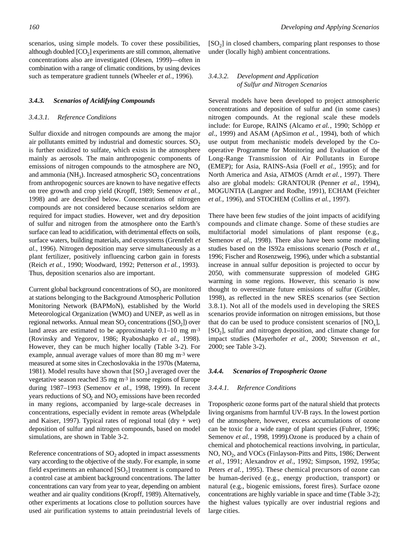scenarios, using simple models. To cover these possibilities, although doubled [CO<sub>2</sub>] experiments are still common, alternative concentrations also are investigated (Olesen, 1999)—often in combination with a range of climatic conditions, by using devices such as temperature gradient tunnels (Wheeler *et al.*, 1996).

#### *3.4.3. Scenarios of Acidifying Compounds*

#### *3.4.3.1. Reference Conditions*

Sulfur dioxide and nitrogen compounds are among the major air pollutants emitted by industrial and domestic sources.  $SO<sub>2</sub>$ is further oxidized to sulfate, which exists in the atmosphere mainly as aerosols. The main anthropogenic components of emissions of nitrogen compounds to the atmosphere are  $NO<sub>x</sub>$ and ammonia (NH<sub>3</sub>). Increased atmospheric  $SO_2$  concentrations from anthropogenic sources are known to have negative effects on tree growth and crop yield (Kropff, 1989; Semenov *et al.*, 1998) and are described below. Concentrations of nitrogen compounds are not considered because scenarios seldom are required for impact studies. However, wet and dry deposition of sulfur and nitrogen from the atmosphere onto the Earth's surface can lead to acidification, with detrimental effects on soils, surface waters, building materials, and ecosystems (Grennfelt *et al.*, 1996). Nitrogen deposition may serve simultaneously as a plant fertilizer, positively influencing carbon gain in forests (Reich *et al.*, 1990; Woodward, 1992; Petterson *et al.*, 1993). Thus, deposition scenarios also are important.

Current global background concentrations of  $SO_2$  are monitored at stations belonging to the Background Atmospheric Pollution Monitoring Network (BAPMoN), established by the World Meteorological Organization (WMO) and UNEP, as well as in regional networks. Annual mean  $SO_2$  concentrations ( $[SO_2]$ ) over land areas are estimated to be approximately 0.1–10 mg m-3 (Rovinsky and Yegorov, 1986; Ryaboshapko *et al.*, 1998). However, they can be much higher locally (Table 3-2). For example, annual average values of more than 80 mg m-3 were measured at some sites in Czechoslovakia in the 1970s (Materna, 1981). Model results have shown that  $[SO_2]$  averaged over the vegetative season reached 35 mg m<sup>-3</sup> in some regions of Europe during 1987–1993 (Semenov *et al.*, 1998, 1999). In recent years reductions of  $SO_2$  and  $NO_2$  emissions have been recorded in many regions, accompanied by large-scale decreases in concentrations, especially evident in remote areas (Whelpdale and Kaiser, 1997). Typical rates of regional total  $(\text{dry + wet})$ deposition of sulfur and nitrogen compounds, based on model simulations, are shown in Table 3-2.

Reference concentrations of  $SO_2$  adopted in impact assessments vary according to the objective of the study. For example, in some field experiments an enhanced  $[SO_2]$  treatment is compared to a control case at ambient background concentrations. The latter concentrations can vary from year to year, depending on ambient weather and air quality conditions (Kropff, 1989). Alternatively, other experiments at locations close to pollution sources have used air purification systems to attain preindustrial levels of

[SO<sub>2</sub>] in closed chambers, comparing plant responses to those under (locally high) ambient concentrations.

#### *3.4.3.2. Development and Application of Sulfur and Nitrogen Scenarios*

Several models have been developed to project atmospheric concentrations and deposition of sulfur and (in some cases) nitrogen compounds. At the regional scale these models include: for Europe, RAINS (Alcamo *et al.*, 1990; Schöpp *et al.*, 1999) and ASAM (ApSimon *et al.*, 1994), both of which use output from mechanistic models developed by the Cooperative Programme for Monitoring and Evaluation of the Long-Range Transmission of Air Pollutants in Europe (EMEP); for Asia, RAINS-Asia (Foell *et al.*, 1995); and for North America and Asia, ATMOS (Arndt *et al.*, 1997). There also are global models: GRANTOUR (Penner *et al.*, 1994), MOGUNTIA (Langner and Rodhe, 1991), ECHAM (Feichter *et al.*, 1996), and STOCHEM (Collins *et al.*, 1997).

There have been few studies of the joint impacts of acidifying compounds and climate change. Some of these studies are multifactorial model simulations of plant response (e.g., Semenov *et al.*, 1998). There also have been some modeling studies based on the IS92a emissions scenario (Posch *et al.*, 1996; Fischer and Rosenzweig, 1996), under which a substantial increase in annual sulfur deposition is projected to occur by 2050, with commensurate suppression of modeled GHG warming in some regions. However, this scenario is now thought to overestimate future emissions of sulfur (Grübler, 1998), as reflected in the new SRES scenarios (see Section 3.8.1). Not all of the models used in developing the SRES scenarios provide information on nitrogen emissions, but those that do can be used to produce consistent scenarios of  $[NO<sub>x</sub>]$ , [SO<sub>2</sub>], sulfur and nitrogen deposition, and climate change for impact studies (Mayerhofer *et al.*, 2000; Stevenson *et al.*, 2000; see Table 3-2).

#### *3.4.4. Scenarios of Tropospheric Ozone*

#### *3.4.4.1. Reference Conditions*

Tropospheric ozone forms part of the natural shield that protects living organisms from harmful UV-B rays. In the lowest portion of the atmosphere, however, excess accumulations of ozone can be toxic for a wide range of plant species (Fuhrer, 1996; Semenov *et al.*, 1998, 1999). Ozone is produced by a chain of chemical and photochemical reactions involving, in particular, NO, NO<sub>2</sub>, and VOCs (Finlayson-Pitts and Pitts, 1986; Derwent *et al.*, 1991; Alexandrov *et al.*, 1992; Simpson, 1992, 1995a; Peters *et al.*, 1995). These chemical precursors of ozone can be human-derived (e.g., energy production, transport) or natural (e.g., biogenic emissions, forest fires). Surface ozone concentrations are highly variable in space and time (Table 3-2); the highest values typically are over industrial regions and large cities.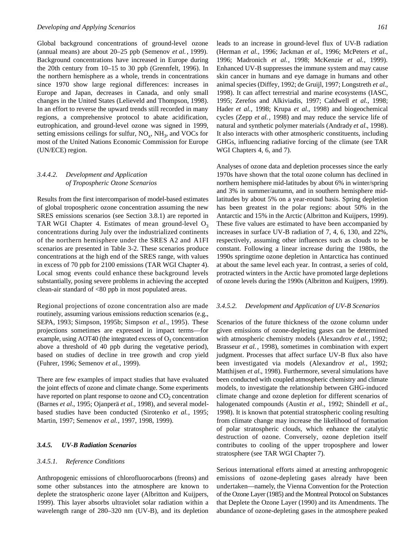Global background concentrations of ground-level ozone (annual means) are about 20–25 ppb (Semenov *et al.*, 1999). Background concentrations have increased in Europe during the 20th century from 10–15 to 30 ppb (Grennfelt, 1996). In the northern hemisphere as a whole, trends in concentrations since 1970 show large regional differences: increases in Europe and Japan, decreases in Canada, and only small changes in the United States (Lelieveld and Thompson, 1998). In an effort to reverse the upward trends still recorded in many regions, a comprehensive protocol to abate acidification, eutrophication, and ground-level ozone was signed in 1999, setting emissions ceilings for sulfur,  $NO_x$ ,  $NH_3$ , and VOCs for most of the United Nations Economic Commission for Europe (UN/ECE) region.

#### *3.4.4.2. Development and Application of Tropospheric Ozone Scenarios*

Results from the first intercomparison of model-based estimates of global tropospheric ozone concentration assuming the new SRES emissions scenarios (see Section 3.8.1) are reported in TAR WGI Chapter 4. Estimates of mean ground-level  $O_3$ concentrations during July over the industrialized continents of the northern hemisphere under the SRES A2 and A1FI scenarios are presented in Table 3-2. These scenarios produce concentrations at the high end of the SRES range, with values in excess of 70 ppb for 2100 emissions (TAR WGI Chapter 4). Local smog events could enhance these background levels substantially, posing severe problems in achieving the accepted clean-air standard of <80 ppb in most populated areas.

Regional projections of ozone concentration also are made routinely, assuming various emissions reduction scenarios (e.g., SEPA, 1993; Simpson, 1995b; Simpson *et al.*, 1995). These projections sometimes are expressed in impact terms—for example, using AOT40 (the integrated excess of  $O_3$  concentration above a threshold of 40 ppb during the vegetative period), based on studies of decline in tree growth and crop yield (Fuhrer, 1996; Semenov *et al.*, 1999).

There are few examples of impact studies that have evaluated the joint effects of ozone and climate change. Some experiments have reported on plant response to ozone and  $CO<sub>2</sub>$  concentration (Barnes *et al.*, 1995; Ojanperä *et al.,* 1998), and several modelbased studies have been conducted (Sirotenko *et al.*, 1995; Martin, 1997; Semenov *et al.*, 1997, 1998, 1999).

#### *3.4.5. UV-B Radiation Scenarios*

#### *3.4.5.1. Reference Conditions*

Anthropogenic emissions of chlorofluorocarbons (freons) and some other substances into the atmosphere are known to deplete the stratospheric ozone layer (Albritton and Kuijpers, 1999). This layer absorbs ultraviolet solar radiation within a wavelength range of 280–320 nm (UV-B), and its depletion leads to an increase in ground-level flux of UV-B radiation (Herman *et al.*, 1996; Jackman *et al.*, 1996; McPeters *et al.*, 1996; Madronich *et al.*, 1998; McKenzie *et al.*, 1999). Enhanced UV-B suppresses the immune system and may cause skin cancer in humans and eye damage in humans and other animal species (Diffey, 1992; de Gruijl, 1997; Longstreth *et al.*, 1998). It can affect terrestrial and marine ecosystems (IASC, 1995; Zerefos and Alkiviadis, 1997; Caldwell *et al.*, 1998; Hader *et al.*, 1998; Krupa *et al.*, 1998) and biogeochemical cycles (Zepp *et al.*, 1998) and may reduce the service life of natural and synthetic polymer materials (Andrady *et al.*, 1998). It also interacts with other atmospheric constituents, including GHGs, influencing radiative forcing of the climate (see TAR WGI Chapters 4, 6, and 7).

Analyses of ozone data and depletion processes since the early 1970s have shown that the total ozone column has declined in northern hemisphere mid-latitudes by about 6% in winter/spring and 3% in summer/autumn, and in southern hemisphere midlatitudes by about 5% on a year-round basis. Spring depletion has been greatest in the polar regions: about 50% in the Antarctic and 15% in the Arctic (Albritton and Kuijpers, 1999). These five values are estimated to have been accompanied by increases in surface UV-B radiation of 7, 4, 6, 130, and 22%, respectively, assuming other influences such as clouds to be constant. Following a linear increase during the 1980s, the 1990s springtime ozone depletion in Antarctica has continued at about the same level each year. In contrast, a series of cold, protracted winters in the Arctic have promoted large depletions of ozone levels during the 1990s (Albritton and Kuijpers, 1999).

#### *3.4.5.2. Development and Application of UV-B Scenarios*

Scenarios of the future thickness of the ozone column under given emissions of ozone-depleting gases can be determined with atmospheric chemistry models (Alexandrov *et al.*, 1992; Brasseur *et al.*, 1998), sometimes in combination with expert judgment. Processes that affect surface UV-B flux also have been investigated via models (Alexandrov *et al.*, 1992; Matthijsen *et al.*, 1998). Furthermore, several simulations have been conducted with coupled atmospheric chemistry and climate models, to investigate the relationship between GHG-induced climate change and ozone depletion for different scenarios of halogenated compounds (Austin *et al.*, 1992; Shindell *et al.*, 1998). It is known that potential stratospheric cooling resulting from climate change may increase the likelihood of formation of polar stratospheric clouds, which enhance the catalytic destruction of ozone. Conversely, ozone depletion itself contributes to cooling of the upper troposphere and lower stratosphere (see TAR WGI Chapter 7).

Serious international efforts aimed at arresting anthropogenic emissions of ozone-depleting gases already have been undertaken—namely, the Vienna Convention for the Protection of the Ozone Layer (1985) and the Montreal Protocol on Substances that Deplete the Ozone Layer (1990) and its Amendments. The abundance of ozone-depleting gases in the atmosphere peaked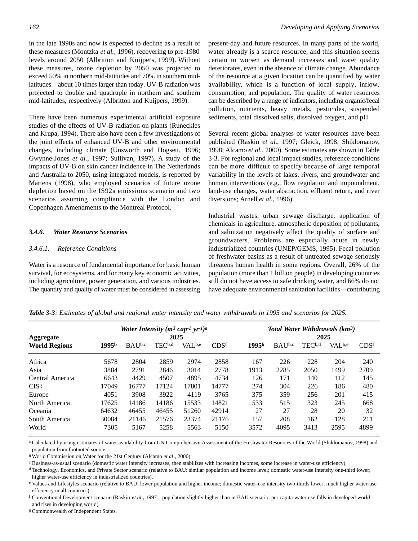in the late 1990s and now is expected to decline as a result of these measures (Montzka *et al.*, 1996), recovering to pre-1980 levels around 2050 (Albritton and Kuijpers, 1999). Without these measures, ozone depletion by 2050 was projected to exceed 50% in northern mid-latitudes and 70% in southern midlatitudes—about 10 times larger than today. UV-B radiation was projected to double and quadruple in northern and southern mid-latitudes, respectively (Albritton and Kuijpers, 1999).

There have been numerous experimental artificial exposure studies of the effects of UV-B radiation on plants (Runeckles and Krupa, 1994). There also have been a few investigations of the joint effects of enhanced UV-B and other environmental changes, including climate (Unsworth and Hogsett, 1996; Gwynne-Jones *et al.*, 1997; Sullivan, 1997). A study of the impacts of UV-B on skin cancer incidence in The Netherlands and Australia to 2050, using integrated models, is reported by Martens (1998), who employed scenarios of future ozone depletion based on the IS92a emissions scenario and two scenarios assuming compliance with the London and Copenhagen Amendments to the Montreal Protocol.

#### *3.4.6. Water Resource Scenarios*

#### *3.4.6.1. Reference Conditions*

Water is a resource of fundamental importance for basic human survival, for ecosystems, and for many key economic activities, including agriculture, power generation, and various industries. The quantity and quality of water must be considered in assessing present-day and future resources. In many parts of the world, water already is a scarce resource, and this situation seems certain to worsen as demand increases and water quality deteriorates, even in the absence of climate change. Abundance of the resource at a given location can be quantified by water availability, which is a function of local supply, inflow, consumption, and population. The quality of water resources can be described by a range of indicators, including organic/fecal pollution, nutrients, heavy metals, pesticides, suspended sediments, total dissolved salts, dissolved oxygen, and pH.

Several recent global analyses of water resources have been published (Raskin *et al.*, 1997; Gleick, 1998; Shiklomanov, 1998; Alcamo *et al.*, 2000). Some estimates are shown in Table 3-3. For regional and local impact studies, reference conditions can be more difficult to specify because of large temporal variability in the levels of lakes, rivers, and groundwater and human interventions (e.g., flow regulation and impoundment, land-use changes, water abstraction, effluent return, and river diversions; Arnell *et al.*, 1996).

Industrial wastes, urban sewage discharge, application of chemicals in agriculture, atmospheric deposition of pollutants, and salinization negatively affect the quality of surface and groundwaters. Problems are especially acute in newly industrialized countries (UNEP/GEMS, 1995). Fecal pollution of freshwater basins as a result of untreated sewage seriously threatens human health in some regions. Overall, 26% of the population (more than 1 billion people) in developing countries still do not have access to safe drinking water, and 66% do not have adequate environmental sanitation facilities—contributing

|                                   |       | Water Intensity $(m^3 cap^{-1} yr^{-1})^a$ | Total Water Withdrawals (km <sup>3</sup> ) |                    |       |       |        |                            |                    |      |
|-----------------------------------|-------|--------------------------------------------|--------------------------------------------|--------------------|-------|-------|--------|----------------------------|--------------------|------|
| Aggregate<br><b>World Regions</b> | 1995b | BAUb,c                                     | 2025<br>TEC <sup>b,d</sup>                 | VAL <sup>b,e</sup> | CDSf  | 1995b | BAUb,c | 2025<br>TEC <sup>b,d</sup> | VAL <sub>b,e</sub> | CDSf |
| Africa                            | 5678  | 2804                                       | 2859                                       | 2974               | 2858  | 167   | 226    | 228                        | 204                | 240  |
| Asia                              | 3884  | 2791                                       | 2846                                       | 3014               | 2778  | 1913  | 2285   | 2050                       | 1499               | 2709 |
| Central America                   | 6643  | 4429                                       | 4507                                       | 4895               | 4734  | 126   | 171    | 140                        | 112                | 145  |
| CISg                              | 17049 | 16777                                      | 17124                                      | 17801              | 14777 | 274   | 304    | 226                        | 186                | 480  |
| Europe                            | 4051  | 3908                                       | 3922                                       | 4119               | 3765  | 375   | 359    | 256                        | 201                | 415  |
| North America                     | 17625 | 14186                                      | 14186                                      | 15533              | 14821 | 533   | 515    | 323                        | 245                | 668  |
| Oceania                           | 64632 | 46455                                      | 46455                                      | 51260              | 42914 | 27    | 27     | 28                         | 20                 | 32   |
| South America                     | 30084 | 21146                                      | 21576                                      | 23374              | 21176 | 157   | 208    | 162                        | 128                | 211  |
| World                             | 7305  | 5167                                       | 5258                                       | 5563               | 5150  | 3572  | 4095   | 3413                       | 2595               | 4899 |

*Table 3-3: Estimates of global and regional water intensity and water withdrawals in 1995 and scenarios for 2025.*

a Calculated by using estimates of water availability from UN Comprehensive Assessment of the Freshwater Resources of the World (Shiklomanov, 1998) and population from footnoted source.

b World Commission on Water for the 21st Century (Alcamo *et al*., 2000).

c Business-as-usual scenario (domestic water intensity increases, then stabilizes with increasing incomes, some increase in water-use efficiency).

d Technology, Economics, and Private Sector scenario (relative to BAU: similar population and income level; domestic water-use intensity one-third lower; higher water-use efficiency in industrialized countries).

e Values and Lifestyles scenario (relative to BAU: lower population and higher income; domestic water-use intensity two-thirds lower; much higher water-use efficiency in all countries).

f Conventional Development scenario (Raskin *et al*., 1997—population slightly higher than in BAU scenario; per capita water use falls in developed world and rises in developing world).

g Commonwealth of Independent States.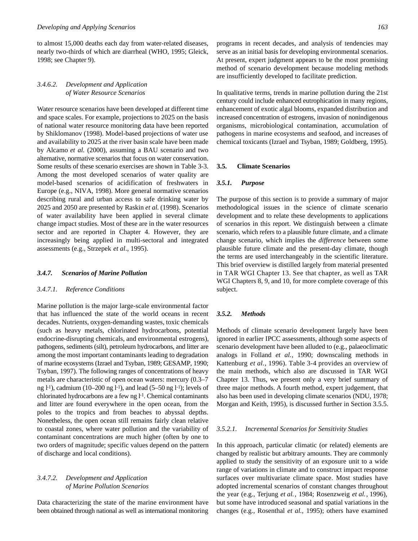to almost 15,000 deaths each day from water-related diseases, nearly two-thirds of which are diarrheal (WHO, 1995; Gleick, 1998; see Chapter 9).

#### *3.4.6.2. Development and Application of Water Resource Scenarios*

Water resource scenarios have been developed at different time and space scales. For example, projections to 2025 on the basis of national water resource monitoring data have been reported by Shiklomanov (1998). Model-based projections of water use and availability to 2025 at the river basin scale have been made by Alcamo *et al.* (2000), assuming a BAU scenario and two alternative, normative scenarios that focus on water conservation. Some results of these scenario exercises are shown in Table 3-3. Among the most developed scenarios of water quality are model-based scenarios of acidification of freshwaters in Europe (e.g., NIVA, 1998). More general normative scenarios describing rural and urban access to safe drinking water by 2025 and 2050 are presented by Raskin *et al.* (1998). Scenarios of water availability have been applied in several climate change impact studies. Most of these are in the water resources sector and are reported in Chapter 4. However, they are increasingly being applied in multi-sectoral and integrated assessments (e.g., Strzepek *et al*., 1995).

#### *3.4.7. Scenarios of Marine Pollution*

#### *3.4.7.1. Reference Conditions*

Marine pollution is the major large-scale environmental factor that has influenced the state of the world oceans in recent decades. Nutrients, oxygen-demanding wastes, toxic chemicals (such as heavy metals, chlorinated hydrocarbons, potential endocrine-disrupting chemicals, and environmental estrogens), pathogens, sediments (silt), petroleum hydrocarbons, and litter are among the most important contaminants leading to degradation of marine ecosystems (Izrael and Tsyban, 1989; GESAMP, 1990; Tsyban, 1997). The following ranges of concentrations of heavy metals are characteristic of open ocean waters: mercury (0.3–7 ng l<sup>-1</sup>), cadmium (10–200 ng l<sup>-1</sup>), and lead (5–50 ng l<sup>-1</sup>); levels of chlorinated hydrocarbons are a few ng  $l<sup>-1</sup>$ . Chemical contaminants and litter are found everywhere in the open ocean, from the poles to the tropics and from beaches to abyssal depths. Nonetheless, the open ocean still remains fairly clean relative to coastal zones, where water pollution and the variability of contaminant concentrations are much higher (often by one to two orders of magnitude; specific values depend on the pattern of discharge and local conditions).

#### *3.4.7.2. Development and Application of Marine Pollution Scenarios*

Data characterizing the state of the marine environment have been obtained through national as well as international monitoring

programs in recent decades, and analysis of tendencies may serve as an initial basis for developing environmental scenarios. At present, expert judgment appears to be the most promising method of scenario development because modeling methods are insufficiently developed to facilitate prediction.

In qualitative terms, trends in marine pollution during the 21st century could include enhanced eutrophication in many regions, enhancement of exotic algal blooms, expanded distribution and increased concentration of estrogens, invasion of nonindigenous organisms, microbiological contamination, accumulation of pathogens in marine ecosystems and seafood, and increases of chemical toxicants (Izrael and Tsyban, 1989; Goldberg, 1995).

#### **3.5. Climate Scenarios**

#### *3.5.1. Purpose*

The purpose of this section is to provide a summary of major methodological issues in the science of climate scenario development and to relate these developments to applications of scenarios in this report. We distinguish between a climate scenario, which refers to a plausible future climate, and a climate change scenario, which implies the *difference* between some plausible future climate and the present-day climate, though the terms are used interchangeably in the scientific literature. This brief overview is distilled largely from material presented in TAR WGI Chapter 13. See that chapter, as well as TAR WGI Chapters 8, 9, and 10, for more complete coverage of this subject.

#### *3.5.2. Methods*

Methods of climate scenario development largely have been ignored in earlier IPCC assessments, although some aspects of scenario development have been alluded to (e.g., palaeoclimatic analogs in Folland *et al.*, 1990; downscaling methods in Kattenburg et al., 1996). Table 3-4 provides an overview of the main methods, which also are discussed in TAR WGI Chapter 13. Thus, we present only a very brief summary of three major methods. A fourth method, expert judgement, that also has been used in developing climate scenarios (NDU, 1978; Morgan and Keith, 1995), is discussed further in Section 3.5.5.

#### *3.5.2.1. Incremental Scenarios for Sensitivity Studies*

In this approach, particular climatic (or related) elements are changed by realistic but arbitrary amounts. They are commonly applied to study the sensitivity of an exposure unit to a wide range of variations in climate and to construct impact response surfaces over multivariate climate space. Most studies have adopted incremental scenarios of constant changes throughout the year (e.g., Terjung *et al.*, 1984; Rosenzweig *et al.*, 1996), but some have introduced seasonal and spatial variations in the changes (e.g., Rosenthal *et al.*, 1995); others have examined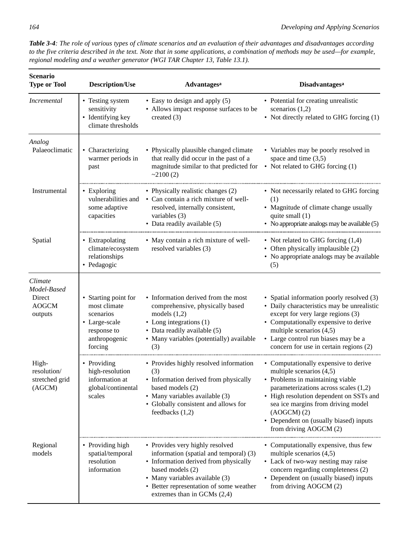| <b>Scenario</b><br><b>Type or Tool</b>                      | <b>Description/Use</b>                                                                                        | Advantagesa                                                                                                                                                                                                                                          | Disadvantages <sup>a</sup>                                                                                                                                                                                                                                                                                          |
|-------------------------------------------------------------|---------------------------------------------------------------------------------------------------------------|------------------------------------------------------------------------------------------------------------------------------------------------------------------------------------------------------------------------------------------------------|---------------------------------------------------------------------------------------------------------------------------------------------------------------------------------------------------------------------------------------------------------------------------------------------------------------------|
| Incremental                                                 | • Testing system<br>sensitivity<br>• Identifying key<br>climate thresholds                                    | • Easy to design and apply (5)<br>• Allows impact response surfaces to be<br>created $(3)$                                                                                                                                                           | • Potential for creating unrealistic<br>scenarios $(1,2)$<br>• Not directly related to GHG forcing (1)                                                                                                                                                                                                              |
| Analog<br>Palaeoclimatic                                    | • Characterizing<br>warmer periods in<br>past                                                                 | • Physically plausible changed climate<br>that really did occur in the past of a<br>magnitude similar to that predicted for<br>~2100(2)                                                                                                              | • Variables may be poorly resolved in<br>space and time $(3,5)$<br>• Not related to GHG forcing (1)                                                                                                                                                                                                                 |
| Instrumental                                                | • Exploring<br>vulnerabilities and<br>some adaptive<br>capacities                                             | • Physically realistic changes (2)<br>• Can contain a rich mixture of well-<br>resolved, internally consistent,<br>variables (3)<br>• Data readily available (5)                                                                                     | • Not necessarily related to GHG forcing<br>(1)<br>• Magnitude of climate change usually<br>quite small $(1)$<br>• No appropriate analogs may be available (5)                                                                                                                                                      |
| Spatial                                                     | • Extrapolating<br>climate/ecosystem<br>relationships<br>• Pedagogic                                          | • May contain a rich mixture of well-<br>resolved variables (3)                                                                                                                                                                                      | • Not related to GHG forcing $(1,4)$<br>• Often physically implausible (2)<br>• No appropriate analogs may be available<br>(5)                                                                                                                                                                                      |
| Climate<br>Model-Based<br>Direct<br><b>AOGCM</b><br>outputs | • Starting point for<br>most climate<br>scenarios<br>• Large-scale<br>response to<br>anthropogenic<br>forcing | • Information derived from the most<br>comprehensive, physically based<br>models $(1,2)$<br>• Long integrations (1)<br>• Data readily available (5)<br>• Many variables (potentially) available<br>(3)                                               | • Spatial information poorly resolved (3)<br>· Daily characteristics may be unrealistic<br>except for very large regions (3)<br>• Computationally expensive to derive<br>multiple scenarios (4,5)<br>• Large control run biases may be a<br>concern for use in certain regions (2)                                  |
| High-<br>resolution/<br>stretched grid<br>(AGCM)            | • Providing<br>high-resolution<br>information at<br>global/continental<br>scales                              | • Provides highly resolved information<br>(3)<br>• Information derived from physically<br>based models (2)<br>• Many variables available (3)<br>• Globally consistent and allows for<br>feedbacks $(1,2)$                                            | • Computationally expensive to derive<br>multiple scenarios $(4,5)$<br>• Problems in maintaining viable<br>parameterizations across scales (1,2)<br>• High resolution dependent on SSTs and<br>sea ice margins from driving model<br>(AOGCM)(2)<br>• Dependent on (usually biased) inputs<br>from driving AOGCM (2) |
| Regional<br>models                                          | • Providing high<br>spatial/temporal<br>resolution<br>information                                             | • Provides very highly resolved<br>information (spatial and temporal) (3)<br>• Information derived from physically<br>based models (2)<br>• Many variables available (3)<br>• Better representation of some weather<br>extremes than in GCMs $(2,4)$ | • Computationally expensive, thus few<br>multiple scenarios $(4,5)$<br>• Lack of two-way nesting may raise<br>concern regarding completeness (2)<br>• Dependent on (usually biased) inputs<br>from driving AOGCM (2)                                                                                                |

*Table 3-4: The role of various types of climate scenarios and an evaluation of their advantages and disadvantages according to the five criteria described in the text. Note that in some applications, a combination of methods may be used—for example, regional modeling and a weather generator (WGI TAR Chapter 13, Table 13.1).*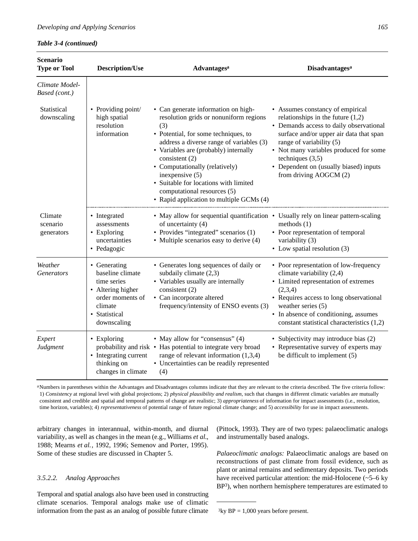|  |  | Table 3-4 (continued) |  |
|--|--|-----------------------|--|
|--|--|-----------------------|--|

| <b>Scenario</b><br><b>Type or Tool</b> | <b>Description/Use</b>                                                                                                              | Advantagesa                                                                                                                                                                                                                                                                                                                                                                                                  | Disadvantages <sup>a</sup>                                                                                                                                                                                                                                                                                                    |
|----------------------------------------|-------------------------------------------------------------------------------------------------------------------------------------|--------------------------------------------------------------------------------------------------------------------------------------------------------------------------------------------------------------------------------------------------------------------------------------------------------------------------------------------------------------------------------------------------------------|-------------------------------------------------------------------------------------------------------------------------------------------------------------------------------------------------------------------------------------------------------------------------------------------------------------------------------|
| Climate Model-<br>Based (cont.)        |                                                                                                                                     |                                                                                                                                                                                                                                                                                                                                                                                                              |                                                                                                                                                                                                                                                                                                                               |
| Statistical<br>downscaling             | • Providing point/<br>high spatial<br>resolution<br>information                                                                     | • Can generate information on high-<br>resolution grids or nonuniform regions<br>(3)<br>• Potential, for some techniques, to<br>address a diverse range of variables (3)<br>• Variables are (probably) internally<br>consistent (2)<br>• Computationally (relatively)<br>inexpensive (5)<br>• Suitable for locations with limited<br>computational resources (5)<br>• Rapid application to multiple GCMs (4) | • Assumes constancy of empirical<br>relationships in the future $(1,2)$<br>• Demands access to daily observational<br>surface and/or upper air data that span<br>range of variability (5)<br>• Not many variables produced for some<br>techniques $(3,5)$<br>• Dependent on (usually biased) inputs<br>from driving AOGCM (2) |
| Climate<br>scenario<br>generators      | • Integrated<br>assessments<br>• Exploring<br>uncertainties<br>• Pedagogic                                                          | • May allow for sequential quantification • Usually rely on linear pattern-scaling<br>of uncertainty (4)<br>• Provides "integrated" scenarios (1)<br>• Multiple scenarios easy to derive (4)                                                                                                                                                                                                                 | methods $(1)$<br>• Poor representation of temporal<br>variability (3)<br>• Low spatial resolution (3)                                                                                                                                                                                                                         |
| Weather<br><i>Generators</i>           | • Generating<br>baseline climate<br>time series<br>• Altering higher<br>order moments of<br>climate<br>• Statistical<br>downscaling | • Generates long sequences of daily or<br>subdaily climate $(2,3)$<br>• Variables usually are internally<br>consistent (2)<br>• Can incorporate altered<br>frequency/intensity of ENSO events (3)                                                                                                                                                                                                            | • Poor representation of low-frequency<br>climate variability (2,4)<br>• Limited representation of extremes<br>(2,3,4)<br>• Requires access to long observational<br>weather series (5)<br>• In absence of conditioning, assumes<br>constant statistical characteristics (1,2)                                                |
| Expert<br>Judgment                     | • Exploring<br>• Integrating current<br>thinking on<br>changes in climate                                                           | • May allow for "consensus" (4)<br>probability and risk • Has potential to integrate very broad<br>range of relevant information $(1,3,4)$<br>• Uncertainties can be readily represented<br>(4)                                                                                                                                                                                                              | • Subjectivity may introduce bias (2)<br>• Representative survey of experts may<br>be difficult to implement (5)                                                                                                                                                                                                              |

aNumbers in parentheses within the Advantages and Disadvantages columns indicate that they are relevant to the criteria described. The five criteria follow: 1) *Consistency* at regional level with global projections; 2) *physical plausibility and realism*, such that changes in different climatic variables are mutually consistent and credible and spatial and temporal patterns of change are realistic; 3) *appropriateness* of information for impact assessments (i.e., resolution, time horizon, variables); 4) *representativeness* of potential range of future regional climate change; and 5) *accessibility* for use in impact assessments.

arbitrary changes in interannual, within-month, and diurnal variability, as well as changes in the mean (e.g., Williams *et al.*, 1988; Mearns *et al.*, 1992, 1996; Semenov and Porter, 1995). Some of these studies are discussed in Chapter 5.

#### *3.5.2.2. Analog Approaches*

Temporal and spatial analogs also have been used in constructing climate scenarios. Temporal analogs make use of climatic information from the past as an analog of possible future climate

(Pittock, 1993). They are of two types: palaeoclimatic analogs and instrumentally based analogs.

*Palaeoclimatic analogs:* Palaeoclimatic analogs are based on reconstructions of past climate from fossil evidence, such as plant or animal remains and sedimentary deposits. Two periods have received particular attention: the mid-Holocene (~5–6 ky) BP<sup>3</sup>), when northern hemisphere temperatures are estimated to

 $3ky BP = 1,000 years before present.$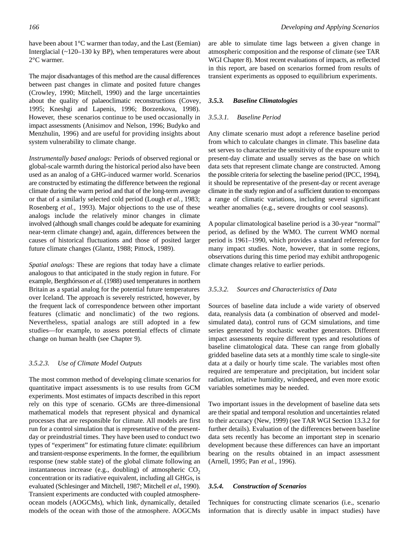have been about 1°C warmer than today, and the Last (Eemian) Interglacial  $(\sim 120-130 \text{ ky BP})$ , when temperatures were about 2°C warmer.

The major disadvantages of this method are the causal differences between past changes in climate and posited future changes (Crowley, 1990; Mitchell, 1990) and the large uncertainties about the quality of palaeoclimatic reconstructions (Covey, 1995; Kneshgi and Lapenis, 1996; Borzenkova, 1998). However, these scenarios continue to be used occasionally in impact assessments (Anisimov and Nelson, 1996; Budyko and Menzhulin, 1996) and are useful for providing insights about system vulnerability to climate change.

*Instrumentally based analogs:* Periods of observed regional or global-scale warmth during the historical period also have been used as an analog of a GHG-induced warmer world. Scenarios are constructed by estimating the difference between the regional climate during the warm period and that of the long-term average or that of a similarly selected cold period (Lough *et al.*, 1983; Rosenberg *et al.,* 1993). Major objections to the use of these analogs include the relatively minor changes in climate involved (although small changes could be adequate for examining near-term climate change) and, again, differences between the causes of historical fluctuations and those of posited larger future climate changes (Glantz, 1988; Pittock, 1989).

*Spatial analogs:* These are regions that today have a climate analogous to that anticipated in the study region in future. For example, Bergthórsson *et al.* (1988) used temperatures in northern Britain as a spatial analog for the potential future temperatures over Iceland. The approach is severely restricted, however, by the frequent lack of correspondence between other important features (climatic and nonclimatic) of the two regions. Nevertheless, spatial analogs are still adopted in a few studies—for example, to assess potential effects of climate change on human health (see Chapter 9).

#### *3.5.2.3. Use of Climate Model Outputs*

The most common method of developing climate scenarios for quantitative impact assessments is to use results from GCM experiments. Most estimates of impacts described in this report rely on this type of scenario. GCMs are three-dimensional mathematical models that represent physical and dynamical processes that are responsible for climate. All models are first run for a control simulation that is representative of the presentday or preindustrial times. They have been used to conduct two types of "experiment" for estimating future climate: equilibrium and transient-response experiments. In the former, the equilibrium response (new stable state) of the global climate following an instantaneous increase (e.g., doubling) of atmospheric  $CO<sub>2</sub>$ concentration or its radiative equivalent, including all GHGs, is evaluated (Schlesinger and Mitchell, 1987; Mitchell *et al.*, 1990). Transient experiments are conducted with coupled atmosphereocean models (AOGCMs), which link, dynamically, detailed models of the ocean with those of the atmosphere. AOGCMs are able to simulate time lags between a given change in atmospheric composition and the response of climate (see TAR WGI Chapter 8). Most recent evaluations of impacts, as reflected in this report, are based on scenarios formed from results of transient experiments as opposed to equilibrium experiments.

#### *3.5.3. Baseline Climatologies*

#### *3.5.3.1. Baseline Period*

Any climate scenario must adopt a reference baseline period from which to calculate changes in climate. This baseline data set serves to characterize the sensitivity of the exposure unit to present-day climate and usually serves as the base on which data sets that represent climate change are constructed. Among the possible criteria for selecting the baseline period (IPCC, 1994), it should be representative of the present-day or recent average climate in the study region and of a sufficient duration to encompass a range of climatic variations, including several significant weather anomalies (e.g., severe droughts or cool seasons).

A popular climatological baseline period is a 30-year "normal" period, as defined by the WMO. The current WMO normal period is 1961–1990, which provides a standard reference for many impact studies. Note, however, that in some regions, observations during this time period may exhibit anthropogenic climate changes relative to earlier periods.

#### *3.5.3.2. Sources and Characteristics of Data*

Sources of baseline data include a wide variety of observed data, reanalysis data (a combination of observed and modelsimulated data), control runs of GCM simulations, and time series generated by stochastic weather generators. Different impact assessments require different types and resolutions of baseline climatological data. These can range from globally gridded baseline data sets at a monthly time scale to single-site data at a daily or hourly time scale. The variables most often required are temperature and precipitation, but incident solar radiation, relative humidity, windspeed, and even more exotic variables sometimes may be needed.

Two important issues in the development of baseline data sets are their spatial and temporal resolution and uncertainties related to their accuracy (New, 1999) (see TAR WGI Section 13.3.2 for further details). Evaluation of the differences between baseline data sets recently has become an important step in scenario development because these differences can have an important bearing on the results obtained in an impact assessment (Arnell, 1995; Pan *et al.*, 1996).

#### *3.5.4. Construction of Scenarios*

Techniques for constructing climate scenarios (i.e., scenario information that is directly usable in impact studies) have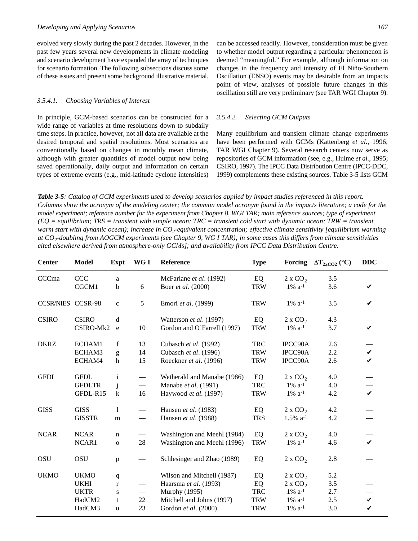evolved very slowly during the past 2 decades. However, in the past few years several new developments in climate modeling and scenario development have expanded the array of techniques for scenario formation. The following subsections discuss some of these issues and present some background illustrative material.

#### *3.5.4.1. Choosing Variables of Interest*

In principle, GCM-based scenarios can be constructed for a wide range of variables at time resolutions down to subdaily time steps. In practice, however, not all data are available at the desired temporal and spatial resolutions. Most scenarios are conventionally based on changes in monthly mean climate, although with greater quantities of model output now being saved operationally, daily output and information on certain types of extreme events (e.g., mid-latitude cyclone intensities)

can be accessed readily. However, consideration must be given to whether model output regarding a particular phenomenon is deemed "meaningful." For example, although information on changes in the frequency and intensity of El Niño-Southern Oscillation (ENSO) events may be desirable from an impacts point of view, analyses of possible future changes in this oscillation still are very preliminary (see TAR WGI Chapter 9).

#### *3.5.4.2. Selecting GCM Outputs*

Many equilibrium and transient climate change experiments have been performed with GCMs (Kattenberg *et al.*, 1996; TAR WGI Chapter 9). Several research centers now serve as repositories of GCM information (see, e.g., Hulme *et al.*, 1995; CSIRO, 1997). The IPCC Data Distribution Centre (IPCC-DDC, 1999) complements these existing sources. Table 3-5 lists GCM

*Table 3-5: Catalog of GCM experiments used to develop scenarios applied by impact studies referenced in this report. Columns show the acronym of the modeling center; the common model acronym found in the impacts literature; a code for the model experiment; reference number for the experiment from Chapter 8, WGI TAR; main reference sources; type of experiment (EQ = equilibrium; TRS = transient with simple ocean; TRC = transient cold start with dynamic ocean; TRW = transient* warm start with dynamic ocean); increase in CO<sub>2</sub>-equivalent concentration; effective climate sensitivity [equilibrium warming *at CO<sup>2</sup> -doubling from AOGCM experiments (see Chapter 9, WG I TAR); in some cases this differs from climate sensitivities cited elsewhere derived from atmosphere-only GCMs]; and availability from IPCC Data Distribution Centre.*

| <b>Center</b>            | <b>Model</b>                                                  | Expt                                                | WG I                           | Reference                                                                                                                        | <b>Type</b>                                        | Forcing                                                                                                     | $\Delta T_{2xCO2}$ (°C)         | <b>DDC</b>                   |
|--------------------------|---------------------------------------------------------------|-----------------------------------------------------|--------------------------------|----------------------------------------------------------------------------------------------------------------------------------|----------------------------------------------------|-------------------------------------------------------------------------------------------------------------|---------------------------------|------------------------------|
| CCCma                    | <b>CCC</b><br>CGCM1                                           | a<br>b                                              | 6                              | McFarlane et al. (1992)<br>Boer <i>et al.</i> (2000)                                                                             | EQ<br><b>TRW</b>                                   | $2 \times CO2$<br>$1\%$ a <sup>-1</sup>                                                                     | 3.5<br>3.6                      | $\checkmark$                 |
| <b>CCSR/NIES CCSR-98</b> |                                                               | $\mathbf c$                                         | 5                              | Emori et al. (1999)                                                                                                              | <b>TRW</b>                                         | $1\%$ a <sup>-1</sup>                                                                                       | 3.5                             | V                            |
| <b>CSIRO</b>             | <b>CSIRO</b><br>CSIRO-Mk2                                     | d<br>e                                              | 10                             | Watterson et al. (1997)<br>Gordon and O'Farrell (1997)                                                                           | EQ<br><b>TRW</b>                                   | $2 \times CO2$<br>$1\%$ a <sup>-1</sup>                                                                     | 4.3<br>3.7                      | $\checkmark$                 |
| <b>DKRZ</b>              | ECHAM1<br>ECHAM3<br>ECHAM4                                    | f<br>g<br>h                                         | 13<br>14<br>15                 | Cubasch et al. (1992)<br>Cubasch et al. (1996)<br>Roeckner et al. (1996)                                                         | <b>TRC</b><br><b>TRW</b><br><b>TRW</b>             | IPCC90A<br>IPCC90A<br>IPCC90A                                                                               | 2.6<br>2.2<br>2.6               | $\checkmark$<br>$\checkmark$ |
| <b>GFDL</b>              | <b>GFDL</b><br><b>GFDLTR</b><br>GFDL-R15                      | i<br>$\mathbf{1}$<br>$\mathbf k$                    | $\overline{\phantom{0}}$<br>16 | Wetherald and Manabe (1986)<br>Manabe et al. (1991)<br>Haywood et al. (1997)                                                     | EQ<br><b>TRC</b><br><b>TRW</b>                     | $2 \times CO2$<br>$1\%$ a <sup>-1</sup><br>$1\%$ a <sup>-1</sup>                                            | 4.0<br>4.0<br>4.2               | $\mathbf v$                  |
| <b>GISS</b>              | <b>GISS</b><br><b>GISSTR</b>                                  | 1<br>${\bf m}$                                      | $\overbrace{\phantom{aaaaa}}$  | Hansen et al. (1983)<br>Hansen et al. (1988)                                                                                     | EQ<br><b>TRS</b>                                   | $2 \times CO2$<br>$1.5\%$ a <sup>-1</sup>                                                                   | 4.2<br>4.2                      |                              |
| <b>NCAR</b>              | <b>NCAR</b><br>NCAR1                                          | $\mathbf n$<br>$\mathbf 0$                          | 28                             | Washington and Meehl (1984)<br>Washington and Meehl (1996)                                                                       | EQ<br><b>TRW</b>                                   | $2 \times CO2$<br>$1\%$ a <sup>-1</sup>                                                                     | 4.0<br>4.6                      | $\checkmark$                 |
| <b>OSU</b>               | <b>OSU</b>                                                    | $\, {\bf p}$                                        |                                | Schlesinger and Zhao (1989)                                                                                                      | EQ                                                 | $2 \times CO2$                                                                                              | 2.8                             |                              |
| <b>UKMO</b>              | <b>UKMO</b><br><b>UKHI</b><br><b>UKTR</b><br>HadCM2<br>HadCM3 | $\mathbf{q}$<br>$\mathbf{r}$<br>${\bf S}$<br>t<br>u | 22<br>23                       | Wilson and Mitchell (1987)<br>Haarsma et al. (1993)<br><b>Murphy</b> (1995)<br>Mitchell and Johns (1997)<br>Gordon et al. (2000) | EQ<br>EQ<br><b>TRC</b><br><b>TRW</b><br><b>TRW</b> | $2 \times CO2$<br>$2 \times CO2$<br>$1\%$ a <sup>-1</sup><br>$1\%$ a <sup>-1</sup><br>$1\%$ a <sup>-1</sup> | 5.2<br>3.5<br>2.7<br>2.5<br>3.0 | $\checkmark$<br>V            |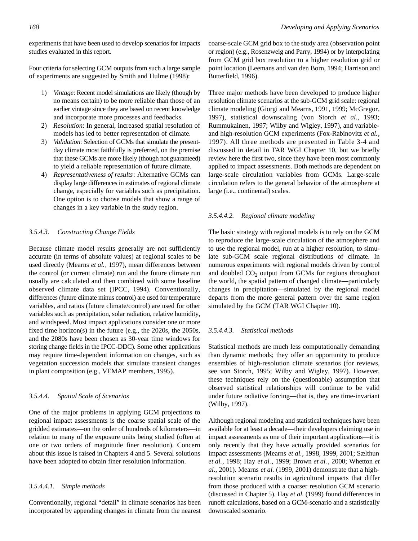experiments that have been used to develop scenarios for impacts studies evaluated in this report.

Four criteria for selecting GCM outputs from such a large sample of experiments are suggested by Smith and Hulme (1998):

- 1) *Vintage*: Recent model simulations are likely (though by no means certain) to be more reliable than those of an earlier vintage since they are based on recent knowledge and incorporate more processes and feedbacks.
- 2) *Resolution*: In general, increased spatial resolution of models has led to better representation of climate.
- 3) *Validation:* Selection of GCMs that simulate the presentday climate most faithfully is preferred, on the premise that these GCMs are more likely (though not guaranteed) to yield a reliable representation of future climate.
- 4) *Representativeness of results*: Alternative GCMs can display large differences in estimates of regional climate change, especially for variables such as precipitation. One option is to choose models that show a range of changes in a key variable in the study region.

#### *3.5.4.3. Constructing Change Fields*

Because climate model results generally are not sufficiently accurate (in terms of absolute values) at regional scales to be used directly (Mearns *et al.*, 1997), mean differences between the control (or current climate) run and the future climate run usually are calculated and then combined with some baseline observed climate data set (IPCC, 1994). Conventionally, differences (future climate minus control) are used for temperature variables, and ratios (future climate/control) are used for other variables such as precipitation, solar radiation, relative humidity, and windspeed. Most impact applications consider one or more fixed time horizon(s) in the future (e.g., the 2020s, the 2050s, and the 2080s have been chosen as 30-year time windows for storing change fields in the IPCC-DDC). Some other applications may require time-dependent information on changes, such as vegetation succession models that simulate transient changes in plant composition (e.g., VEMAP members, 1995).

#### *3.5.4.4. Spatial Scale of Scenarios*

One of the major problems in applying GCM projections to regional impact assessments is the coarse spatial scale of the gridded estimates—on the order of hundreds of kilometers—in relation to many of the exposure units being studied (often at one or two orders of magnitude finer resolution). Concern about this issue is raised in Chapters 4 and 5. Several solutions have been adopted to obtain finer resolution information.

#### *3.5.4.4.1. Simple methods*

Conventionally, regional "detail" in climate scenarios has been incorporated by appending changes in climate from the nearest coarse-scale GCM grid box to the study area (observation point or region) (e.g., Rosenzweig and Parry, 1994) or by interpolating from GCM grid box resolution to a higher resolution grid or point location (Leemans and van den Born, 1994; Harrison and Butterfield, 1996).

Three major methods have been developed to produce higher resolution climate scenarios at the sub-GCM grid scale: regional climate modeling (Giorgi and Mearns, 1991, 1999; McGregor, 1997), statistical downscaling (von Storch *et al.*, 1993; Rummukainen, 1997; Wilby and Wigley, 1997), and variableand high-resolution GCM experiments (Fox-Rabinovitz *et al.*, 1997). All three methods are presented in Table 3-4 and discussed in detail in TAR WGI Chapter 10, but we briefly review here the first two, since they have been most commonly applied to impact assessments. Both methods are dependent on large-scale circulation variables from GCMs. Large-scale circulation refers to the general behavior of the atmosphere at large (i.e., continental) scales.

#### *3.5.4.4.2. Regional climate modeling*

The basic strategy with regional models is to rely on the GCM to reproduce the large-scale circulation of the atmosphere and to use the regional model, run at a higher resolution, to simulate sub-GCM scale regional distributions of climate. In numerous experiments with regional models driven by control and doubled  $CO<sub>2</sub>$  output from GCMs for regions throughout the world, the spatial pattern of changed climate—particularly changes in precipitation—simulated by the regional model departs from the more general pattern over the same region simulated by the GCM (TAR WGI Chapter 10).

#### *3.5.4.4.3. Statistical methods*

Statistical methods are much less computationally demanding than dynamic methods; they offer an opportunity to produce ensembles of high-resolution climate scenarios (for reviews, see von Storch, 1995; Wilby and Wigley, 1997). However, these techniques rely on the (questionable) assumption that observed statistical relationships will continue to be valid under future radiative forcing—that is, they are time-invariant (Wilby, 1997).

Although regional modeling and statistical techniques have been available for at least a decade—their developers claiming use in impact assessments as one of their important applications—it is only recently that they have actually provided scenarios for impact assessments (Mearns *et al.*, 1998, 1999, 2001; Sælthun *et al.*, 1998; Hay *et al.*, 1999; Brown *et al.*, 2000; Whetton *et al.*, 2001). Mearns *et al.* (1999, 2001) demonstrate that a highresolution scenario results in agricultural impacts that differ from those produced with a coarser resolution GCM scenario (discussed in Chapter 5). Hay *et al.* (1999) found differences in runoff calculations, based on a GCM-scenario and a statistically downscaled scenario.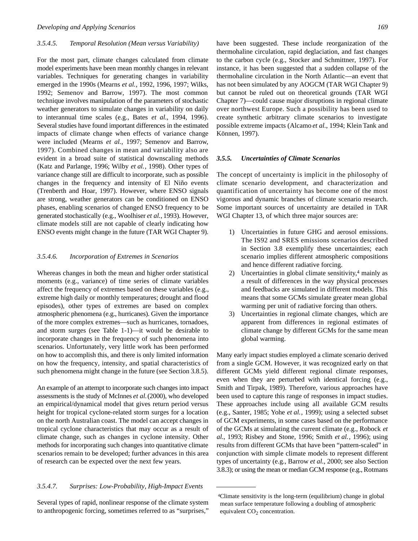#### *3.5.4.5. Temporal Resolution (Mean versus Variability)*

For the most part, climate changes calculated from climate model experiments have been mean monthly changes in relevant variables. Techniques for generating changes in variability emerged in the 1990s (Mearns *et al.*, 1992, 1996, 1997; Wilks, 1992; Semenov and Barrow, 1997). The most common technique involves manipulation of the parameters of stochastic weather generators to simulate changes in variability on daily to interannual time scales (e.g., Bates *et al.*, 1994, 1996). Several studies have found important differences in the estimated impacts of climate change when effects of variance change were included (Mearns *et al.*, 1997; Semenov and Barrow, 1997). Combined changes in mean and variability also are evident in a broad suite of statistical downscaling methods (Katz and Parlange, 1996; Wilby *et al.*, 1998). Other types of variance change still are difficult to incorporate, such as possible changes in the frequency and intensity of El Niño events (Trenberth and Hoar, 1997). However, where ENSO signals are strong, weather generators can be conditioned on ENSO phases, enabling scenarios of changed ENSO frequency to be generated stochastically (e.g., Woolhiser *et al.,* 1993). However, climate models still are not capable of clearly indicating how ENSO events might change in the future (TAR WGI Chapter 9).

#### *3.5.4.6. Incorporation of Extremes in Scenarios*

Whereas changes in both the mean and higher order statistical moments (e.g., variance) of time series of climate variables affect the frequency of extremes based on these variables (e.g., extreme high daily or monthly temperatures; drought and flood episodes), other types of extremes are based on complex atmospheric phenomena (e.g., hurricanes). Given the importance of the more complex extremes—such as hurricanes, tornadoes, and storm surges (see Table 1-1)—it would be desirable to incorporate changes in the frequency of such phenomena into scenarios. Unfortunately, very little work has been performed on how to accomplish this, and there is only limited information on how the frequency, intensity, and spatial characteristics of such phenomena might change in the future (see Section 3.8.5).

An example of an attempt to incorporate such changes into impact assessments is the study of McInnes *et al.*(2000), who developed an empirical/dynamical model that gives return period versus height for tropical cyclone-related storm surges for a location on the north Australian coast. The model can accept changes in tropical cyclone characteristics that may occur as a result of climate change, such as changes in cyclone intensity. Other methods for incorporating such changes into quantitative climate scenarios remain to be developed; further advances in this area of research can be expected over the next few years.

#### *3.5.4.7. Surprises: Low-Probability, High-Impact Events*

Several types of rapid, nonlinear response of the climate system to anthropogenic forcing, sometimes referred to as "surprises,"

have been suggested. These include reorganization of the thermohaline circulation, rapid deglaciation, and fast changes to the carbon cycle (e.g., Stocker and Schmittner, 1997). For instance, it has been suggested that a sudden collapse of the thermohaline circulation in the North Atlantic—an event that has not been simulated by any AOGCM (TAR WGI Chapter 9) but cannot be ruled out on theoretical grounds (TAR WGI Chapter 7)—could cause major disruptions in regional climate over northwest Europe. Such a possibility has been used to create synthetic arbitrary climate scenarios to investigate possible extreme impacts (Alcamo et al., 1994; Klein Tank and Können, 1997).

#### *3.5.5. Uncertainties of Climate Scenarios*

The concept of uncertainty is implicit in the philosophy of climate scenario development, and characterization and quantification of uncertainty has become one of the most vigorous and dynamic branches of climate scenario research. Some important sources of uncertainty are detailed in TAR WGI Chapter 13, of which three major sources are:

- 1) Uncertainties in future GHG and aerosol emissions. The IS92 and SRES emissions scenarios described in Section 3.8 exemplify these uncertainties; each scenario implies different atmospheric compositions and hence different radiative forcing.
- 2) Uncertainties in global climate sensitivity, <sup>4</sup> mainly as a result of differences in the way physical processes and feedbacks are simulated in different models. This means that some GCMs simulate greater mean global warming per unit of radiative forcing than others.
- 3) Uncertainties in regional climate changes, which are apparent from differences in regional estimates of climate change by different GCMs for the same mean global warming.

Many early impact studies employed a climate scenario derived from a single GCM. However, it was recognized early on that different GCMs yield different regional climate responses, even when they are perturbed with identical forcing (e.g., Smith and Tirpak, 1989). Therefore, various approaches have been used to capture this range of responses in impact studies. These approaches include using all available GCM results (e.g., Santer, 1985; Yohe *et al.*, 1999); using a selected subset of GCM experiments, in some cases based on the performance of the GCMs at simulating the current climate (e.g., Robock *et al.*, 1993; Risbey and Stone, 1996; Smith *et al.*, 1996); using results from different GCMs that have been "pattern-scaled" in conjunction with simple climate models to represent different types of uncertainty (e.g., Barrow *et al.*, 2000; see also Section 3.8.3); or using the mean or median GCM response (e.g., Rotmans

<sup>4</sup>Climate sensitivity is the long-term (equilibrium) change in global mean surface temperature following a doubling of atmospheric equivalent  $CO<sub>2</sub>$  concentration.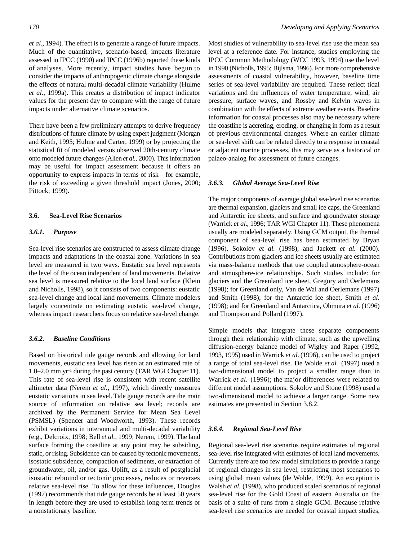*et al.*, 1994). The effect is to generate a range of future impacts. Much of the quantitative, scenario-based, impacts literature assessed in IPCC (1990) and IPCC (1996b) reported these kinds of analyses. More recently, impact studies have begun to consider the impacts of anthropogenic climate change alongside the effects of natural multi-decadal climate variability (Hulme *et al.*, 1999a). This creates a distribution of impact indicator values for the present day to compare with the range of future impacts under alternative climate scenarios.

There have been a few preliminary attempts to derive frequency distributions of future climate by using expert judgment (Morgan and Keith, 1995; Hulme and Carter, 1999) or by projecting the statistical fit of modeled versus observed 20th-century climate onto modeled future changes (Allen *et al.*, 2000). This information may be useful for impact assessment because it offers an opportunity to express impacts in terms of risk—for example, the risk of exceeding a given threshold impact (Jones, 2000; Pittock, 1999).

#### **3.6. Sea-Level Rise Scenarios**

#### *3.6.1. Purpose*

Sea-level rise scenarios are constructed to assess climate change impacts and adaptations in the coastal zone. Variations in sea level are measured in two ways. Eustatic sea level represents the level of the ocean independent of land movements. Relative sea level is measured relative to the local land surface (Klein and Nicholls, 1998), so it consists of two components: eustatic sea-level change and local land movements. Climate modelers largely concentrate on estimating eustatic sea-level change, whereas impact researchers focus on relative sea-level change.

#### *3.6.2. Baseline Conditions*

Based on historical tide gauge records and allowing for land movements, eustatic sea level has risen at an estimated rate of  $1.0-2.0$  mm yr<sup>-1</sup> during the past century (TAR WGI Chapter 11). This rate of sea-level rise is consistent with recent satellite altimeter data (Nerem *et al.*, 1997), which directly measures eustatic variations in sea level. Tide gauge records are the main source of information on relative sea level; records are archived by the Permanent Service for Mean Sea Level (PSMSL) (Spencer and Woodworth, 1993). These records exhibit variations in interannual and multi-decadal variability (e.g., Delcroix, 1998; Bell *et al.*, 1999; Nerem, 1999). The land surface forming the coastline at any point may be subsiding, static, or rising. Subsidence can be caused by tectonic movements, isostatic subsidence, compaction of sediments, or extraction of groundwater, oil, and/or gas. Uplift, as a result of postglacial isostatic rebound or tectonic processes, reduces or reverses relative sea-level rise. To allow for these influences, Douglas (1997) recommends that tide gauge records be at least 50 years in length before they are used to establish long-term trends or a nonstationary baseline.

Most studies of vulnerability to sea-level rise use the mean sea level at a reference date. For instance, studies employing the IPCC Common Methodology (WCC 1993, 1994) use the level in 1990 (Nicholls, 1995; Bijlsma, 1996). For more comprehensive assessments of coastal vulnerability, however, baseline time series of sea-level variability are required. These reflect tidal variations and the influences of water temperature, wind, air pressure, surface waves, and Rossby and Kelvin waves in combination with the effects of extreme weather events. Baseline information for coastal processes also may be necessary where the coastline is accreting, eroding, or changing in form as a result of previous environmental changes. Where an earlier climate or sea-level shift can be related directly to a response in coastal or adjacent marine processes, this may serve as a historical or palaeo-analog for assessment of future changes.

#### *3.6.3. Global Average Sea-Level Rise*

The major components of average global sea-level rise scenarios are thermal expansion, glaciers and small ice caps, the Greenland and Antarctic ice sheets, and surface and groundwater storage (Warrick et al., 1996; TAR WGI Chapter 11). These phenomena usually are modeled separately. Using GCM output, the thermal component of sea-level rise has been estimated by Bryan (1996), Sokolov *et al.* (1998), and Jackett *et al.* (2000). Contributions from glaciers and ice sheets usually are estimated via mass-balance methods that use coupled atmosphere-ocean and atmosphere-ice relationships. Such studies include: for glaciers and the Greenland ice sheet, Gregory and Oerlemans (1998); for Greenland only, Van de Wal and Oerlemans (1997) and Smith (1998); for the Antarctic ice sheet, Smith *et al.* (1998); and for Greenland and Antarctica, Ohmura *et al.* (1996) and Thompson and Pollard (1997).

Simple models that integrate these separate components through their relationship with climate, such as the upwelling diffusion-energy balance model of Wigley and Raper (1992, 1993, 1995) used in Warrick *et al.* (1996), can be used to project a range of total sea-level rise. De Wolde *et al.* (1997) used a two-dimensional model to project a smaller range than in Warrick *et al.* (1996); the major differences were related to different model assumptions. Sokolov and Stone (1998) used a two-dimensional model to achieve a larger range. Some new estimates are presented in Section 3.8.2.

#### *3.6.4. Regional Sea-Level Rise*

Regional sea-level rise scenarios require estimates of regional sea-level rise integrated with estimates of local land movements. Currently there are too few model simulations to provide a range of regional changes in sea level, restricting most scenarios to using global mean values (de Wolde, 1999). An exception is Walsh *et al.* (1998), who produced scaled scenarios of regional sea-level rise for the Gold Coast of eastern Australia on the basis of a suite of runs from a single GCM. Because relative sea-level rise scenarios are needed for coastal impact studies,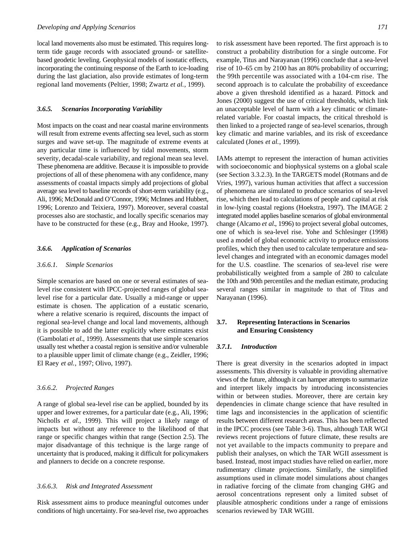local land movements also must be estimated. This requires longterm tide gauge records with associated ground- or satellitebased geodetic leveling. Geophysical models of isostatic effects, incorporating the continuing response of the Earth to ice-loading during the last glaciation, also provide estimates of long-term regional land movements (Peltier, 1998; Zwartz *et al.*, 1999).

#### *3.6.5. Scenarios Incorporating Variability*

Most impacts on the coast and near coastal marine environments will result from extreme events affecting sea level, such as storm surges and wave set-up. The magnitude of extreme events at any particular time is influenced by tidal movements, storm severity, decadal-scale variability, and regional mean sea level. These phenomena are additive. Because it is impossible to provide projections of all of these phenomena with any confidence, many assessments of coastal impacts simply add projections of global average sea level to baseline records of short-term variability (e.g., Ali, 1996; McDonald and O'Connor, 1996; McInnes and Hubbert, 1996; Lorenzo and Teixiera, 1997). Moreover, several coastal processes also are stochastic, and locally specific scenarios may have to be constructed for these (e.g., Bray and Hooke, 1997).

#### *3.6.6. Application of Scenarios*

#### *3.6.6.1. Simple Scenarios*

Simple scenarios are based on one or several estimates of sealevel rise consistent with IPCC-projected ranges of global sealevel rise for a particular date. Usually a mid-range or upper estimate is chosen. The application of a eustatic scenario, where a relative scenario is required, discounts the impact of regional sea-level change and local land movements, although it is possible to add the latter explicitly where estimates exist (Gambolati *et al.*, 1999). Assessments that use simple scenarios usually test whether a coastal region is sensitive and/or vulnerable to a plausible upper limit of climate change (e.g., Zeidler, 1996; El Raey *et al.*, 1997; Olivo, 1997).

#### *3.6.6.2. Projected Ranges*

A range of global sea-level rise can be applied, bounded by its upper and lower extremes, for a particular date (e.g., Ali, 1996; Nicholls *et al.*, 1999). This will project a likely range of impacts but without any reference to the likelihood of that range or specific changes within that range (Section 2.5). The major disadvantage of this technique is the large range of uncertainty that is produced, making it difficult for policymakers and planners to decide on a concrete response.

#### *3.6.6.3. Risk and Integrated Assessment*

Risk assessment aims to produce meaningful outcomes under conditions of high uncertainty. For sea-level rise, two approaches

to risk assessment have been reported. The first approach is to construct a probability distribution for a single outcome. For example, Titus and Narayanan (1996) conclude that a sea-level rise of 10–65 cm by 2100 has an 80% probability of occurring; the 99th percentile was associated with a 104-cm rise. The second approach is to calculate the probability of exceedance above a given threshold identified as a hazard. Pittock and Jones (2000) suggest the use of critical thresholds, which link an unacceptable level of harm with a key climatic or climaterelated variable. For coastal impacts, the critical threshold is then linked to a projected range of sea-level scenarios, through key climatic and marine variables, and its risk of exceedance calculated (Jones *et al.*, 1999).

IAMs attempt to represent the interaction of human activities with socioeconomic and biophysical systems on a global scale (see Section 3.3.2.3). In the TARGETS model (Rotmans and de Vries, 1997), various human activities that affect a succession of phenomena are simulated to produce scenarios of sea-level rise, which then lead to calculations of people and capital at risk in low-lying coastal regions (Hoekstra, 1997). The IMAGE 2 integrated model applies baseline scenarios of global environmental change (Alcamo *et al.*, 1996) to project several global outcomes, one of which is sea-level rise. Yohe and Schlesinger (1998) used a model of global economic activity to produce emissions profiles, which they then used to calculate temperature and sealevel changes and integrated with an economic damages model for the U.S. coastline. The scenarios of sea-level rise were probabilistically weighted from a sample of 280 to calculate the 10th and 90th percentiles and the median estimate, producing several ranges similar in magnitude to that of Titus and Narayanan (1996).

#### **3.7. Representing Interactions in Scenarios and Ensuring Consistency**

#### *3.7.1. Introduction*

There is great diversity in the scenarios adopted in impact assessments. This diversity is valuable in providing alternative views of the future, although it can hamper attempts to summarize and interpret likely impacts by introducing inconsistencies within or between studies. Moreover, there are certain key dependencies in climate change science that have resulted in time lags and inconsistencies in the application of scientific results between different research areas. This has been reflected in the IPCC process (see Table 3-6). Thus, although TAR WGI reviews recent projections of future climate, these results are not yet available to the impacts community to prepare and publish their analyses, on which the TAR WGII assessment is based. Instead, most impact studies have relied on earlier, more rudimentary climate projections. Similarly, the simplified assumptions used in climate model simulations about changes in radiative forcing of the climate from changing GHG and aerosol concentrations represent only a limited subset of plausible atmospheric conditions under a range of emissions scenarios reviewed by TAR WGIII.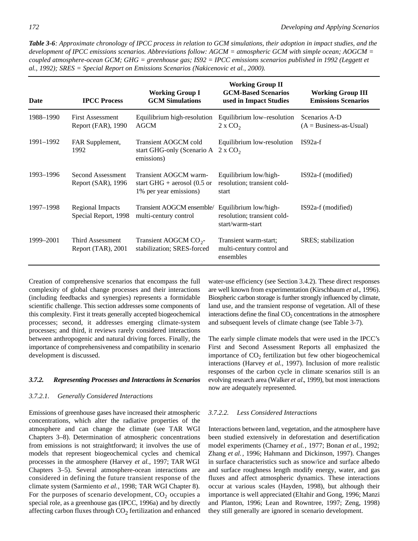| <b>Table 3-6:</b> Approximate chronology of IPCC process in relation to GCM simulations, their adoption in impact studies, and the |
|------------------------------------------------------------------------------------------------------------------------------------|
| development of IPCC emissions scenarios. Abbreviations follow: $AGCM =$ atmospheric GCM with simple ocean; $AOGCM =$               |
| coupled atmosphere-ocean GCM; GHG = greenhouse gas; IS92 = IPCC emissions scenarios published in 1992 (Leggett et                  |
| al., 1992); SRES = Special Report on Emissions Scenarios (Nakicenovic et al., 2000).                                               |

| Date      | <b>IPCC Process</b>                             | <b>Working Group I</b><br><b>GCM Simulations</b>                               | <b>Working Group II</b><br><b>GCM-Based Scenarios</b><br>used in Impact Studies | <b>Working Group III</b><br><b>Emissions Scenarios</b> |
|-----------|-------------------------------------------------|--------------------------------------------------------------------------------|---------------------------------------------------------------------------------|--------------------------------------------------------|
| 1988-1990 | <b>First Assessment</b><br>Report (FAR), 1990   | Equilibrium high-resolution<br><b>AGCM</b>                                     | Equilibrium low-resolution<br>$2 \times CO2$                                    | Scenarios A-D<br>$(A = Business-as-Usual)$             |
| 1991–1992 | FAR Supplement,<br>1992                         | Transient AOGCM cold<br>start GHG-only (Scenario A<br>emissions)               | Equilibrium low-resolution<br>$2 \times CO2$                                    | $IS92a-f$                                              |
| 1993-1996 | Second Assessment<br>Report (SAR), 1996         | Transient AOGCM warm-<br>start GHG + aerosol (0.5 or<br>1% per year emissions) | Equilibrium low/high-<br>resolution; transient cold-<br>start                   | IS92a-f (modified)                                     |
| 1997–1998 | <b>Regional Impacts</b><br>Special Report, 1998 | Transient AOGCM ensemble/<br>multi-century control                             | Equilibrium low/high-<br>resolution; transient cold-<br>start/warm-start        | IS92a-f (modified)                                     |
| 1999–2001 | <b>Third Assessment</b><br>Report (TAR), 2001   | Transient AOGCM $CO_{2}$ -<br>stabilization; SRES-forced                       | Transient warm-start;<br>multi-century control and<br>ensembles                 | SRES; stabilization                                    |

Creation of comprehensive scenarios that encompass the full complexity of global change processes and their interactions (including feedbacks and synergies) represents a formidable scientific challenge. This section addresses some components of this complexity. First it treats generally accepted biogeochemical processes; second, it addresses emerging climate-system processes; and third, it reviews rarely considered interactions between anthropogenic and natural driving forces. Finally, the importance of comprehensiveness and compatibility in scenario development is discussed.

#### *3 . 7 . 2 . Representing Processes and Interactions in Scenarios*

#### *3.7.2.1. Generally Considered Interactions*

Emissions of greenhouse gases have increased their atmospheric concentrations, which alter the radiative properties of the atmosphere and can change the climate (see TAR WGI Chapters 3–8). Determination of atmospheric concentrations from emissions is not straightforward; it involves the use of models that represent biogeochemical cycles and chemical processes in the atmosphere (Harvey *et al.*, 1997; TAR WGI Chapters 3–5). Several atmosphere-ocean interactions are considered in defining the future transient response of the climate system (Sarmiento *et al.*, 1998; TAR WGI Chapter 8). For the purposes of scenario development,  $CO<sub>2</sub>$  occupies a special role, as a greenhouse gas (IPCC, 1996a) and by directly affecting carbon fluxes through  $\mathrm{CO}_2$  fertilization and enhanced

water-use efficiency (see Section 3.4.2). These direct responses are well known from experimentation (Kirschbaum *et al.*, 1996). Biospheric carbon storage is further strongly influenced by climate, land use, and the transient response of vegetation. All of these interactions define the final  $CO<sub>2</sub>$  concentrations in the atmosphere and subsequent levels of climate change (see Table 3-7).

The early simple climate models that were used in the IPCC's First and Second Assessment Reports all emphasized the importance of  $CO<sub>2</sub>$  fertilization but few other biogeochemical interactions (Harvey *et al.*, 1997). Inclusion of more realistic responses of the carbon cycle in climate scenarios still is an evolving research area (Walker *et al.*, 1999), but most interactions now are adequately represented.

#### *3.7.2.2. Less Considered Interactions*

Interactions between land, vegetation, and the atmosphere have been studied extensively in deforestation and desertification model experiments (Charney *et al.*, 1977; Bonan *et al.*, 1992; Zhang *et al.*, 1996; Hahmann and Dickinson, 1997). Changes in surface characteristics such as snow/ice and surface albedo and surface roughness length modify energy, water, and gas fluxes and affect atmospheric dynamics. These interactions occur at various scales (Hayden, 1998), but although their importance is well appreciated (Eltahir and Gong, 1996; Manzi and Planton, 1996; Lean and Rowntree, 1997; Zeng, 1998) they still generally are ignored in scenario development.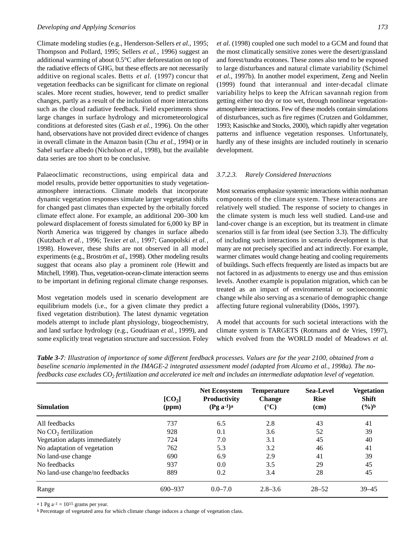Climate modeling studies (e.g., Henderson-Sellers *et al.*, 1995; Thompson and Pollard, 1995; Sellers *et al.*, 1996) suggest an additional warming of about 0.5°C after deforestation on top of the radiative effects of GHG, but these effects are not necessarily additive on regional scales. Betts *et al.* (1997) concur that vegetation feedbacks can be significant for climate on regional scales. More recent studies, however, tend to predict smaller changes, partly as a result of the inclusion of more interactions such as the cloud radiative feedback. Field experiments show large changes in surface hydrology and micrometeorological conditions at deforested sites (Gash *et al.*, 1996). On the other hand, observations have not provided direct evidence of changes in overall climate in the Amazon basin (Chu *et al.*, 1994) or in Sahel surface albedo (Nicholson *et al.,* 1998), but the available data series are too short to be conclusive.

Palaeoclimatic reconstructions, using empirical data and model results, provide better opportunities to study vegetationatmosphere interactions. Climate models that incorporate dynamic vegetation responses simulate larger vegetation shifts for changed past climates than expected by the orbitally forced climate effect alone. For example, an additional 200–300 km poleward displacement of forests simulated for 6,000 ky BP in North America was triggered by changes in surface albedo (Kutzbach *et al.*, 1996; Texier *et al.*, 1997; Ganopolski *et al.*, 1998). However, these shifts are not observed in all model experiments (e.g., Broström *et al.*, 1998). Other modeling results suggest that oceans also play a prominent role (Hewitt and Mitchell, 1998). Thus, vegetation-ocean-climate interaction seems to be important in defining regional climate change responses.

Most vegetation models used in scenario development are equilibrium models (i.e., for a given climate they predict a fixed vegetation distribution). The latest dynamic vegetation models attempt to include plant physiology, biogeochemistry, and land surface hydrology (e.g., Goudriaan *et al.*, 1999), and some explicitly treat vegetation structure and succession. Foley

*et al.* (1998) coupled one such model to a GCM and found that the most climatically sensitive zones were the desert/grassland and forest/tundra ecotones. These zones also tend to be exposed to large disturbances and natural climate variability (Schimel *et al.*, 1997b). In another model experiment, Zeng and Neelin (1999) found that interannual and inter-decadal climate variability helps to keep the African savannah region from getting either too dry or too wet, through nonlinear vegetationatmosphere interactions. Few of these models contain simulations of disturbances, such as fire regimes (Crutzen and Goldammer, 1993; Kasischke and Stocks, 2000), which rapidly alter vegetation patterns and influence vegetation responses. Unfortunately, hardly any of these insights are included routinely in scenario development.

#### *3.7.2.3. Rarely Considered Interactions*

Most scenarios emphasize systemic interactions within nonhuman components of the climate system. These interactions are relatively well studied. The response of society to changes in the climate system is much less well studied. Land-use and land-cover change is an exception, but its treatment in climate scenarios still is far from ideal (see Section 3.3). The difficulty of including such interactions in scenario development is that many are not precisely specified and act indirectly. For example, warmer climates would change heating and cooling requirements of buildings. Such effects frequently are listed as impacts but are not factored in as adjustments to energy use and thus emission levels. Another example is population migration, which can be treated as an impact of environmental or socioeconomic change while also serving as a scenario of demographic change affecting future regional vulnerability (Döös, 1997).

A model that accounts for such societal interactions with the climate system is TARGETS (Rotmans and de Vries, 1997), which evolved from the WORLD model of Meadows *et al.*

| Table 3-7: Illustration of importance of some different feedback processes. Values are for the year 2100, obtained from a         |
|-----------------------------------------------------------------------------------------------------------------------------------|
| baseline scenario implemented in the IMAGE-2 integrated assessment model (adapted from Alcamo et al., 1998a). The no-             |
| feedbacks case excludes $CO2$ fertilization and accelerated ice melt and includes an intermediate adaptation level of vegetation. |

| <b>Simulation</b>                | [CO <sub>2</sub> ]<br>(ppm) | <b>Net Ecosystem</b><br><b>Productivity</b><br>$(Pg a^{-1})^a$ | <b>Temperature</b><br><b>Change</b><br>$({}^{\circ}C)$ | <b>Sea-Level</b><br><b>Rise</b><br>(cm) | <b>Vegetation</b><br><b>Shift</b><br>$(\frac{6}{6})^b$ |
|----------------------------------|-----------------------------|----------------------------------------------------------------|--------------------------------------------------------|-----------------------------------------|--------------------------------------------------------|
| All feedbacks                    | 737                         | 6.5                                                            | 2.8                                                    | 43                                      | 41                                                     |
| No CO <sub>2</sub> fertilization | 928                         | 0.1                                                            | 3.6                                                    | 52                                      | 39                                                     |
| Vegetation adapts immediately    | 724                         | 7.0                                                            | 3.1                                                    | 45                                      | 40                                                     |
| No adaptation of vegetation      | 762                         | 5.3                                                            | 3.2                                                    | 46                                      | 41                                                     |
| No land-use change               | 690                         | 6.9                                                            | 2.9                                                    | 41                                      | 39                                                     |
| No feedbacks                     | 937                         | 0.0                                                            | 3.5                                                    | 29                                      | 45                                                     |
| No land-use change/no feedbacks  | 889                         | 0.2                                                            | 3.4                                                    | 28                                      | 45                                                     |
| Range                            | 690-937                     | $0.0 - 7.0$                                                    | $2.8 - 3.6$                                            | $28 - 52$                               | $39 - 45$                                              |

<sup>a</sup> 1 Pg a<sup>-1</sup> =  $10^{15}$  grams per year.

b Percentage of vegetated area for which climate change induces a change of vegetation class.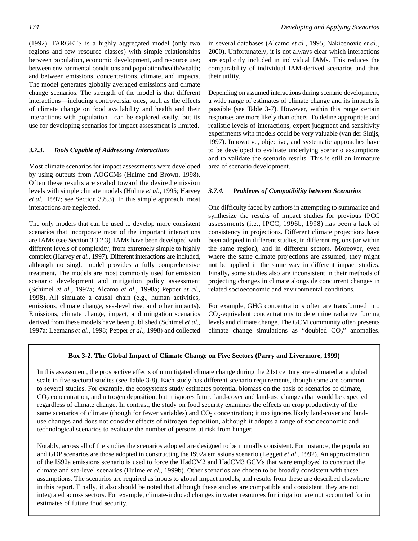(1992). TARGETS is a highly aggregated model (only two regions and few resource classes) with simple relationships between population, economic development, and resource use; between environmental conditions and population/health/wealth; and between emissions, concentrations, climate, and impacts. The model generates globally averaged emissions and climate change scenarios. The strength of the model is that different interactions—including controversial ones, such as the effects of climate change on food availability and health and their interactions with population—can be explored easily, but its use for developing scenarios for impact assessment is limited.

#### *3.7.3. Tools Capable of Addressing Interactions*

Most climate scenarios for impact assessments were developed by using outputs from AOGCMs (Hulme and Brown, 1998). Often these results are scaled toward the desired emission levels with simple climate models (Hulme *et al.*, 1995; Harvey *et al.*, 1997; see Section 3.8.3). In this simple approach, most interactions are neglected.

The only models that can be used to develop more consistent scenarios that incorporate most of the important interactions are IAMs (see Section 3.3.2.3). IAMs have been developed with different levels of complexity, from extremely simple to highly complex (Harvey *et al.*, 1997). Different interactions are included, although no single model provides a fully comprehensive treatment. The models are most commonly used for emission scenario development and mitigation policy assessment (Schimel *et al.*, 1997a; Alcamo *et al.*, 1998a; Pepper *et al.*, 1998). All simulate a causal chain (e.g., human activities, emissions, climate change, sea-level rise, and other impacts). Emissions, climate change, impact, and mitigation scenarios derived from these models have been published (Schimel *et al.*, 1997a; Leemans *et al.*, 1998; Pepper *et al.*, 1998) and collected in several databases (Alcamo *et al.*, 1995; Nakicenovic *et al.*, 2000). Unfortunately, it is not always clear which interactions are explicitly included in individual IAMs. This reduces the comparability of individual IAM-derived scenarios and thus their utility.

Depending on assumed interactions during scenario development, a wide range of estimates of climate change and its impacts is possible (see Table 3-7). However, within this range certain responses are more likely than others. To define appropriate and realistic levels of interactions, expert judgment and sensitivity experiments with models could be very valuable (van der Sluijs, 1997). Innovative, objective, and systematic approaches have to be developed to evaluate underlying scenario assumptions and to validate the scenario results. This is still an immature area of scenario development.

#### *3.7.4. Problems of Compatibility between Scenarios*

One difficulty faced by authors in attempting to summarize and synthesize the results of impact studies for previous IPCC assessments (i.e., IPCC, 1996b, 1998) has been a lack of consistency in projections. Different climate projections have been adopted in different studies, in different regions (or within the same region), and in different sectors. Moreover, even where the same climate projections are assumed, they might not be applied in the same way in different impact studies. Finally, some studies also are inconsistent in their methods of projecting changes in climate alongside concurrent changes in related socioeconomic and environmental conditions.

For example, GHG concentrations often are transformed into  $CO<sub>2</sub>$ -equivalent concentrations to determine radiative forcing levels and climate change. The GCM community often presents climate change simulations as "doubled  $CO_2$ " anomalies.

#### **Box 3-2. The Global Impact of Climate Change on Five Sectors (Parry and Livermore, 1999)**

In this assessment, the prospective effects of unmitigated climate change during the 21st century are estimated at a global scale in five sectoral studies (see Table 3-8). Each study has different scenario requirements, though some are common to several studies. For example, the ecosystems study estimates potential biomass on the basis of scenarios of climate,  $CO<sub>2</sub>$  concentration, and nitrogen deposition, but it ignores future land-cover and land-use changes that would be expected regardless of climate change. In contrast, the study on food security examines the effects on crop productivity of the same scenarios of climate (though for fewer variables) and  $CO_2$  concentration; it too ignores likely land-cover and landuse changes and does not consider effects of nitrogen deposition, although it adopts a range of socioeconomic and technological scenarios to evaluate the number of persons at risk from hunger.

Notably, across all of the studies the scenarios adopted are designed to be mutually consistent. For instance, the population and GDPscenarios are those adopted in constructing the IS92a emissions scenario (Leggett *et al.*, 1992). An approximation of the IS92a emissions scenario is used to force the HadCM2 and HadCM3 GCMs that were employed to construct the climate and sea-level scenarios (Hulme *et al.*, 1999b). Other scenarios are chosen to be broadly consistent with these assumptions. The scenarios are required as inputs to global impact models, and results from these are described elsewhere in this report. Finally, it also should be noted that although these studies are compatible and consistent, they are not integrated across sectors. For example, climate-induced changes in water resources for irrigation are not accounted for in estimates of future food security.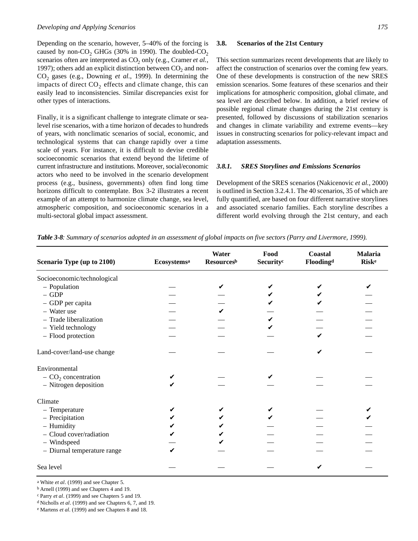Depending on the scenario, however, 5–40% of the forcing is caused by non-CO<sub>2</sub> GHGs (30% in 1990). The doubled-CO<sub>2</sub> scenarios often are interpreted as CO<sub>2</sub> only (e.g., Cramer *et al.*, 1997); others add an explicit distinction between  $CO<sub>2</sub>$  and non-CO<sup>2</sup> gases (e.g., Downing *et al.*, 1999). In determining the impacts of direct  $CO_2$  effects and climate change, this can easily lead to inconsistencies. Similar discrepancies exist for other types of interactions.

Finally, it is a significant challenge to integrate climate or sealevel rise scenarios, with a time horizon of decades to hundreds of years, with nonclimatic scenarios of social, economic, and technological systems that can change rapidly over a time scale of years. For instance, it is difficult to devise credible socioeconomic scenarios that extend beyond the lifetime of current infrastructure and institutions. Moreover, social/economic actors who need to be involved in the scenario development process (e.g., business, governments) often find long time horizons difficult to contemplate. Box 3-2 illustrates a recent example of an attempt to harmonize climate change, sea level, atmospheric composition, and socioeconomic scenarios in a multi-sectoral global impact assessment.

#### **3.8. Scenarios of the 21st Century**

This section summarizes recent developments that are likely to affect the construction of scenarios over the coming few years. One of these developments is construction of the new SRES emission scenarios. Some features of these scenarios and their implications for atmospheric composition, global climate, and sea level are described below. In addition, a brief review of possible regional climate changes during the 21st century is presented, followed by discussions of stabilization scenarios and changes in climate variability and extreme events—key issues in constructing scenarios for policy-relevant impact and adaptation assessments.

#### *3.8.1. SRES Storylines and Emissions Scenarios*

Development of the SRES scenarios (Nakicenovic *et al.,* 2000) is outlined in Section 3.2.4.1. The 40 scenarios, 35 of which are fully quantified, are based on four different narrative storylines and associated scenario families. Each storyline describes a different world evolving through the 21st century, and each

*Table 3-8: Summary of scenarios adopted in an assessment of global impacts on five sectors (Parry and Livermore, 1999).*

| Scenario Type (up to 2100)        | Ecosystemsa | Water<br><b>Resources</b> b | Food<br>Security <sup>c</sup> | Coastal<br>Flooding <sup>d</sup> | <b>Malaria</b><br><b>Risk<sup>e</sup></b> |
|-----------------------------------|-------------|-----------------------------|-------------------------------|----------------------------------|-------------------------------------------|
| Socioeconomic/technological       |             |                             |                               |                                  |                                           |
| - Population                      |             |                             |                               |                                  |                                           |
| $-$ GDP                           |             |                             |                               |                                  |                                           |
| - GDP per capita                  |             |                             |                               |                                  |                                           |
| - Water use                       |             |                             |                               |                                  |                                           |
| - Trade liberalization            |             |                             |                               |                                  |                                           |
| - Yield technology                |             |                             |                               |                                  |                                           |
| - Flood protection                |             |                             |                               | ✓                                |                                           |
| Land-cover/land-use change        |             |                             |                               |                                  |                                           |
| Environmental                     |             |                             |                               |                                  |                                           |
| $-$ CO <sub>2</sub> concentration |             |                             |                               |                                  |                                           |
| - Nitrogen deposition             |             |                             |                               |                                  |                                           |
| Climate                           |             |                             |                               |                                  |                                           |
| $-$ Temperature                   |             |                             |                               |                                  |                                           |
| - Precipitation                   |             |                             |                               |                                  |                                           |
| - Humidity                        |             |                             |                               |                                  |                                           |
| - Cloud cover/radiation           |             |                             |                               |                                  |                                           |
| - Windspeed                       |             |                             |                               |                                  |                                           |
| - Diurnal temperature range       |             |                             |                               |                                  |                                           |
| Sea level                         |             |                             |                               |                                  |                                           |

a White *et al*. (1999) and see Chapter 5.

b Arnell (1999) and see Chapters 4 and 19.

c Parry *et al*. (1999) and see Chapters 5 and 19.

d Nicholls *et al*. (1999) and see Chapters 6, 7, and 19.

e Martens *et al*. (1999) and see Chapters 8 and 18.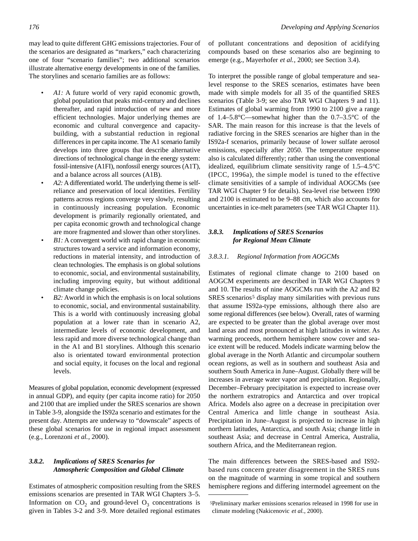may lead to quite different GHG emissions trajectories. Four of the scenarios are designated as "markers," each characterizing one of four "scenario families"; two additional scenarios illustrate alternative energy developments in one of the families. The storylines and scenario families are as follows:

- A1: A future world of very rapid economic growth, global population that peaks mid-century and declines thereafter, and rapid introduction of new and more efficient technologies. Major underlying themes are economic and cultural convergence and capacitybuilding, with a substantial reduction in regional differences in per capita income. The A1 scenario family develops into three groups that describe alternative directions of technological change in the energy system: fossil-intensive (A1FI), nonfossil energy sources (A1T), and a balance across all sources (A1B).
- A2: A differentiated world. The underlying theme is selfreliance and preservation of local identities. Fertility patterns across regions converge very slowly, resulting in continuously increasing population. Economic development is primarily regionally orientated, and per capita economic growth and technological change are more fragmented and slower than other storylines.
- *B1*: A convergent world with rapid change in economic structures toward a service and information economy, reductions in material intensity, and introduction of clean technologies. The emphasis is on global solutions to economic, social, and environmental sustainability, including improving equity, but without additional climate change policies.
- *B 2 :* Aworld in which the emphasis is on local solutions to economic, social, and environmental sustainability. This is a world with continuously increasing global population at a lower rate than in scenario  $A2$ , intermediate levels of economic development, and less rapid and more diverse technological change than in the A1 and B1 storylines. Although this scenario also is orientated toward environmental protection and social equity, it focuses on the local and regional levels.

Measures of global population, economic development (expressed in annual GDP), and equity (per capita income ratio) for 2050 and 2100 that are implied under the SRES scenarios are shown in Table 3-9, alongside the IS92a scenario and estimates for the present day. Attempts are underway to "downscale" aspects of these global scenarios for use in regional impact assessment (e.g., Lorenzoni *et al.*, 2000).

#### *3.8.2. Implications of SRES Scenarios for Atmospheric Composition and Global Climate*

Estimates of atmospheric composition resulting from the SRES emissions scenarios are presented in TAR WGI Chapters 3–5. Information on  $CO_2$  and ground-level  $O_3$  concentrations is given in Tables 3-2 and 3-9. More detailed regional estimates of pollutant concentrations and deposition of acidifying compounds based on these scenarios also are beginning to emerge (e.g., Mayerhofer *et al.*, 2000; see Section 3.4).

To interpret the possible range of global temperature and sealevel response to the SRES scenarios, estimates have been made with simple models for all 35 of the quantified SRES scenarios (Table 3-9; see also TAR WGI Chapters 9 and 11). Estimates of global warming from 1990 to 2100 give a range of 1.4–5.8°C—somewhat higher than the 0.7–3.5°C of the SAR. The main reason for this increase is that the levels of radiative forcing in the SRES scenarios are higher than in the IS92a-f scenarios, primarily because of lower sulfate aerosol emissions, especially after 2050. The temperature response also is calculated differently; rather than using the conventional idealized, equilibrium climate sensitivity range of 1.5–4.5°C  $(IPCC, 1996a)$ , the simple model is tuned to the effective climate sensitivities of a sample of individual AOGCMs (see TAR WGI Chapter 9 for details). Sea-level rise between 1990 and 2100 is estimated to be 9–88 cm, which also accounts for uncertainties in ice-melt parameters (see TAR WGI Chapter 11).

#### *3.8.3. Implications of SRES Scenarios for Regional Mean Climate*

#### *3.8.3.1. Regional Information from AOGCMs*

Estimates of regional climate change to 2100 based on AOGCM experiments are described in TAR WGI Chapters 9 and 10. The results of nine AOGCMs run with the A2 and B2 SRES scenarios<sup>5</sup> display many similarities with previous runs that assume IS92a-type emissions, although there also are some regional differences (see below). Overall, rates of warming are expected to be greater than the global average over most land areas and most pronounced at high latitudes in winter. As warming proceeds, northern hemisphere snow cover and seaice extent will be reduced. Models indicate warming below the global average in the North Atlantic and circumpolar southern ocean regions, as well as in southern and southeast Asia and southern South America in June–August. Globally there will be increases in average water vapor and precipitation. Regionally, December–February precipitation is expected to increase over the northern extratropics and Antarctica and over tropical Africa. Models also agree on a decrease in precipitation over Central America and little change in southeast Asia. Precipitation in June–August is projected to increase in high northern latitudes, Antarctica, and south Asia; change little in southeast Asia; and decrease in Central America, Australia, southern Africa, and the Mediterranean region.

The main differences between the SRES-based and IS92 based runs concern greater disagreement in the SRES runs on the magnitude of warming in some tropical and southern hemisphere regions and differing intermodel agreement on the

<sup>5</sup>Preliminary marker emissions scenarios released in 1998 for use in climate modeling (Nakicenovic *et al.*, 2000).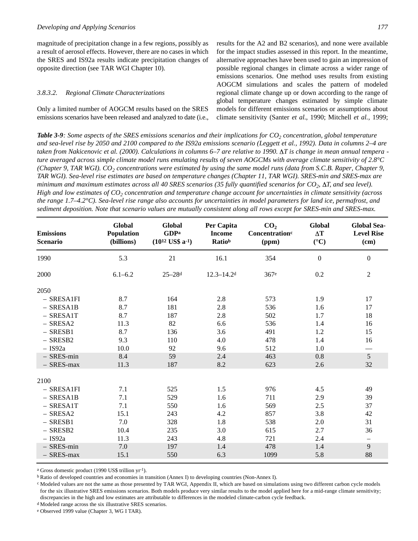magnitude of precipitation change in a few regions, possibly as a result of aerosol effects. However, there are no cases in which the SRES and IS92a results indicate precipitation changes of opposite direction (see TAR WGI Chapter 10).

#### *3.8.3.2. Regional Climate Characterizations*

Only a limited number of AOGCM results based on the SRES emissions scenarios have been released and analyzed to date (i.e., results for the A2 and B2 scenarios), and none were available for the impact studies assessed in this report. In the meantime, alternative approaches have been used to gain an impression of possible regional changes in climate across a wider range of emissions scenarios. One method uses results from existing AOGCM simulations and scales the pattern of modeled regional climate change up or down according to the range of global temperature changes estimated by simple climate models for different emissions scenarios or assumptions about climate sensitivity (Santer *et al.*, 1990; Mitchell *et al.*, 1999;

*Table 3-9: Some aspects of the SRES emissions scenarios and their implications for CO<sup>2</sup> concentration, global temperature and sea-level rise by 2050 and 2100 compared to the IS92a emissions scenario (Leggett et al., 1992). Data in columns 2–4 are taken from Nakicenovic et al. (2000). Calculations in columns 6–7 are relative to 1990. T is change in mean annual tempera ture averaged across simple climate model runs emulating results of seven AOGCMs with average climate sensitivity of 2.8°C (Chapter 9, TAR WGI). CO<sup>2</sup> concentrations were estimated by using the same model runs (data from S.C.B. Raper, Chapter 9, TAR WGI). Sea-level rise estimates are based on temperature changes (Chapter 11, TAR WGI). SRES-min and SRES-max are minimum and maximum estimates across all 40 SRES scenarios (35 fully quantified scenarios for CO<sup>2</sup> , T, and sea level). High and low estimates of CO<sup>2</sup> concentration and temperature change account for uncertainties in climate sensitivity (across the range 1.7–4.2°C). Sea-level rise range also accounts for uncertainties in model parameters for land ice, permafrost, and sediment deposition. Note that scenario values are mutually consistent along all rows except for SRES-min and SRES-max.*

| <b>Emissions</b><br><b>Scenario</b> | Global<br>Population<br>(billions) | Global<br><b>GDP</b> a<br>$(10^{12}$ US\$ a <sup>-1</sup> ) | Per Capita<br><b>Income</b><br><b>Ratiob</b> | CO <sub>2</sub><br>Concentration <sup>c</sup><br>(ppm) | Global<br>$\Delta {\bf T}$<br>$({}^{\circ}C)$ | <b>Global Sea-</b><br><b>Level Rise</b><br>(cm) |
|-------------------------------------|------------------------------------|-------------------------------------------------------------|----------------------------------------------|--------------------------------------------------------|-----------------------------------------------|-------------------------------------------------|
| 1990                                | 5.3                                | 21                                                          | 16.1                                         | 354                                                    | $\boldsymbol{0}$                              | $\boldsymbol{0}$                                |
| 2000                                | $6.1 - 6.2$                        | $25 - 28$ d                                                 | $12.3 - 14.2d$                               | 367e                                                   | 0.2                                           | $\overline{c}$                                  |
| 2050                                |                                    |                                                             |                                              |                                                        |                                               |                                                 |
| $-$ SRESA1FI                        | 8.7                                | 164                                                         | 2.8                                          | 573                                                    | 1.9                                           | 17                                              |
| $-$ SRESA1B                         | 8.7                                | 181                                                         | 2.8                                          | 536                                                    | 1.6                                           | 17                                              |
| $-$ SRESA1T                         | 8.7                                | 187                                                         | 2.8                                          | 502                                                    | 1.7                                           | 18                                              |
| $-$ SRESA2                          | 11.3                               | 82                                                          | 6.6                                          | 536                                                    | 1.4                                           | 16                                              |
| $-$ SRESB1                          | 8.7                                | 136                                                         | 3.6                                          | 491                                                    | 1.2                                           | 15                                              |
| $-$ SRESB2                          | 9.3                                | 110                                                         | 4.0                                          | 478                                                    | 1.4                                           | 16                                              |
| $-$ IS92a                           | 10.0                               | 92                                                          | 9.6                                          | 512                                                    | 1.0                                           |                                                 |
| $-$ SRES-min                        | 8.4                                | 59                                                          | 2.4                                          | 463                                                    | 0.8                                           | 5                                               |
| - SRES-max                          | 11.3                               | 187                                                         | 8.2                                          | 623                                                    | 2.6                                           | 32                                              |
| 2100                                |                                    |                                                             |                                              |                                                        |                                               |                                                 |
| $-$ SRESA1FI                        | 7.1                                | 525                                                         | 1.5                                          | 976                                                    | 4.5                                           | 49                                              |
| $-$ SRESA1B                         | 7.1                                | 529                                                         | 1.6                                          | 711                                                    | 2.9                                           | 39                                              |
| $-$ SRESA1T                         | 7.1                                | 550                                                         | 1.6                                          | 569                                                    | 2.5                                           | 37                                              |
| $-$ SRESA2                          | 15.1                               | 243                                                         | 4.2                                          | 857                                                    | 3.8                                           | 42                                              |
| $-$ SRESB1                          | 7.0                                | 328                                                         | 1.8                                          | 538                                                    | 2.0                                           | 31                                              |
| $-$ SRESB2                          | 10.4                               | 235                                                         | 3.0                                          | 615                                                    | 2.7                                           | 36                                              |
| $-$ IS92a                           | 11.3                               | 243                                                         | 4.8                                          | 721                                                    | 2.4                                           | $\overline{\phantom{m}}$                        |
| - SRES-min                          | 7.0                                | 197                                                         | 1.4                                          | 478                                                    | 1.4                                           | $\overline{9}$                                  |
| - SRES-max                          | 15.1                               | 550                                                         | 6.3                                          | 1099                                                   | 5.8                                           | 88                                              |
|                                     |                                    |                                                             |                                              |                                                        |                                               |                                                 |

a Gross domestic product (1990 US\$ trillion yr-1).

b Ratio of developed countries and economies in transition (Annex I) to developing countries (Non-Annex I).

c Modeled values are not the same as those presented by TAR WGI, Appendix II, which are based on simulations using two different carbon cycle models for the six illustrative SRES emissions scenarios. Both models produce very similar results to the model applied here for a mid-range climate sensitivity; discrepancies in the high and low estimates are attributable to differences in the modeled climate-carbon cycle feedback.

d Modeled range across the six illustrative SRES scenarios.

e Observed 1999 value (Chapter 3, WG I TAR).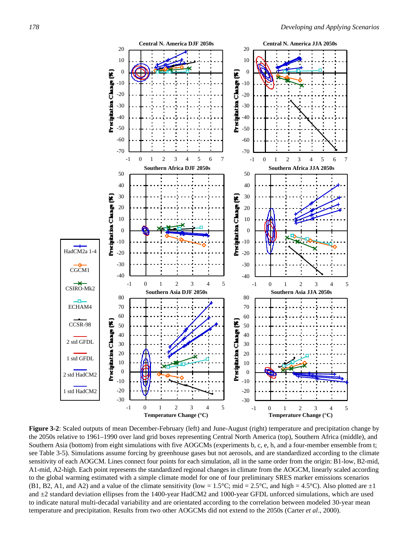

**Figure 3-2**: Scaled outputs of mean December-February (left) and June-August (right) temperature and precipitation change by the 2050s relative to 1961–1990 over land grid boxes representing Central North America (top), Southern Africa (middle), and Southern Asia (bottom) from eight simulations with five AOGCMs (experiments b, c, e, h, and a four-member ensemble from t; see Table 3-5). Simulations assume forcing by greenhouse gases but not aerosols, and are standardized according to the climate sensitivity of each AOGCM. Lines connect four points for each simulation, all in the same order from the origin: B1-low, B2-mid, A1-mid, A2-high. Each point represents the standardized regional changes in climate from the AOGCM, linearly scaled according to the global warming estimated with a simple climate model for one of four preliminary SRES marker emissions scenarios (B1, B2, A1, and A2) and a value of the climate sensitivity (low = 1.5°C; mid = 2.5°C, and high = 4.5°C). Also plotted are  $\pm 1$ and  $\pm 2$  standard deviation ellipses from the 1400-year HadCM2 and 1000-year GFDL unforced simulations, which are used to indicate natural multi-decadal variability and are orientated according to the correlation between modeled 30-year mean temperature and precipitation. Results from two other AOGCMs did not extend to the 2050s (Carter *et al.*, 2000).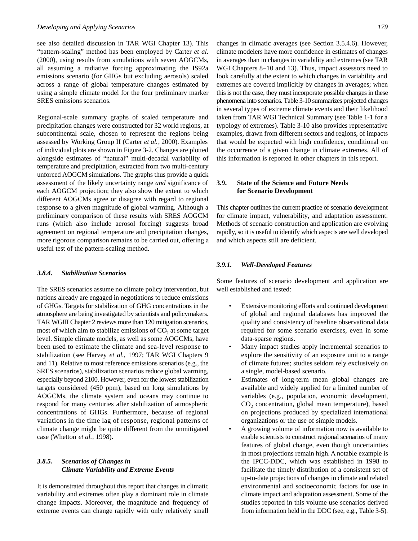see also detailed discussion in TAR WGI Chapter 13). This "pattern-scaling" method has been employed by Carter *et al.* (2000), using results from simulations with seven AOGCMs, all assuming a radiative forcing approximating the IS92a emissions scenario (for GHGs but excluding aerosols) scaled across a range of global temperature changes estimated by using a simple climate model for the four preliminary marker SRES emissions scenarios.

Regional-scale summary graphs of scaled temperature and precipitation changes were constructed for 32 world regions, at subcontinental scale, chosen to represent the regions being assessed by Working Group II (Carter *et al.*, 2000). Examples of individual plots are shown in Figure 3-2. Changes are plotted alongside estimates of "natural" multi-decadal variability of temperature and precipitation, extracted from two multi-century unforced AOGCM simulations. The graphs thus provide a quick assessment of the likely uncertainty range *and* significance of each AOGCM projection; they also show the extent to which different AOGCMs agree or disagree with regard to regional response to a given magnitude of global warming. Although a preliminary comparison of these results with SRES AOGCM runs (which also include aerosol forcing) suggests broad agreement on regional temperature and precipitation changes, more rigorous comparison remains to be carried out, offering a useful test of the pattern-scaling method.

#### *3.8.4. Stabilization Scenarios*

The SRES scenarios assume no climate policy intervention, but nations already are engaged in negotiations to reduce emissions of GHGs. Targets for stabilization of GHG concentrations in the atmosphere are being investigated by scientists and policymakers. TAR WGIII Chapter 2 reviews more than 120 mitigation scenarios, most of which aim to stabilize emissions of  $CO<sub>2</sub>$  at some target level. Simple climate models, as well as some AOGCMs, have been used to estimate the climate and sea-level response to stabilization (see Harvey *et al.*, 1997; TAR WGI Chapters 9 and 11). Relative to most reference emissions scenarios (e.g., the SRES scenarios), stabilization scenarios reduce global warming, especially beyond 2100. However, even for the lowest stabilization targets considered (450 ppm), based on long simulations by AOGCMs, the climate system and oceans may continue to respond for many centuries after stabilization of atmospheric concentrations of GHGs. Furthermore, because of regional variations in the time lag of response, regional patterns of climate change might be quite different from the unmitigated case (Whetton *et al.*, 1998).

#### *3.8.5. Scenarios of Changes in Climate Variability and Extreme Events*

It is demonstrated throughout this report that changes in climatic variability and extremes often play a dominant role in climate change impacts. Moreover, the magnitude and frequency of extreme events can change rapidly with only relatively small changes in climatic averages (see Section 3.5.4.6). However, climate modelers have more confidence in estimates of changes in averages than in changes in variability and extremes (see TAR WGI Chapters 8–10 and 13). Thus, impact assessors need to look carefully at the extent to which changes in variability and extremes are covered implicitly by changes in averages; when this is not the case, they must incorporate possible changes in these phenomena into scenarios. Table 3-10 summarizes projected changes in several types of extreme climate events and their likelihood taken from TAR WGI Technical Summary (see Table 1-1 for a typology of extremes). Table 3-10 also provides representative examples, drawn from different sectors and regions, of impacts that would be expected with high confidence, conditional on the occurrence of a given change in climate extremes. All of this information is reported in other chapters in this report.

#### **3.9. State of the Science and Future Needs for Scenario Development**

This chapter outlines the current practice of scenario development for climate impact, vulnerability, and adaptation assessment. Methods of scenario construction and application are evolving rapidly, so it is useful to identify which aspects are well developed and which aspects still are deficient.

#### *3.9.1. Well-Developed Features*

Some features of scenario development and application are well established and tested:

- Extensive monitoring efforts and continued development of global and regional databases has improved the quality and consistency of baseline observational data required for some scenario exercises, even in some data-sparse regions.
- Many impact studies apply incremental scenarios to explore the sensitivity of an exposure unit to a range of climate futures; studies seldom rely exclusively on a single, model-based scenario.
- Estimates of long-term mean global changes are available and widely applied for a limited number of variables (e.g., population, economic development, CO<sup>2</sup> concentration, global mean temperature), based on projections produced by specialized international organizations or the use of simple models.
- A growing volume of information now is available to enable scientists to construct regional scenarios of many features of global change, even though uncertainties in most projections remain high. A notable example is the IPCC-DDC, which was established in 1998 to facilitate the timely distribution of a consistent set of up-to-date projections of changes in climate and related environmental and socioeconomic factors for use in climate impact and adaptation assessment. Some of the studies reported in this volume use scenarios derived from information held in the DDC (see, e.g., Table 3-5).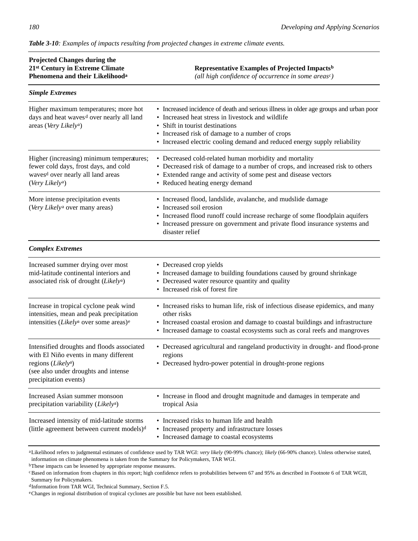| <b>Projected Changes during the</b><br>21st Century in Extreme Climate<br>Phenomena and their Likelihood <sup>a</sup>                                                     | Representative Examples of Projected Impacts <sup>b</sup><br>(all high confidence of occurrence in some areasc)                                                                                                                                                                                               |  |  |
|---------------------------------------------------------------------------------------------------------------------------------------------------------------------------|---------------------------------------------------------------------------------------------------------------------------------------------------------------------------------------------------------------------------------------------------------------------------------------------------------------|--|--|
| <b>Simple Extremes</b>                                                                                                                                                    |                                                                                                                                                                                                                                                                                                               |  |  |
| Higher maximum temperatures; more hot<br>days and heat waves <sup>d</sup> over nearly all land<br>areas (Very Likelya)                                                    | • Increased incidence of death and serious illness in older age groups and urban poor<br>• Increased heat stress in livestock and wildlife<br>• Shift in tourist destinations<br>• Increased risk of damage to a number of crops<br>• Increased electric cooling demand and reduced energy supply reliability |  |  |
| Higher (increasing) minimum temperatures;<br>fewer cold days, frost days, and cold<br>waves <sup>d</sup> over nearly all land areas<br>(Very Likelya)                     | • Decreased cold-related human morbidity and mortality<br>• Decreased risk of damage to a number of crops, and increased risk to others<br>• Extended range and activity of some pest and disease vectors<br>• Reduced heating energy demand                                                                  |  |  |
| More intense precipitation events<br>(Very Likely <sup>a</sup> over many areas)                                                                                           | • Increased flood, landslide, avalanche, and mudslide damage<br>• Increased soil erosion<br>• Increased flood runoff could increase recharge of some floodplain aquifers<br>• Increased pressure on government and private flood insurance systems and<br>disaster relief                                     |  |  |
| <b>Complex Extremes</b>                                                                                                                                                   |                                                                                                                                                                                                                                                                                                               |  |  |
| Increased summer drying over most<br>mid-latitude continental interiors and<br>associated risk of drought (Likely <sup>a</sup> )                                          | • Decreased crop yields<br>• Increased damage to building foundations caused by ground shrinkage<br>• Decreased water resource quantity and quality<br>• Increased risk of forest fire                                                                                                                        |  |  |
| Increase in tropical cyclone peak wind<br>intensities, mean and peak precipitation<br>intensities (Likely <sup>a</sup> over some areas) <sup>e</sup>                      | • Increased risks to human life, risk of infectious disease epidemics, and many<br>other risks<br>• Increased coastal erosion and damage to coastal buildings and infrastructure<br>• Increased damage to coastal ecosystems such as coral reefs and mangroves                                                |  |  |
| Intensified droughts and floods associated<br>with El Niño events in many different<br>regions (Likelya)<br>(see also under droughts and intense<br>precipitation events) | • Decreased agricultural and rangeland productivity in drought- and flood-prone<br>regions<br>Decreased hydro-power potential in drought-prone regions                                                                                                                                                        |  |  |
| Increased Asian summer monsoon<br>precipitation variability (Likely <sup>a</sup> )                                                                                        | • Increase in flood and drought magnitude and damages in temperate and<br>tropical Asia                                                                                                                                                                                                                       |  |  |
| Increased intensity of mid-latitude storms<br>(little agreement between current models) <sup>d</sup>                                                                      | • Increased risks to human life and health<br>• Increased property and infrastructure losses<br>• Increased damage to coastal ecosystems                                                                                                                                                                      |  |  |
|                                                                                                                                                                           | udomental estimates of confidence used by TAD WGL; very likely (00,00% chance); likely (66,00% chance). Unless                                                                                                                                                                                                |  |  |

### *Table 3-10: Examples of impacts resulting from projected changes in extreme climate events.*

aLikelihood refers to judgmental estimates of confidence used by TAR WGI: *very likely* (90-99% chance); *likely* (66-90% chance). Unless otherwise stated, information on climate phenomena is taken from the Summary for Policymakers, TAR WGI.

bThese impacts can be lessened by appropriate response measures.

cBased on information from chapters in this report; high confidence refers to probabilities between 67 and 95% as described in Footnote 6 of TAR WGII, Summary for Policymakers.

dInformation from TAR WGI, Technical Summary, Section F.5.

eChanges in regional distribution of tropical cyclones are possible but have not been established.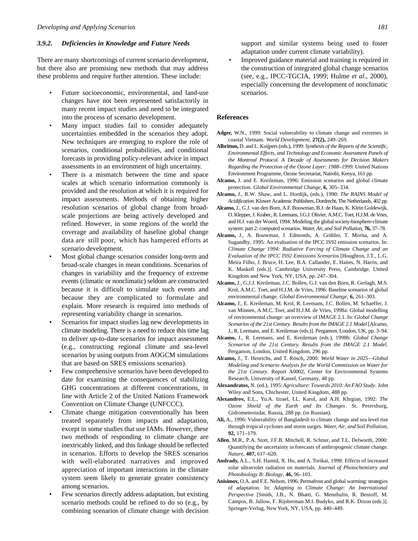#### *3.9.2. Deficiencies in Knowledge and Future Needs*

There are many shortcomings of current scenario development, but there also are promising new methods that may address these problems and require further attention. These include:

- Future socioeconomic, environmental, and land-use changes have not been represented satisfactorily in many recent impact studies and need to be integrated into the process of scenario development.
- Many impact studies fail to consider adequately uncertainties embedded in the scenarios they adopt. New techniques are emerging to explore the role of scenarios, conditional probabilities, and conditional forecasts in providing policy-relevant advice in impact assessments in an environment of high uncertainty.
- There is a mismatch between the time and space scales at which scenario information commonly is provided and the resolution at which it is required for impact assessments. Methods of obtaining higher resolution scenarios of global change from broadscale projections are being actively developed and refined. However, in some regions of the world the coverage and availability of baseline global change data are still poor, which has hampered efforts at scenario development.
- Most global change scenarios consider long-term and broad-scale changes in mean conditions. Scenarios of changes in variability and the frequency of extreme events (climatic or nonclimatic) seldom are constructed because it is difficult to simulate such events and because they are complicated to formulate and explain. More research is required into methods of representing variability change in scenarios.
- Scenarios for impact studies lag new developments in climate modeling. There is a need to reduce this time lag to deliver up-to-date scenarios for impact assessment (e.g., constructing regional climate and sea-level scenarios by using outputs from AOGCM simulations that are based on SRES emissions scenarios).
- Few comprehensive scenarios have been developed to date for examining the consequences of stabilizing GHG concentrations at different concentrations, in line with Article 2 of the United Nations Framework Convention on Climate Change (UNFCCC).
- Climate change mitigation conventionally has been treated separately from impacts and adaptation, except in some studies that use IAMs. However, these two methods of responding to climate change are inextricably linked, and this linkage should be reflected in scenarios. Efforts to develop the SRES scenarios with well-elaborated narratives and improved appreciation of important interactions in the climate system seem likely to generate greater consistency among scenarios.
- Few scenarios directly address adaptation, but existing scenario methods could be refined to do so (e.g., by combining scenarios of climate change with decision

support and similar systems being used to foster adaptation under current climate variability).

• Improved guidance material and training is required in the construction of integrated global change scenarios (see, e.g., IPCC-TGCIA, 1999; Hulme *et al.*, 2000), especially concerning the development of nonclimatic scenarios.

#### **References**

- **Adger,** W.N., 1999: Social vulnerability to climate change and extremes in coastal Vietnam. *World Development*, **27(2),** 249–269.
- Albritton, D. and L. Kuijpers (eds.), 1999: *Synthesis of the Reports of the Scientific*, *E n v i ronmental Effects, and Technology and Economic Assessment Panels of the Montreal Protocol. A Decade of Assessments for Decision Makers Regarding the Protection of the Ozone Layer: 1988–1999*. United Nations Environment Programme, Ozone Secretariat, Nairobi, Kenya, 161 pp.
- **Alcamo,** J. and E. Kreileman, 1996: Emission scenarios and global climate protection. *Global Environmental Change*, **6,** 305–334.
- **Alcamo,** J., R.W. Shaw, and L. Hordijk, (eds.), 1990: *The RAINS Model of Acidification*. Kluwer Academic Publishers, Dordrecht, The Netherlands, 402 pp.
- Alcamo, J., G.J. van den Born, A.F. Bouwman, B.J. de Haan, K. Klein Goldewijk, O. Klepper, J. Krabec, R. Leemans, J.G.J. Olivier, A.M.C. Toet, H.J.M. de Vries, and H.J. van der Woerd, 1994: Modeling the global society-biosphere-climate system: part 2: computed scenarios. *Water, Air, and Soil Pollution*, **76**, 37–78.
- **Alcamo,** J., A. Bouwman, J. Edmonds, A. Grübler, T. Morita, and A. Sugandhy, 1995: An evaluation of the IPCC IS92 emission scenarios. In: *Climate Change 1994: Radiative Forcing of Climate Change and an Evaluation of the IPCC IS92 Emissions Scenarios* [Houghton, J.T., L.G. Meira Filho, J. Bruce, H. Lee, B.A. Callander, E. Haites, N. Harris, and K. Maskell (eds.)]. Cambridge University Press, Cambridge, United Kingdom and New York, NY, USA, pp. 247–304.
- **Alcamo,** J., G.J.J. Kreileman, J.C. Bollen, G.J. van den Born, R. Gerlagh, M.S. Krol, A.M.C. Toet, and H.J.M. de Vries, 1996: Baseline scenarios of global environmental change. *Global Environmental Change*, **6,** 261–303.
- **Alcamo,** J., E. Kreileman, M. Krol, R. Leemans, J.C. Bollen, M. Schaeffer, J. van Minnen, A.M.C. Toet, and H.J.M. de Vries, 1998a: Global modelling of environmental change: an overview of IMAGE 2.1. In: *Global Change Scenarios of the 21st Century. Results from the IMAGE 2.1 Model* [Alcamo, J., R. Leemans, and E. Kreileman (eds.)]. Pergamon, London, UK, pp. 3–94.
- **Alcamo,** J., R. Leemans, and E. Kreileman (eds.), 1998b: *Global Change Scenarios of the 21st Century. Results from the IMAGE 2.1 Model*. Pergamon, London, United Kingdom, 296 pp.
- **Alcamo,** J., T. Henrichs, and T. Rösch, 2000: *World Water in 2025—Global Modeling and Scenario Analysis for the World Commission on Water for the 21st Century*. Report A0002, Center for Environmental Systems Research, University of Kassel, Germany, 48 pp.
- **Alexandratos,** N. (ed.), 1995: *Agriculture: Towards 2010: An FAO Study*. John Wiley and Sons, Chichester, United Kingdom, 488 pp.
- **Alexandrov,** E.L., Yu.A. Izrael, I.L. Karol, and A.H. Khrgian, 1992: *The Ozone Shield of the Earth and Its Changes*. St. Petersburg, Gidrometeoizdat, Russia, 288 pp. (in Russian).
- **Ali,** A., 1996: Vulnerability of Bangladesh to climate change and sea level rise through tropical cyclones and storm surges. *Water, Air, and Soil Pollution*, **92,** 171–179.
- **Allen**, M.R., P.A. Stott, J.F.B. Mitchell, R. Schnur, and T.L. Delworth, 2000: Quantifying the uncertainty in forecasts of anthropogenic climate change. *Nature*, **407,** 617–620.
- **Andrady,** A.L., S.H. Hamid, X. Hu, and A. Torikai, 1998: Effects of increased solar ultraviolet radiation on materials. *Journal of Photochemistry and Photobiology B: Biology*, **46,** 96–103.
- Anisimov, O.A. and F.E. Nelson, 1996: Permafrost and global warming: strategies of adaptation. In: *Adapting to Climate Change: An International Perspective* [Smith, J.B., N. Bhatti, G. Menzhulin, R. Benioff, M. Campos, B. Jallow, F. Rijsberman M.I. Budyko, and R.K. Dixon (eds.)]. Springer-Verlag, New York, NY, USA, pp. 440–449.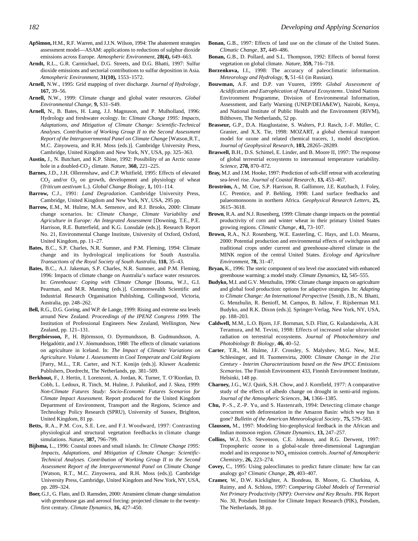- ApSimon, H.M., R.F. Warren, and J.J.N. Wilson, 1994: The abatement strategies assessment model—ASAM: applications to reductions of sulphur dioxide emissions across Europe. *Atmospheric Environment*, **28(4),** 649–663.
- **Arndt,** R.L., G.R. Carmichael, D.G. Streets, and D.G. Bhatti, 1997: Sulfur dioxide emissions and sectorial contributions to sulfur deposition in Asia. *Atmospheric Environment*, **31(10),** 1553–1572.
- **Arnell,** N.W., 1995: Grid mapping of river discharge. *Journal of Hydrology*, **167,** 39–56.
- **Arnell,** N.W., 1999: Climate change and global water resources. *Global Environmental Change*, **9,** S31–S49.
- **Arnell,** N., B. Bates, H. Lang, J.J. Magnuson, and P. Mulholland, 1996: Hydrology and freshwater ecology. In: *Climate Change 1995: Impacts, Adaptations, and Mitigation of Climate Change: Scientific-Technical Analyses. Contribution of Working Group II to the Second Assessment Report of the Intergovernmental Panel on Climate Change* [Watson, R.T., M.C. Zinyowera, and R.H. Moss (eds.)]. Cambridge University Press, Cambridge, United Kingdom and New York, NY, USA, pp. 325–363.
- **Austin,** J., N. Butchart, and K.P. Shine, 1992: Possibility of an Arctic ozone hole in a doubled-CO<sub>2</sub> climate. *Nature*, **360**, 221–225.
- **Barnes,** J.D., J.H. Ollerenshaw, and C.P. Whitfield, 1995: Effects of elevated  $CO<sub>2</sub>$  and/or  $O<sub>3</sub>$  on growth, development and physiology of wheat (*Triticum aestivum* L.). *Global Change Biology*, **1,** 101–114.
- Barrow, C.J., 1991: *Land Degradation*. Cambridge University Press, Cambridge, United Kingdom and New York, NY, USA, 295 pp.
- **Barrow,** E.M., M. Hulme, M.A. Semenov, and R.J. Brooks, 2000: Climate change scenarios. In: *Climate Change, Climate Variability and Agriculture in Europe: An Integrated Assessment* [Downing, T.E., P.E. Harrison, R.E. Butterfield, and K.G. Lonsdale (eds.)]. Research Report No. 21, Environmental Change Institute, University of Oxford, Oxford, United Kingdom, pp. 11–27.
- **Bates,** B.C., S.P. Charles, N.R. Sumner, and P.M. Fleming, 1994: Climate change and its hydrological implications for South Australia. *Transactions of the Royal Society of South Australia*, **118,** 35–43.
- **Bates,** B.C., A.J. Jakeman, S.P. Charles, N.R. Summer, and P.M. Fleming, 1996: Impacts of climate change on Australia's surface water resources. In: *Greenhouse: Coping with Climate Change* [Bouma, W.J., G.I. Pearman, and M.R. Manning (eds.)]. Commonwealth Scientific and Industrial Research Organisation Publishing, Collingwood, Victoria, Australia, pp. 248–262.
- Bell, R.G., D.G. Goring, and W.P. de Lange, 1999: Rising and extreme sea levels around New Zealand. *Proceedings of the IPENZ Congress 1999*. The Institution of Professional Engineers New Zealand, Wellington, New Zealand, pp. 121–131.
- **Bergthórsson,** P., H. Björnsson, O. Dyrmundsson, B. Gudmundsson, A. Helgadóttir, and J.V. Jónmundsson, 1988: The effects of climatic variations on agriculture in Iceland. In: *The Impact of Climatic Variations on Agriculture. Volume 1. Assessments in Cool Temperate and Cold Regions* [Parry, M.L., T.R. Carter, and N.T. Konijn (eds.)]. Kluwer Academic Publishers, Dordrecht, The Netherlands, pp. 381–509.
- **Berkhout,** F., J. Hertin, I. Lorenzoni, A. Jordan, K. Turner, T. O'Riordan, D. Cobb, L. Ledoux, R. Tinch, M. Hulme, J. Palutikof, and J. Skea, 1999: *Non-Climate Futures Study: Socio-Economic Futures Scenarios for Climate Impact Assessment*. Report produced for the United Kingdom Department of Environment, Transport and the Regions, Science and Technology Policy Research (SPRU), University of Sussex, Brighton, United Kingdom, 81 pp.
- Betts, R.A., P.M. Cox, S.E. Lee, and F.I. Woodward, 1997: Contrasting physiological and structural vegetation feedbacks in climate change simulations. *Nature*, 387, 796-799.
- **Bijlsma,** L., 1996: Coastal zones and small islands. In: *Climate Change 1995: Impacts, Adaptations, and Mitigation of Climate Change: Scientific-Technical Analyses. Contribution of Working Group II to the Second Assessment Report of the Intergovernmental Panel on Climate Change* [Watson, R.T., M.C. Zinyowera, and R.H. Moss (eds.)]. Cambridge University Press, Cambridge, United Kingdom and New York, NY, USA, pp. 289–324.
- Boer, G.J., G. Flato, and D. Ramsden, 2000: Atransient climate change simulation with greenhouse gas and aerosol forcing: projected climate to the twentyfirst century. *Climate Dynamics*, **16,** 427–450.
- **Bonan,** G.B., 1997: Effects of land use on the climate of the United States. *Climatic Change*, **37,** 449–486.
- **Bonan,** G.B., D. Pollard, and S.L. Thompson, 1992: Effects of boreal forest vegetation on global climate. *Nature*, **359,** 716–718.
- **Borzenkova,** I.I., 1998: The accuracy of paleoclimatic information. *Meteorology and Hydrology*, **9,** 51–61 (in Russian).
- **Bouwman,** A.F. and D.P. van Vuuren, 1999: *Global Assessment of Acidification and Eutrophication of Natural Ecosystems*. United Nations Environment Programme, Division of Environmental Information, Assessment, and Early Warning (UNEP/DEIA&EW), Nairobi, Kenya, and National Institute of Public Health and the Environment (RIVM), Bilthoven, The Netherlands, 52 pp.
- **Brasseur,** G.P., D.A. Hauglustaine, S. Walters, P.J. Rasch, J.-F. Müller, C. Granier, and X.X. Tie, 1998: MOZART, a global chemical transport model for ozone and related chemical tracers, 1, model description. *Journal of Geophysical Research*, **103,** 28265–28289.
- **Braswell,** B.H., D.S. Schimel, E. Linder, and B. Moore II, 1997: The response of global terrestrial ecosystems to interannual temperature variability. *Science*, **278,** 870–872.
- Bray, M.J. and J.M. Hooke, 1997: Prediction of soft-cliff retreat with accelerating sea-level rise. *Journal of Coastal Research*, **13,** 453–467.
- **Broström,** A., M. Coe, S.P. Harrison, R. Gallimore, J.E. Kutzbach, J. Foley, I.C. Prentice, and P. Behling, 1998: Land surface feedbacks and palaeomonsoons in northern Africa*. Geophysical Research Letters*, **25,** 3615–3618.
- Brown, R.A. and N.J. Rosenberg, 1999: Climate change impacts on the potential productivity of corn and winter wheat in their primary United States growing regions. *Climatic Change*, **41,** 73–107.
- **Brown,** R.A., N.J. Rosenberg, W.E. Easterling, C. Hays, and L.O. Mearns, 2000: Potential production and environmental effects of switchgrass and traditional crops under current and greenhouse-altered climate in the MINK region of the central United States. *Ecology and Agriculture Environment*, **78,** 31–47.
- Bryan, K., 1996: The steric component of sea level rise associated with enhanced greenhouse warming: a model study. *Climate Dynamics*, 12, 545–555.
- Budyko, M.I. and G.V. Menzhulin, 1996: Climate change impacts on agriculture and global food production: options for adaptive strategies. In: *Adapting to Climate Change: An International Perspective* [Smith, J.B., N. Bhatti, G. Menzhulin, R. Benioff, M. Campos, B. Jallow, F. Rijsberman M.I. Budyko, and R.K. Dixon (eds.)]. Springer-Verlag, New York, NY, USA, pp. 188–203.
- **Caldwell,** M.M., L.O. Bjorn, J.F. Bornman, S.D. Flint, G. Kulandaivelu, A.H. Teramura, and M. Tevini, 1998: Effects of increased solar ultraviolet radiation on terrestrial ecosystems. Journal of Photochemistry and *Photobiology B: Biology*, **46,** 40–52.
- **Carter**, T.R., M. Hulme, J.F. Crossley, S. Malyshev, M.G. New, M.E. Schlesinger, and H. Tuomenvirta, 2000: *Climate Change in the 21st Century - Interim Characterizations based on the New IPCC Emissions Scenarios*. The Finnish Environment 433, Finnish Environment Institute, Helsinki, 148 pp.
- **Charney,** J.G., W.J. Quirk, S.H. Chow, and J. Kornfield, 1977: A comparative study of the effects of albedo change on drought in semi-arid regions. *Journal of the Atmospheric Sciences*, **34,** 1366–1385.
- Chu, P.-S., Z.-P. Yu, and S. Hastenrath, 1994: Detecting climate change concurrent with deforestation in the Amazon Basin: which way has it gone? *Bulletin of the American Meteorological Society*, **75,** 579–583.
- **Claussen,** M., 1997: Modeling bio-geophysical feedback in the African and Indian monsoon region. *Climate Dynamics*, **13,** 247–257.
- Collins, W.J, D.S. Stevenson, C.E. Johnson, and R.G. Derwent, 1997: Tropospheric ozone in a global-scale three-dimensional Lagrangian model and its response to NOx emission controls. *Journal of Atmospheric Chemistry*, **26,** 223–274.
- **Covey,** C., 1995: Using paleoclimates to predict future climate: how far can analogy go? *Climatic Change*, **29,** 403–407.
- **Cramer,** W., D.W. Kicklighter, A. Bondeau, B. Moore, G. Churkina, A. Ruimy, and A. Schloss, 1997: *Comparing Global Models of Terrestrial Net Primary Productivity (NPP): Overview and Key Results*. PIK Report No. 30, Potsdam Institute for Climate Impact Research (PIK), Potsdam, The Netherlands, 38 pp.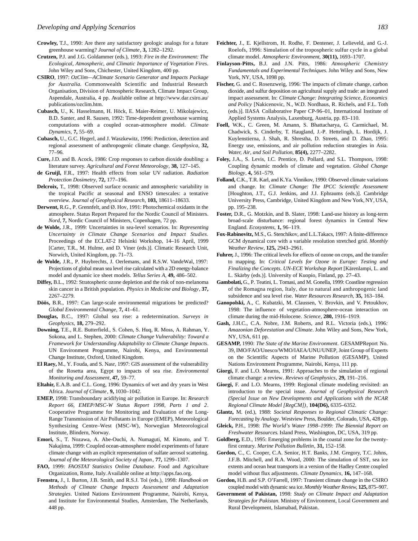- **Crowley,** T.J., 1990: Are there any satisfactory geologic analogs for a future greenhouse warming? *Journal of Climate*, **3,** 1282–1292.
- **Crutzen,** P.J. and J.G. Goldammer (eds.), 1993: *Fire in the Environment: The Ecological, Atmospheric, and Climatic Importance of Vegetation Fires*. John Wiley and Sons, Chichester, United Kingdom, 400 pp.
- **CSIRO**, 1997: *OzClim—AClimate Scenario Generator and Impacts Package for Australia*. Commonwealth Scientific and Industrial Research Organisation, Division of Atmospheric Research, Climate Impact Group, Aspendale, Australia, 4 pp. Available online at http://www.dar.csiro.au/ publications/ozclim.htm.
- **Cubasch,** U., K. Hasselmann, H. Höck, E. Maier-Reimer, U. Mikolajewicz, B.D. Santer, and R. Sausen, 1992: Time-dependent greenhouse warming computations with a coupled ocean-atmosphere model. *Climate Dynamics*, **7,** 55–69.
- **Cubasch,** U., G.C. Hegerl, and J. Waszkewitz, 1996: Prediction, detection and regional assessment of anthropogenic climate change. *Geophysica*, **32,** 77–96.
- **Cure,** J.D. and B. Acock, 1986: Crop responses to carbon dioxide doubling: a literature survey. *Agricultural and Forest Meteorology*, **38,** 127–145.
- **de Gruijl,** F.R., 1997: Health effects from solar UV radiation. *Radiation Protection Dosimetry*, **72,** 177–196.
- **Delcroix,** T., 1998: Observed surface oceanic and atmospheric variability in the tropical Pacific at seasonal and ENSO timescales: a tentative overview. *Journal of Geophysical Research*, **103,** 18611–18633.
- **Derwent,** R.G., P. Grennfelt, and Ø. Hov, 1991: Photochemical oxidants in the atmosphere. Status Report Prepared for the Nordic Council of Ministers. *Nord*, **7,** Nordic Council of Ministers, Copenhagen, 72 pp.
- **de Wolde,** J.R., 1999: Uncertainties in sea-level scenarios. In: *Representing Uncertainty in Climate Change Scenarios and Impact Studies.* Proceedings of the ECLAT-2 Helsinki Workshop, 14–16 April, 1999 [Carter, T.R., M. Hulme, and D. Viner (eds.)]. Climatic Research Unit, Norwich, United Kingdom, pp. 71–73.
- **de Wolde,** J.R., P. Huybrechts, J. Oerlemans, and R.S.W. VandeWal, 1997: Projections of global mean sea level rise calculated with a 2D energy-balance model and dynamic ice sheet models. *Tellus Series A*, **49,** 486–502.
- Diffey, B.L., 1992: Stratospheric ozone depletion and the risk of non-melanoma skin cancer in a British population. *Physics in Medicine and Biology*, **37,** 2267–2279.
- **Döös,** B.R., 1997: Can large-scale environmental migrations be predicted? *Global Environmental Change*, **7,** 41–61.
- **Douglas,** B.C., 1997: Global sea rise: a redetermination. *Surveys in Geophysics*, **18,** 279–292.
- **Downing,** T.E., R.E. Butterfield., S. Cohen, S. Huq, R. Moss, A. Rahman, Y. Sokona, and L. Stephen, 2000: *Climate Change Vulnerability: Toward a Framework for Understanding Adaptability to Climate Change Impacts*. UN Environment Programme, Nairobi, Kenya, and Environmental Change Institute, Oxford, United Kingdom.
- **El Raey,** M., Y. Fouda, and S. Nasr, 1997: GIS assessment of the vulnerability of the Rosetta area, Egypt to impacts of sea rise. *Environmental Monitoring and Assessment*, **47,** 59–77.
- **Eltahir,** E.A.B. and C.L. Gong, 1996: Dynamics of wet and dry years in West Africa. *Journal of Climate*, **9,** 1030–1042.
- **EMEP,** 1998: Transboundary acidifying air pollution in Europe. In: *Research R e p o rt 66, EMEP/MSC-W Status Report 1998, Parts 1 and 2*. Cooperative Programme for Monitoring and Evaluation of the Long-Range Transmission of Air Pollutants in Europe (EMEP), Meteorological Synthesizing Centre–West (MSC-W), Norwegian Meteorological Institute, Blindern, Norway.
- **Emori,** S., T. Nozawa, A. Abe-Ouchi, A. Numaguti, M. Kimoto, and T. Nakajima, 1999: Coupled ocean-atmosphere model experiments of future climate change with an explicit representation of sulfate aerosol scattering. *Journal of the Meteorological Society of Japan*, **77,** 1299–1307.
- **FAO,** 1999: *FAOSTAT Statistics Online Database*. Food and Agriculture Organization, Rome, Italy.Available online at http://apps.fao.org.
- **Feenstra,** J., I. Burton, J.B. Smith, and R.S.J. Tol (eds.), 1998: *Handbook on Methods of Climate Change Impacts Assessment and Adaptation Strategies*. United Nations Environment Programme, Nairobi, Kenya, and Institute for Environmental Studies, Amsterdam, The Netherlands, 448 pp.
- **Feichter,** J., E. Kjellstrom, H. Rodhe, F. Dentener, J. Lelieveld, and G.-J. Roelofs, 1996: Simulation of the tropospheric sulfur cycle in a global climate model. *Atmospheric Environment*, 30(11), 1693-1707.
- Finlayson-Pitts, B.J. and J.N. Pitts, 1986: Atmospheric Chemistry *Fundamentals and Experimental Techniques*. John Wiley and Sons, New York, NY, USA, 1098 pp.
- **Fischer,** G. and C. Rosenzweig, 1996: The impacts of climate change, carbon dioxide, and sulfur deposition on agricultural supply and trade: an integrated impact assessment. In: *Climate Change: Integrating Science, Economics and Policy* [Nakicenovic, N., W.D. Nordhaus, R. Richels, and F.L. Toth (eds.)]. IIASA Collaborative Paper CP-96–01, International Institute of Applied Systems Analysis, Laxenburg, Austria, pp. 83–110.
- **Foell,** W.K., C. Green, M. Amann, S. Bhattacharya, G. Carmichael, M. Chadwick, S. Cinderby, T. Haugland, J.-P. Hettelingh, L. Hordijk, J. Kuylenstierna, J. Shah, R. Shrestha, D. Streets, and D. Zhao, 1995: Energy use, emissions, and air pollution reduction strategies in Asia. *Water, Air, and Soil Pollution*, **85(4),** 2277–2282.
- **Foley,** J.A., S. Levis, I.C. Prentice, D. Pollard, and S.L. Thompson, 1998: Coupling dynamic models of climate and vegetation. *Global Change Biology*, **4,** 561–579.
- Folland, C.K., T.R. Karl, and K.Ya. Vinnikov, 1990: Observed climate variations and change. In: *Climate Change: The IPCC Scientific Assessment* [Houghton, J.T., G.J. Jenkins, and J.J. Ephraums (eds.)]. Cambridge University Press, Cambridge, United Kingdom and New York, NY, USA, pp. 195–238.
- **Foster,** D.R., G. Motzkin, and B. Slater, 1998: Land-use history as long-term broad-scale disturbance: regional forest dynamics in Central New England. *Ecosystems*, **1,** 96–119.
- Fox-Rabinovitz, M.S., G. Stenchikov, and L.L.Takacs, 1997: A finite-difference GCM dynamical core with a variable resolution stretched grid. *Monthly Weather Review*, **125,** 2943–2961.
- Fuhrer, J., 1996: The critical levels for effects of ozone on crops, and the transfer to mapping. In: *Critical Levels for Ozone in Europe: Testing and Finalizing the Concepts*. *UN-ECE Workshop Report* [Kärenlampi, L. and L. Skärby (eds.)]. University of Kuopio, Finland, pp. 27–43.
- Gambolati, G., P. Teatini, L. Tomasi, and M. Gonella, 1999: Coastline regression of the Romagna region, Italy, due to natural and anthropogenic land subsidence and sea level rise. *Water Resources Research*, 35, 163-184.
- **Ganopolski,** A., C. Kubatzki, M. Claussen, V. Brovkin, and V. Petoukhov, 1998: The influence of vegetation-atmosphere-ocean interaction on climate during the mid-Holocene. *Science*, 280, 1916-1919.
- **Gash,** J.H.C., C.A. Nobre, J.M. Roberts, and R.L. Victoria (eds.), 1996*: Amazonian Deforestation and Climate*. John Wiley and Sons, New York, NY, USA, 611 pp.
- **GESAMP,** 1990: *The State of the Marine Environment*. GESAMPReport No. 39, IMO/FAO/Unesco/WMO/IAEA/UNU/UNEP, Joint Group of Experts on the Scientific Aspects of Marine Pollution (GESAMP), United Nations Environment Programme, Nairobi, Kenya, 111 pp.
- **Giorgi,** F. and L.O. Mearns, 1991: Approaches to the simulation of regional climate change: a review. *Reviews of Geophysics*, **29,** 191–216.
- **Giorgi,** F. and L.O. Mearns, 1999: Regional climate modeling revisited: an introduction to the special issue. *Journal of Geophysical Research (Special Issue on New Developments and Applications with the NCAR Regional Climate Model [RegCM])*, **104(D6),** 6335–6352.
- **Glantz,** M. (ed.), 1988: *Societal Responses to Regional Climatic Change: Forecasting by Analogy*. Westview Press, Boulder, Colorado, USA, 428 pp.
- **Gleick,** P.H., 1998: *The World's Water 1998–1999: The Biennial Report on Freshwater Resources*. Island Press, Washington, DC, USA, 319 pp.
- **Goldberg,** E.D., 1995: Emerging problems in the coastal zone for the twentyfirst century. *Marine Pollution Bulletin*, **31,** 152–158.
- **Gordon,** C., C. Cooper, C.A. Senior, H.T. Banks, J.M. Gregory, T.C. Johns, J.F.B. Mitchell, and R.A. Wood, 2000: The simulation of SST, sea ice extents and ocean heat transports in a version of the Hadley Centre coupled model without flux adjustments. *Climate Dynamics*, **16,** 147–168.
- Gordon, H.B. and S.P. O'Farrell, 1997: Transient climate change in the CSIRO coupled model with dynamic sea ice. *Monthly Weather Review*, 125, 875–907.
- **Government of Pakistan,** 1998: *Study on Climate Impact and Adaptation Strategies for Pakistan*. Ministry of Environment, Local Government and Rural Development, Islamabad, Pakistan.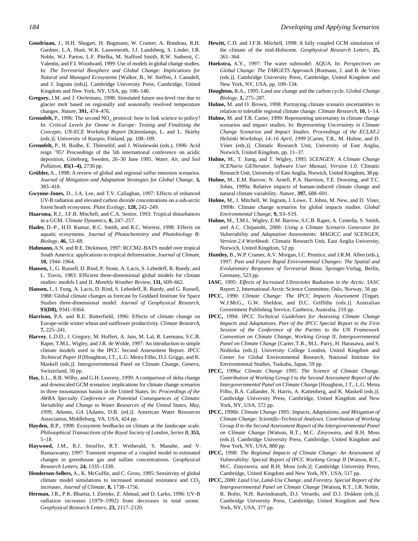- **Goudriaan,** J., H.H. Shugart, H. Bugmann, W. Cramer, A. Bondeau, R.H. Gardner, L.A. Hunt, W.K. Lauwenroth, J.J. Landsberg, S. Linder, I.R. Noble, W.J. Parton, L.F. Pitelka, M. Stafford Smith, R.W. Sutherst, C. Valentin, and F.I. Woodward, 1999: Use of models in global change studies. In: *The Terrestrial Biosphere and Global Change: Implications for Natural and Managed Ecosystems* [Walker, B., W. Steffen, J. Canadell, and J. Ingram (eds)]. Cambridge University Press, Cambridge, United Kingdom and New York, NY, USA, pp. 106–140.
- **Gregory,** J.M. and J. Oerlemans, 1998: Simulated future sea-level rise due to glacier melt based on regionally and seasonally resolved temperature changes. *Nature*, **391,** 474–476.
- **Grennfelt,** P., 1996: The second  $NO_x$  protocol: how to link science to policy? In: *Critical Levels for Ozone in Europe: Testing and Finalizing the Concepts. UN-ECE Workshop Report* [Kärenlampi, L. and L. Skärby (eds.)]. University of Kuopio, Finland, pp. 108–109.
- **Grennfelt,** P., H. Rodhe, E. Thörnelöf, and J. Wisniewski (eds.), 1996: Acid reign '95? Proceedings of the 5th international conference on acidic deposition, Göteborg, Sweden, 26–30 June 1995. *Water, Air, and Soil Pollution,* **85(1–4),** 2730 pp.
- **Grübler,** A., 1998: A review of global and regional sulfur emission scenarios. *Journal of Mitigation and Adaptation Strategies for Global Change*, **3,** 383–418.
- **Gwynne-Jones,** D., J.A. Lee, and T.V. Callaghan, 1997: Effects of enhanced U V-B radiation and elevated carbon dioxide concentrations on a sub-arctic forest heath ecosystem. *Plant Ecology*, **128,** 242–249.
- **Haarsma,** R.J., J.F.B. Mitchell, and C.A. Senior, 1993: Tropical disturbances in a GCM*. Climate Dynamics*, **8,** 247–257.
- **Hader,** D.-P., H.D. Kumar, R.C. Smith, and R.C. Worrest, 1998: Effects on aquatic ecosystems. *Journal of Photochemistry and Photobiology B: Biology*, **46,** 53–68.
- Hahmann, A.N. and R.E. Dickinson, 1997: RCCM2-BATS model over tropical South America: applications to tropical deforestation. *Journal of Climate*, **10,** 1944–1964.
- **Hansen,** J., G. Russell, D. Rind, P. Stone, A. Lacis, S. Lebedeff, R. Ruedy, and L. Travis, 1983: Efficient three-dimensional global models for climate studies: models I and II. *Monthly Weather Review*, **111,** 609–662.
- **Hansen,** J., I. Fung, A. Lacis, D. Rind, S. Lebedeff, R. Ruedy, and G. Russell, 1988: Global climate changes as forecast by Goddard Institute for Space Studies three-dimensional model. *Journal of Geophysical Research*, **93(D8),** 9341–9364.
- **Harrison,** P.A. and R.E. Butterfield, 1996: Effects of climate change on Europe-wide winter wheat and sunflower productivity. *Climate Research*, **7,** 225–241.
- **Harvey**, L.D.D., J. Gregory, M. Hoffert, A. Jain, M. Lal, R. Leemans, S.C.B. Raper, T.M.L. Wigley, and J.R. de Wolde, 1997: An introduction to simple climate models used in the IPCC Second Assessment Report*. IPCC Technical Paper II* [Houghton, J.T., L.G. Meira Filho, D.J. Griggs, and K. Maskell (eds.)]. Intergovernmental Panel on Climate Change, Geneva, Switzerland, 50 pp.
- **Hay,** E.L., R.B. Wilby, and G.H. Leavesy, 1999: A comparison of delta change and downscaled GCM scenarios: implications for climate change scenarios in three mountainous basins in the United States. In: *Proceedings of the AWRA Specialty Conference on Potential Consequences of Climatic Variability and Change to Water Resources of the United States, May, 1999, Atlanta, GA* [Adams, D.B. (ed.)]. American Water Resources Association, Middleburg, VA, USA, 424 pp.
- **Hayden,** B.P., 1998: Ecosystem feedbacks on climate at the landscape scale. *Philosophical Transactions of the Royal Society of London, Series B*, **353,** 5–18.
- Haywood, J.M., R.J. Stouffer, R.T. Wetherald, S. Manabe, and V. Ramaswamy, 1997: Transient response of a coupled model to estimated changes in greenhouse gas and sulfate concentrations. *Geophysical Research Letters*, **24,** 1335–1338.
- Henderson-Sellers, A., K. McGuffie, and C. Gross, 1995: Sensitivity of global climate model simulations to increased stomatal resistance and  $CO<sub>2</sub>$ increases. *Journal of Climate*, **8,** 1738–1756.
- **Herman,** J.R., P.K. Bhartia, J. Ziemke, Z. Ahmad, and D. Larko, 1996: UV-B radiation increases (1979–1992) from decreases in total ozone. *Geophysical Research Letters*, **23,** 2117–2120.
- **Hewitt,** C.D. and J.F.B. Mitchell, 1998: A fully coupled GCM simulation of the climate of the mid-Holocene. *Geophysical Research Letters*, **25,** 361–364.
- **Hoekstra,** A.Y., 1997: The water submodel: AQUA. In: *Perspectives on Global Change: The TARGETS Approach* [Rotmans, J. and B. de Vries (eds.)]. Cambridge University Press, Cambridge, United Kingdom and New York, NY, USA, pp. 109–134.
- **Houghton,** R.A., 1995: Land use change and the carbon cycle. *Global Change Biology*, **1,** 275–287.
- **Hulme,** M. and O. Brown, 1998: Portraying climate scenario uncertainties in relation to tolerable regional climate change. *Climate Research*, **10,** 1–14.
- **Hulme,** M. and T.R. Carter, 1999: Representing uncertainty in climate change scenarios and impact studies. In: *Representing Uncertainty in Climate Change Scenarios and Impact Studies. Proceedings of the ECLAT-2 Helsinki Workshop, 14–16 April, 1999* [Carter, T.R., M. Hulme, and D. Viner (eds.)]. Climatic Research Unit, University of East Anglia, Norwich, United Kingdom, pp. 11–37.
- **Hulme,** M., T. Jiang, and T. Wigley, 1995: *SCENGEN: A Climate Change SCENario GENerator. Software User Manual, Version 1.0*. Climatic Research Unit, University of East Anglia, Norwich, United Kingdom, 38 pp.
- **Hulme,** M., E.M. Barrow, N. Arnell, P.A. Harrison, T.E. Downing, and T.C. Johns, 1999a: Relative impacts of human-induced climate change and natural climate variability*. Nature*, **397,** 688–691.
- **Hulme,** M., J. Mitchell, W. Ingram, J. Lowe, T. Johns, M. New, and D. Viner, 1999b: Climate change scenarios for global impacts studies. *Global Environmental Change*, **9,** S3–S19.
- **Hulme,** M., T.M.L. Wigley, E.M. Barrow, S.C.B. Raper, A. Centella, S. Smith, and A.C. Chipanshi, 2000: *Using a Climate Scenario Generator for Vulnerability and Adaptation Assessments: MAGICC and SCENGEN, Version 2.4 Workbook*. Climatic Research Unit, East Anglia University, Norwich, United Kingdom, 52 pp.
- **Huntley,** B., W.P. Cramer, A.V. Morgan, I.C. Prentice, and J.R.M. Allen (eds.), 1997: *Past and Future Rapid Environmental Changes: The Spatial and Evolutionary Responses of Terrestrial Biota*. Springer-Verlag, Berlin, Germany, 523 pp.
- **IASC**, 1995: *Effects of Increased Ultraviolet Radiation in the Arctic*. IASC Report 2, International Arctic Science Committee, Oslo, Norway, 56 pp.
- **IPCC,** 1990: *Climate Change: The IPCC Impacts Assessment* [Tegart, W.J.McG., G.W. Sheldon, and D.C. Griffiths (eds.)]. Australian Government Publishing Service, Canberra, Australia, 210 pp.
- **IPCC,** 1994: *IPCC Technical Guidelines for Assessing Climate Change Impacts and Adaptations*. *Part of the IPCC Special Report to the First Session of the Conference of the Parties to the UN Framework Convention on Climate Change, Working Group II, Intergovernmental Panel on Climate Change* [Carter,T.R., M.L. Parry, H. Harasawa, and S. Nishioka (eds.)]. University College London, United Kingdom and Center for Global Environmental Research, National Institute for Environmental Studies, Tsukuba, Japan, 59 pp.
- **IPCC,** 1996a: *Climate Change 1995. The Science of Climate Change. Contribution of Working Group I to the Second Assessment Report of the Intergovernmental Panel on Climate Change* [Houghton, J.T., L.G. Meira Filho, B.A. Callander, N. Harris, A. Kattenberg, and K. Maskell (eds.)]. Cambridge University Press, Cambridge, United Kingdom and New York, NY, USA, 572 pp.
- **IPCC,** 1996b: *Climate Change 1995: Impacts, Adaptations, and Mitigation of Climate Change: Scientific-Technical Analyses. Contribution of Working Group II to the Second Assessment Report of the Intergovernmental Panel on Climate Change* [Watson, R.T., M.C. Zinyowera, and R.H. Moss (eds.)]. Cambridge University Press, Cambridge, United Kingdom and New York, NY, USA, 880 pp.
- **IPCC,** 1998: *The Regional Impacts of Climate Change: An Assessment of Vulnerability. Special Report of IPCC Working Group II* [Watson, R.T., M.C. Zinyowera, and R.H. Moss (eds.)]. Cambridge University Press, Cambridge, United Kingdom and New York, NY, USA, 517 pp.
- **IPCC,** 2000: *Land Use, Land-Use Change, and Forestry. Special Report of the Intergovernmental Panel on Climate Change* [Watson**,** R.T., I.R. Noble, B. Bolin, N.H. Ravindranath, D.J. Verardo, and D.J. Dokken (eds.)]. Cambridge University Press, Cambridge, United Kingdom and New York, NY, USA, 377 pp.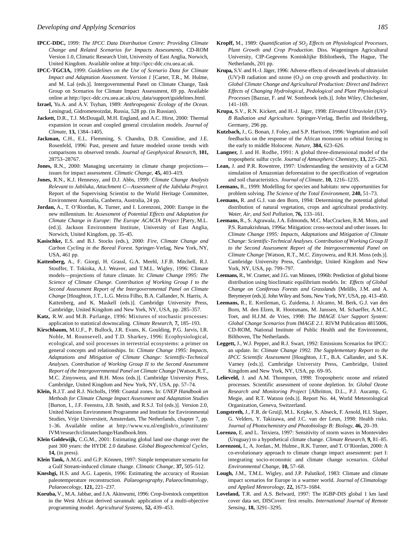- **IPCC-DDC,** 1999: *The IPCC Data Distribution Centre: Providing Climate Change and Related Scenarios for Impacts Assessments*, CD-ROM Version 1.0, Climatic Research Unit, University of East Anglia, Norwich, United Kingdom. Available online at http://ipcc-ddc.cru.uea.ac.uk.
- **IPCC-TGCIA,** 1999: *Guidelines on the Use of Scenario Data for Climate Impact and Adaptation Assessment. Version 1* [Carter, T.R., M. Hulme, and M. Lal (eds.)]. Intergovernmental Panel on Climate Change, Task Group on Scenarios for Climate Impact Assessment, 69 pp. Available online at http://ipcc-ddc.cru.uea.ac.uk/cru\_data/support/guidelines.html.
- **Izrael,** Yu.A. and A.V. Tsyban, 1989: *Anthropogenic Ecology of the Ocean*. Leningrad, Gidrometeoizdat, Russia, 528 pp. (in Russian).
- **Jackett,** D.R., T.J. McDougall, M.H. England, and A.C. Hirst, 2000: Thermal expansion in ocean and coupled general circulation models. *Journal of Climate*, **13,** 1384–1405.
- **Jackman,** C.H., E.L. Flemming, S. Chandra, D.B. Considine, and J.E. Rosenfeld, 1996: Past, present and future modeled ozone trends with comparisons to observed trends. *Journal of Geophysical Research*, **101,** 28753–28767.
- **Jones,** R.N., 2000: Managing uncertainty in climate change projections issues for impact assessment. *Climatic Change,* **45,** 403–419.
- **Jones,** R.N., K.J. Hennessy, and D.J. Abbs, 1999: *Climate Change Analysis Relevant to Jabiluka, Attachment C—Assessment of the Jabiluka Project.* Report of the Supervising Scientist to the World Heritage Committee, Environment Australia, Canberra, Australia, 24 pp.
- **Jordan,** A., T. O'Riordan, K. Turner, and I. Lorenzoni, 2000: Europe in the new millennium. In: *Assessment of Potential Effects and Adaptation for Climate Change in Europe*: *The Europe ACACIA Project* [Parry, M.L. (ed.)]. Jackson Environment Institute, University of East Anglia, Norwich, United Kingdom, pp. 35–45.
- **Kasischke,** E.S. and B.J. Stocks (eds.), 2000: *Fire, Climate Change and Carbon Cycling in the Boreal Forest*. Springer-Verlag, New York, NY, USA, 461 pp.
- **Kattenberg,** A., F. Giorgi, H. Grassl, G.A. Meehl, J.F.B. Mitchell, R.J. Stouffer, T. Tokioka, A.J. Weaver, and T.M.L. Wigley, 1996: Climate models—projections of future climate. In: *Climate Change 1995: The Science of Climate Change. Contribution of Working Group I to the Second Assessment Report of the Intergovernmental Panel on Climate Change* [Houghton, J.T., L.G. Meira Filho, B.A. Callander, N. Harris, A. Kattenberg, and K. Maskell (eds.)]. Cambridge University Press, Cambridge, United Kingdom and New York, NY, USA, pp. 285–357.
- Katz, R.W. and M.B. Parlange, 1996: Mixtures of stochastic processes: application to statistical downscaling. *Climate Research*, **7**, 185-193.
- **Kirschbaum,** M.U.F., P. Bullock, J.R. Evans, K. Goulding, P.G. Jarvis, I.R. Noble, M. Rounsevell, and T.D. Sharkey, 1996: Ecophysiological, ecological, and soil processes in terrestrial ecosystems: a primer on general concepts and relationships. In: *Climate Change 1995: Impacts*, *Adaptations and Mitigation of Climate Change: Scientific-Technical Analyses. Contribution of Working Group II to the Second Assessment Report of the Intergovernmental Panel on Climate Change* [Watson, R.T., M.C. Zinyowera, and R.H. Moss (eds.)]. Cambridge University Press, Cambridge, United Kingdom and New York, NY, USA, pp. 57–74.
- **Klein,** R.J.T. and R.J. Nicholls, 1998: Coastal zones. In: *UNEP Handbook on Methods for Climate Change Impact Assessment and Adaptation Studies* [Burton, I., J.F. Feenstra, J.B. Smith, and R.S.J. Tol (eds.)]. Version 2.0, United Nations Environment Programme and Institute for Environmental Studies, Vrije Universiteit, Amsterdam, The Netherlands, chapter 7, pp. 1–36. Available online at http://www.vu.nl/english/o\_o/instituten/ IVM/research/climatechange/Handbook.htm.
- **Klein Goldewijk,** C.G.M., 2001: Estimating global land use change over the past 300 years: the HYDE 2.0 database. *Global Biogeochemical Cycles*, **14,** (in press).
- **Klein Tank,** A.M.G. and G.P. Können, 1997: Simple temperature scenario for a Gulf Stream-induced climate change. *Climatic Change*, **37,** 505–512.
- **Kneshgi,** H.S. and A.G. Lapenis, 1996: Estimating the accuracy of Russian paleotemperature reconstruction. *Palaeogeography, Palaeoclimatology, Palaeoecology*, **121,** 221–237.
- **Koruba,** V., M.A. Jabbar, and J.A. Akinwumi, 1996: Crop-livestock competition in the West African derived savannah: application of a multi-objective programming model. *Agricultural Systems*, **52,** 439–453.
- **Kropff,** M., 1989: *Quantification of SO<sup>2</sup> Effects on Physiological Processes, Plant Growth and Crop Production*. Diss. Wageningen Agricultural University, CIP-Gegevens Koninklijke Bibliotheek, The Hague, The Netherlands, 201 pp.
- **Krupa**, S.V. and H.-J. Jäger, 1996: Adverse effects of elevated levels of ultraviolet (UV)-B radiation and ozone  $(O_3)$  on crop growth and productivity. In: *Global Climate Change and Agricultural Production: Direct and Indirect Effects of Changing Hydrological, Pedological and Plant Physiological Processes* [Bazzaz, F. and W. Sombroek (eds.)]. John Wiley, Chichester, 141–169.
- **Krupa,** S.V., R.N. Kickert, and H.-J. Jäger, 1998: *Elevated Ultraviolet (UV)- B Radiation and Agriculture*. Springer-Verlag, Berlin and Heidelberg, Germany, 296 pp.
- **Kutzbach,** J., G. Bonan, J. Foley, and S.P. Harrison, 1996: Vegetation and soil feedbacks on the response of the African monsoon to orbital forcing in the early to middle Holocene. *Nature*, **384,** 623–626.
- Langner, J. and H. Rodhe, 1991: A global three-dimensional model of the tropospheric sulfur cycle. *Journal of Atmospheric Chemistry*, 13, 225-263.
- **Lean,** J. and P.R. Rowntree, 1997: Understanding the sensitivity of a GCM simulation of Amazonian deforestation to the specification of vegetation and soil characteristics. *Journal of Climate*, **10,** 1216–1235.
- **Leemans,** R., 1999: Modelling for species and habitats: new opportunities for problem solving. *The Science of the Total Environment*, **240,** 51–73.
- **Leemans,** R. and G.J. van den Born, 1994: Determining the potential global distribution of natural vegetation, crops and agricultural productivity. *Water, Air, and Soil Pollution*, **76,** 133–161.
- **Leemans,** R., S. Agrawala, J.A. Edmonds, M.C. MacCracken, R.M. Moss, and P.S. Ramakrishnan, 1996a: Mitigation: cross-sectoral and other issues. In: *Climate Change 1995: Impacts, Adaptations and Mitigation of Climate Change: Scientific-Technical Analyses. Contribution of Working Group II to the Second Assessment Report of the Intergovernmental Panel on Climate Change* [Watson, R.T., M.C. Zinyowera, and R.H. Moss (eds.)]. Cambridge University Press, Cambridge, United Kingdom and New York, NY, USA, pp. 799–797.
- Leemans, R., W. Cramer, and J.G. van Minnen, 1996b: Prediction of global biome distribution using bioclimatic equilibrium models. In: *Effects of Global Change on Coniferous Forests and Grasslands* [Melillo, J.M. and A . Breymeyer (eds.)]. John Wiley and Sons, New York, NY, USA, pp. 413–450.
- **Leemans,** R., E. Kreileman, G. Zuidema, J. Alcamo, M. Berk, G.J. van den Born, M. den Elzen, R. Hootsmans, M. Janssen, M. Schaeffer, A.M.C. Toet, and H.J.M. de Vries, 1998: *The IMAGE User Support System: Global Change Scenarios from IMAGE 2.1*. RIVM Publication 4815006, CD-ROM, National Institute of Public Health and the Environment, Bilthoven, The Netherlands.
- **Leggett,** J., W.J. Pepper, and R.J. Swart, 1992: Emissions Scenarios for IPCC: an update. In: *Climate Change 1992. The Supplementary Report to the IPCC Scientific Assessment* [Houghton, J.T., B.A. Callander, and S.K. Varney (eds.)]. Cambridge University Press, Cambridge, United Kingdom and New York, NY, USA, pp. 69–95.
- **Lelieveld,** J. and A.M. Thompson, 1998: Tropospheric ozone and related processes. Scientific assessment of ozone depletion. In: *Global Ozone Research and Monitoring Project* [Albritton, D.L., P.J. Aucamp, G. Megie, and R.T. Watson (eds.)]. Report No. 44, World Meteorological Organization, Geneva, Switzerland.
- **Longstreth,** J., F.R. de Gruijl, M.L. Kripke, S. Abseck, F. Arnold, H.I. Slaper, G. Velders, Y. Takizawa, and J.C. van der Leun, 1998: Health risks. *Journal of Photochemistry and Photobiology B: Biology*, **46,** 20–39.
- **Lorenzo,** E. and L. Teixiera, 1997: Sensitivity of storm waves in Montevideo (Uruguay) to a hypothetical climate change. *Climate Research*, **9,** 81–85.
- **Lorenzoni,** I., A. Jordan., M. Hulme., R.K. Turner, and T. O'Riordan, 2000: A co-evolutionary approach to climate change impact assessment: part I: integrating socio-economic and climate change scenarios. *Global Environmental Change*, **10,** 57–68.
- **Lough,** J.M., T.M.L. Wigley, and J.P. Palutikof, 1983: Climate and climate impact scenarios for Europe in a warmer world. *Journal of Climatology and Applied Meteorology*, **22,** 1673–1684.
- **Loveland,** T.R. and A.S. Belward, 1997: The IGBP-DIS global 1 km land cover data set, DISCover: first results. *International Journal of Remote Sensing*, **18,** 3291–3295.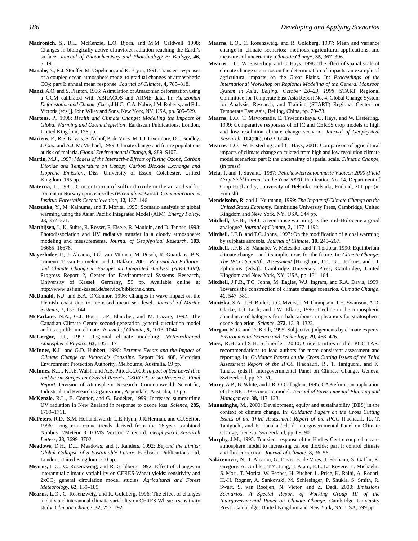- **Madronich,** S., R.L. McKenzie, L.O. Bjorn, and M.M. Caldwell, 1998: Changes in biologically active ultraviolet radiation reaching the Earth's surface. *Journal of Photochemistry and Photobiology B: Biology*, **46,** 5–19.
- Manabe, S., R.J. Stouffer, M.J. Spelman, and K. Bryan, 1991: Transient responses of a coupled ocean-atmosphere model to gradual changes of atmospheric CO<sup>2</sup> : part I: annual mean response. *Journal of Climate*, **4,** 785–818.
- Manzi, A.O. and S. Planton, 1996: Asimulation of Amazonian deforestation using a GCM calibrated with ABRACOS and ARME data. In: Amazonian *D e f o restation and Climate* [Gash, J.H.C., C.A. Nobre, J.M. Roberts, and R.L. Victoria (eds.)]. John Wiley and Sons, New York, NY, USA, pp. 505–529.
- **Martens,** P., 1998: *Health and Climate Change: Modelling the Impacts of Global Warming and Ozone Depletion*. Earthscan Publications, London, United Kingdom, 176 pp.
- Martens, P., R.S. Kovats, S. Nijhof, P. de Vries, M.T.J. Livermore, D.J. Bradley, J. Cox, and A.J. McMichael, 1999: Climate change and future populations at risk of malaria. *Global Environmental Change*, 9, S89-S107.
- **Martin,** M.J., 1997: *Models of the Interactive Effects of Rising Ozone, Carbon Dioxide and Temperature on Canopy Carbon Dioxide Exchange and* Isoprene Emission. Diss. University of Essex, Colchester, United Kingdom, 165 pp.
- Materna, J., 1981: Concentration of sulfur dioxide in the air and sulfur c o ntent in Norway spruce needles (*Picea abies* Karst.). *Communicationes Instituti Forestalis Cechosloveniae*, **12,** 137–146.
- **Matsuoka,** Y., M. Kainuma, and T. Morita, 1995: Scenario analysis of global warming using the Asian Pacific Integrated Model (AIM). *Energy Policy*, **23,** 357–371.
- Matthijsen, J., K. Suhre, R. Rosset, F. Eisele, R. Mauldin, and D. Tanner, 1998: Photodissociation and UV radiative transfer in a cloudy atmosphere: modeling and measurements. *Journal of Geophysical Research*, **103,** 16665–16676.
- **Mayerhofer,** P., J. Alcamo, J.G. van Minnen, M. Posch, R. Guardans, B.S. Gimeno, T. van Harmelen, and J. Bakker, 2000: *Regional Air Pollution and Climate Change in Europe: an Integrated Analysis (AIR-CLIM)*. Progress Report 2, Center for Environmental Systems Research, University of Kassel, Germany, 59 pp. Available online at http://www.usf.uni-kassel.de/service/bibliothek.htm.
- **McDonald,** N.J. and B.A. O'Connor, 1996: Changes in wave impact on the Flemish coast due to increased mean sea level. *Journal of Marine Systems*, **7,** 133–144.
- **McFarlane,** N.A., G.J. Boer, J.-P. Blanchet, and M. Lazare, 1992: The Canadian Climate Centre second-generation general circulation model and its equilibrium climate*. Journal of Climate*, **5,** 1013–1044.
- McGregor, J.J., 1997: Regional climate modeling. Meteorological *Atmospheric Physic*s, **63,** 105–117.
- **McInnes,** K.L. and G.D. Hubbert, 1996: *Extreme Events and the Impact of Climate Change on Victoria's Coastline*. Report No. 488, Victorian Environment Protection Authority, Melbourne, Australia, 69 pp.
- **McInnes,** K.L., K.J.E. Walsh, and A.B. Pittock, 2000: *Impact of Sea Level Rise and Storm Surges on Coastal Resorts. CSIRO Tourism Research: Final Report*. Division of Atmospheric Research, Commonwealth Scientific, Industrial and Research Organisation, Aspendale, Australia, 13 pp.
- **McKenzie,** R.L., B. Connor, and G. Bodeker, 1999: Increased summertime UV radiation in New Zealand in response to ozone loss. *Science*, **285,** 1709–1711.
- **McPeters,** R.D., S.M. Hollandsworth, L.E.Flynn, J.R.Herman, and C.J.Seftor, 1996: Long-term ozone trends derived from the 16-year combined Nimbus 7/Meteor 3 TOMS Version 7 record. *Geophysical Research Letters*, **23,** 3699–3702.
- **Meadows,** D.H., D.L. Meadows, and J. Randers, 1992: *Beyond the Limits: Global Collapse of a Sustainable Future*. Earthscan Publications Ltd, London, United Kingdom, 300 pp.
- **Mearns,** L.O., C. Rosenzweig, and R. Goldberg, 1992: Effect of changes in interannual climatic variability on CERES-Wheat yields: sensitivity and 2xCO<sub>2</sub> general circulation model studies. Agricultural and Forest *Meteorology*, **62,** 159–189.
- **Mearns,** L.O., C. Rosenzweig, and R. Goldberg, 1996: The effect of changes in daily and interannual climatic variability on CERES-Wheat: a sensitivity study. *Climatic Change*, **32,** 257–292.
- **Mearns,** L.O., C. Rosenzweig, and R. Goldberg, 1997: Mean and variance change in climate scenarios: methods, agricultural applications, and measures of uncertainty. *Climatic Change*, 35, 367-396.
- **Mearns,** L.O., W. Easterling, and C. Hays, 1998: The effect of spatial scale of climate change scenarios on the determination of impacts: an example of agricultural impacts on the Great Plains. In: Proceedings of the *International Workshop on Regional Modeling of the General Monsoon* System in Asia, Beijing, October 20-23, 1998. START Regional Committee for Temperate East Asia Report No. 4, Global Change System for Analysis, Research, and Training (START) Regional Center for Temperate East Asia, Beijing, China, pp. 70–73.
- **Mearns,** L.O., T. Mavromatis, E. Tsvetsinskaya, C. Hays, and W. Easterling, 1999: Comparative responses of EPIC and CERES crop models to high and low resolution climate change scenario. *Journal of Geophysical Research*, **104(D6**)**,** 6623–6646.
- **Mearns,** L.O., W. Easterling, and C. Hays, 2001: Comparison of agricultural impacts of climate change calculated from high and low resolution climate model scenarios: part I: the uncertainty of spatial scale. *Climatic Change*, (in press).
- **Mela,** T. and T. Suvanto, 1987: *Peltokasvien Satoennuste Vuoteen 2000 (Field Crop Yield Forecast to the Year 2000)*. Publication No. 14, Department of Crop Husbandry, University of Helsinki, Helsinki, Finland, 201 pp. (in Finnish).
- **Mendelsohn,** R. and J. Neumann, 1999: *The Impact of Climate Change on the United States Economy*. Cambridge University Press, Cambridge, United Kingdom and New York, NY, USA, 344 pp.
- Mitchell, J.F.B., 1990: Greenhouse warming: is the mid-Holocene a good analogue? *Journal of Climate*, 3, 1177-1192.
- **Mitchell,** J.F.B. and T.C. Johns, 1997: On the modification of global warming by sulphate aerosols. *Journal of Climate*, **10,** 245–267.
- **Mitchell,** J.F.B., S. Manabe, V. Meleshko, and T.Tokioka, 1990: Equilibrium climate change—and its implications for the future. In: *Climate Change: The IPCC Scientific Assessment* [Houghton, J.T., G.J. Jenkins, and J.J. Ephraums (eds.)]. Cambridge University Press, Cambridge, United Kingdom and New York, NY, USA, pp. 131–164.
- **Mitchell,** J.F.B., T.C. Johns, M. Eagles, W.J. Ingram, and R.A. Davis, 1999: Towards the construction of climate change scenarios. *Climatic Change*, **41,** 547–581.
- **Montzka,** S.A., J.H. Butler, R.C. Myers, T.M.Thompson, T.H. Swanson, A.D. Clarke, L.T Lock, and J.W. Elkins, 1996: Decline in the tropospheric abundance of halogens from halocarbons: implications for stratospheric ozone depletion. *Science*, **272,** 1318–1322.
- **Morgan,** M.G. and D. Keith, 1995: Subjective judgements by climate experts. *Environmental Science and Technology*, **29,** 468–476.
- Moss, R.H. and S.H. Schneider, 2000: Uncertainties in the IPCC TAR: recommendations to lead authors for more consistent assessment and reporting. In: *Guidance Papers on the Cross Cutting Issues of the Third Assessment Report of the IPCC* [Pachauri, R., T. Taniguchi, and K. Tanaka (eds.)]. Intergovernmental Panel on Climate Change, Geneva, Switzerland, pp. 33–51.
- **Moxey,** A.P., B. White, and J.R. O'Callaghan, 1995: CAPreform: an application of the NELUPEconomic model. *Journal of Environmental Planning and Management*, **38,** 117–123.
- **Munasinghe,** M., 2000: Development, equity and sustainability (DES) in the context of climate change. In: *Guidance Papers on the Cross Cutting Issues of the Third Assessment Report of the IPCC* [Pachauri, R., T. Taniguchi, and K. Tanaka (eds.)]. Intergovernmental Panel on Climate Change, Geneva, Switzerland, pp. 69–90.
- **Murphy,** J.M., 1995: Transient response of the Hadley Centre coupled oceanatmosphere model to increasing carbon dioxide: part I: control climate and flux correction. *Journal of Climate*, **8,** 36–56.
- **Nakicenovic,** N., J. Alcamo, G. Davis, B. de Vries, J. Fenhann, S. Gaffin, K. Gregory, A. Grübler, T.Y. Jung, T. Kram, E.L. La Rovere, L. Michaelis, S. Mori, T. Morita, W. Pepper, H. Pitcher, L. Price, K. Raihi, A. Roehrl, H.-H. Rogner, A. Sankovski, M. Schlesinger, P. Shukla, S. Smith, R. Swart, S. van Rooijen, N. Victor, and Z. Dadi, 2000: *Emissions Scenarios. A Special Report of Working Group III of the Intergovernmental Panel on Climate Change*. Cambridge University Press, Cambridge, United Kingdom and New York, NY, USA, 599 pp.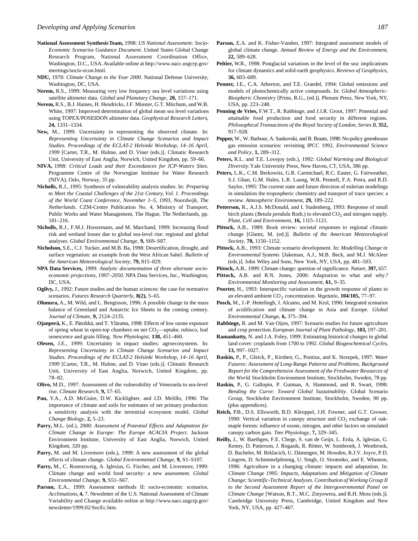- **National Assessment Synthesis Team,** 1998: *US National Assessment: Socio-Economic Scenarios Guidance Document*. United States Global Change Research Program, National Assessment Coordination Office, Washington, D.C., USA. Available online at http://www.nacc.usgcrp.gov/ meetings/socio-econ.html.
- **NDU,** 1978: *Climate Change to the Year 2000*. National Defense University, Washington, DC, USA.
- **Nerem,** R.S., 1999: Measuring very low frequency sea level variations using satellite altimeter data. *Global and Planetary Change*, **20,** 157–171.
- **Nerem,** R.S., B.J. Haines, H. Hendricks, J.F. Minster, G.T. Mitchum, and W.B. White, 1997: Improved determination of global mean sea level variations using TOPEX/POSEIDON altimeter data. *Geophysical Research Letters*, **24,** 1331–1334.
- New, M., 1999: Uncertainty in representing the observed climate. In: *Representing Uncertainty in Climate Change Scenarios and Impact Studies. Proceedings of the ECLAT-2 Helsinki Workshop, 14–16 April, 1999* [Carter, T.R., M. Hulme, and D. Viner (eds.)]. Climatic Research Unit, University of East Anglia, Norwich, United Kingdom, pp. 59–66.
- **NIVA,** 1998: *Critical Loads and their Exceedances for ICP-Waters Sites*. Programme Centre of the Norwegian Institute for Water Research (NIVA), Oslo, Norway, 35 pp.
- **Nicholls,** R.J., 1995: Synthesis of vulnerability analysis studies. In: *Preparing to Meet the Coastal Challenges of the 21st Century, Vol. 1*. *Proceedings of the World Coast Conference, November 1–5, 1993, Noordwijk, The Netherlands*. CZM-Centre Publication No. 4, Ministry of Transport, Public Works and Water Management, The Hague, The Netherlands, pp. 181–216.
- **Nicholls,** R.J., F.M.J. Hoozemans, and M. Marchand, 1999: Increasing flood risk and wetland losses due to global sea-level rise: regional and global analyses. *Global Environmental Change*, **9,** S69–S87.
- **Nicholson,** S.E., C.J. Tucker, and M.B. Ba, 1998: Desertification, drought, and surface vegetation: an example from the West African Sahel. *Bulletin of the American Meteorological Society*, **79,** 815–829.
- **NPA Data Services,** 1999: *Analytic documentation of three alternate socioeconomic projections, 1997–2050*. NPA Data Services, Inc., Washington, DC, USA.
- Ogilvy, J., 1992: Future studies and the human sciences: the case for normative scenarios. *Futures Research Quarterly*, **8(2),** 5–65.
- **Ohmura,** A., M. Wild, and L. Bengtsson, 1996: A possible change in the mass balance of Greenland and Antarctic Ice Sheets in the coming century. *Journal of Climate*, **9,** 2124–2135.
- **Ojanperä, K., E. Pätsikkä, and T. Yläranta, 1998: Effects of low ozone exposure** of spring wheat in open-top chambers on net  $CO_2$ —uptake, rubisco, leaf senescence and grain filling. *New Phytologist*, **138,** 451–460.
- **Olesen,** J.E., 1999: Uncertainty in impact studies: agroecosystems. In: *Representing Uncertainty in Climate Change Scenarios and Impact Studies. Proceedings of the ECLAT-2 Helsinki Workshop, 14–16 April, 1999* [Carter, T.R., M. Hulme, and D. Viner (eds.)]. Climatic Research Unit, University of East Anglia, Norwich, United Kingdom, pp.  $78 - 82.$
- **Olivo,** M.D., 1997: Assessment of the vulnerability of Venezuela to sea-level rise. *Climate Research*, **9,** 57–65.
- **Pan,** Y.A., A.D. McGuire, D.W. Kicklighter, and J.D. Melillo, 1996: The importance of climate and soils for estimates of net primary production: a sensitivity analysis with the terrestrial ecosystem model. *Global Change Biology*, **2,** 5–23.
- **Parry,** M.L. (ed.), 2000: *Assessment of Potential Effects and Adaptation for Climate Change in Europe*: *The Europe ACACIA Project*. Jackson Environment Institute, University of East Anglia, Norwich, United Kingdom, 320 pp.
- Parry, M. and M. Livermore (eds.), 1999: A new assessment of the global effects of climate change. *Global Environmental Change*, **9,** S1–S107.
- **Parry,** M., C. Rosenzweig, A. Iglesias, G. Fischer, and M. Livermore, 1999: Climate change and world food security: a new assessment. *Global Environmental Change*, **9,** S51–S67.
- Parson, E.A., 1999: Assessment methods II: socio-economic scenarios. *Acclimations,* **4 ,** 7. Newsletter of the U.S. National Assessment of Climate Variability and Change available online at http://www.nacc.usgcrp.gov/ newsletter/1999.02/SocEc.htm.
- **Parson,** E.A. and K. Fisher-Vanden, 1997: Integrated assessment models of global climate change. *Annual Review of Energy and the Environment*, **22,** 589–628.
- **Peltier,** W.R., 1998: Postglacial variations in the level of the sea: implications for climate dynamics and solid-earth geophysics. *Reviews of Geophysic*s, **36,** 603–689.
- **Penner,** J.E., C.A. Atherton, and T.E. Graedel, 1994: Global emissions and models of photochemically active compounds. In: *Global Atmospheric-Biospheric Chemistry* [Prinn, R.G., (ed.)]. Plenum Press, New York, NY, USA, pp. 223–248.
- **Penning de Vries,** F.W.T., R. Rabbinge, and J.J.R. Groot, 1997: Potential and attainable food production and food security in different regions. *Philosophical Transactions of the Royal Society of London, Series B*, **352,** 917–928.
- Pepper, W., W. Barbour, A. Sankovski, and B. Braatz, 1998: No-policy greenhouse gas emission scenarios: revisiting IPCC 1992. *Environmental Science and Policy*, **1,** 289–312.
- **Peters,** R.L. and T.E. Lovejoy (eds.), 1992: *Global Warming and Biological Diversity*. Yale University Press, New Haven, CT, USA, 386 pp.
- **Peters,** L.K., C.M. Berkowitz, G.R. Carmichael, R.C. Easter, G. Fairweather, S.J. Ghan, G.M. Hales, L.R. Laung, W.R. Pennell, F.A. Potra, and R.D. Saylor, 1995: The current state and future direction of eulerian modelings in simulation the tropospheric chemistry and transport of trace species: a review. *Atmospheric Environment*, **29,** 189–222.
- **Petterson,** R., A.J.S. McDonald, and I. Stadenberg, 1993: Response of small birch plants (*Betula pendula* Roth.) to elevated CO<sub>2</sub> and nitrogen supply. *Plant, Cell and Environment*, **16,** 1115–1121.
- **Pittock,** A.B., 1989: Book review: societal responses to regional climatic change [Glantz, M. (ed.)]. *Bulletin of the American Meteorological Society*, **70,** 1150–1152.
- **Pittock,** A.B., 1993: Climate scenario development. In: *Modelling Change in Environmental Systems* [Jakeman, A.J., M.B. Beck, and M.J. McAleer (eds.)]. John Wiley and Sons, New York, NY, USA, pp. 481–503.
- **Pittock,** A.B., 1999: Climate change: question of significance. *Nature*, 397, 657.
- Pittock, A.B. and R.N. Jones, 2000: Adaptation to what and why? *Environmental Monitoring and Assessment*, **61,** 9–35.
- **Poorter,** H., 1993: Interspecific variation in the growth response of plants to an elevated ambient CO<sub>2</sub> concentration. *Vegetatio*, **104/105**, 77–97.
- Posch, M., J.-P. Hettelingh, J. Alcamo, and M. Krol, 1996: Integrated scenarios of acidification and climate change in Asia and Europe. *Global Environmental Change*, **6,** 375–394.
- **Rabbinge, R.** and M. Van Oijen, 1997: Scenario studies for future agriculture and crop protection. *European Journal of Plant Pathology*, 103, 197-201.
- Ramankutty, N. and J.A. Foley, 1999: Estimating historical changes in global land cover: croplands from 1700 to 1992. *Global Biogeochemical Cycles*, **13,** 997–1027.
- **Raskin,** P., P., Gleick, P., Kirshen, G., Pontius, and K. Strzepek, 1997: *Water Futures: Assessment of Long-Range Patterns and Problems. Background Report for the Comprehensive Assessment of the Freshwater Resources of the World*. Stockholm Environment Institute, Stockholm, Sweden, 78 pp.
- **Raskin,** P., G. Gallopin, P. Gutman, A. Hammond, and R. Swart, 1998: *Bending the Curve: Toward Global Sustainability*. Global Scenario Group, Stockholm Environment Institute, Stockholm, Sweden, 90 pp. (plus appendices).
- **Reich,** P.B., D.S. Ellsworth, B.D. Kleoppel, J.H. Fowner, and G.T. Grower, 1990: Vertical variation in canopy structure and  $CO<sub>2</sub>$  exchange of oakmaple forests: influence of ozone, nitrogen, and other factors on simulated canopy carbon gain. *Tree Physiology*, **7,** 329–345.
- **Reilly,** J., W. Baethgen, F.E. Chege, S. van de Geijn, L. Erda, A. Iglesias, G. Kenny, D. Patterson, J. Rogasik, R. Rötter, W. Sombroek, J. Westbrook, D. Bachelet, M. Brklacich, U. Dämmgen, M. Howden, R.J.V. Joyce, P.D. Lingren, D. Schimmelpfennig, U. Singh, O. Sirotenko, and E. Wheaton, 1996: Agriculture in a changing climate: impacts and adaptation. In: *Climate Change 1995: Impacts, Adaptations and Mitigation of Climate Change: Scientific-Technical Analyses. Contribution of Working Group II to the Second Assessment Report of the Intergovernmental Panel on Climate Change* [Watson, R.T., M.C. Zinyowera, and R.H. Moss (eds.)]. Cambridge University Press, Cambridge, United Kingdom and New York, NY, USA, pp. 427–467.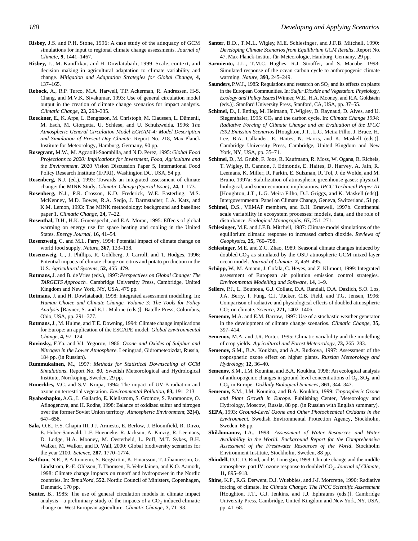- **Risbey, J.S.** and P.H. Stone, 1996: A case study of the adequacy of GCM simulations for input to regional climate change assessments. *Journal of Climate*, **9,** 1441–1467.
- Risbey, J., M. Kandlikar, and H. Dowlatabadi, 1999: Scale, context, and decision making in agricultural adaptation to climate variability and change. *Mitigation and Adaptation Strategies for Global Change*, **4,** 137–165.
- **Robock,** A., R.P. Turco, M.A. Harwell, T.P. Ackerman, R. Andressen, H-S. Chang, and M.V.K. Sivakumar, 1993: Use of general circulation model output in the creation of climate change scenarios for impact analysis. *Climatic Change*, **23,** 293–335.
- **Roeckner,** E., K. Arpe, L. Bengtsson, M. Christoph, M. Claussen, L. Dümenil, M. Esch, M. Giorgetta, U. Schlese, and U. Schulzweida, 1996: *The Atmospheric General Circulation Model ECHAM-4: Model Description and Simulation of Present-Day Climate.* Report No. 218, Max-Planck Institute for Meteorology, Hamburg, Germany, 90 pp.
- **Rosegrant,** M.W., M. Agcaoili-Saombilla, and N.D. Perez, 1995: *Global Food Projections to 2020: Implications for Investment, Food, Agriculture and the Environment*. 2020 Vision Discussion Paper 5, International Food Policy Research Institute (IFPRI), Washington DC, USA, 54 pp.
- **Rosenberg,** N.J. (ed.), 1993: Towards an integrated assessment of climate change: the MINK Study. *Climatic Change (Special Issue)*, **24,** 1–173.
- Rosenberg, N.J., P.R. Crosson, K.D. Frederick, W.E. Easterling, M.S. McKenney, M.D. Bowes, R.A. Sedjo, J. Darmstadter, L.A. Katz, and K.M. Lemon, 1993: The MINK methodology: background and baseline: paper 1. *Climatic Change*, **24,** 7–22.
- **Rosenthal,** D.H., H.K. Gruenspecht, and E.A. Moran, 1995: Effects of global warming on energy use for space heating and cooling in the United States. *Energy Journal*, **16,** 41–54.
- **Rosenzweig,** C. and M.L. Parry, 1994: Potential impact of climate change on world food supply. *Nature*, **367,** 133–138.
- **Rosenzweig,** C., J. Phillips, R. Goldberg, J. Carroll, and T. Hodges, 1996: Potential impacts of climate change on citrus and potato production in the U.S. *Agricultural Systems*, **52,** 455–479.
- **Rotmans,** J. and B. de Vries (eds.), 1997: *Perspectives on Global Change: The TARGETS Approach*. Cambridge University Press, Cambridge, United Kingdom and New York, NY, USA, 479 pp.
- **Rotmans,** J. and H. Dowlatabadi, 1998: Integrated assessment modelling. In: *Human Choice and Climate Change. Volume 3: The Tools for Policy Analysis* [Rayner, S. and E.L. Malone (eds.)]. Batelle Press, Columbus, Ohio, USA, pp. 291–377.
- **Rotmans, J., M. Hulme, and T.E. Downing, 1994: Climate change implications** for Europe: an application of the ESCAPE model. *Global Environmental Change*, **4,** 97–124.
- **Rovinsky,** F.Ya. and V.I. Yegorov, 1986: *Ozone and Oxides of Sulphur and Nitrogen in the Lower Atmosphere*. Leningrad, Gidrometeoizdat, Russia, 184 pp. (in Russian).
- **Rummukainen,** M., 1997: *Methods for Statistical Downscaling of GCM Simulations*. Report No. 80, Swedish Meteorological and Hydrological Institute, Norrköping, Sweden, 29 pp.
- **Runeckles,** V.C. and S.V. Krupa, 1994: The impact of UV-B radiation and ozone on terrestrial vegetation. *Environmental Pollution*, **83,** 191–213.
- **Ryaboshapko,** A.G., L. Gallardo, E. Klellstrom, S. Gromov, S. Paramonov, O. Afinogenova, and H. Rodhe, 1998: Balance of oxidized sulfur and nitrogen over the former Soviet Union territory. *Atmospheric Environment*, **32(4),** 647–658.
- **Sala,** O.E., F.S. Chapin III, J.J. Armesto, E. Berlow, J. Bloomfield, R. Dirzo, E. Huber-Sanwald, L.F. Huenneke, R. Jackson, A. Kinzig, R. Leemans, D. Lodge, H.A. Mooney, M. Oesterheld, L. Poff, M.T. Sykes, B.H. Walker, M. Walker, and D. Wall, 2000: Global biodiversity scenarios for the year 2100. *Science*, **287,** 1770–1774.
- **Sælthun,** N.R., P. Aittoniemi, S. Bergström, K. Einarsson, T. Jóhannesson, G. Lindström, P.-E. Ohlsson, T. Thomsen, B. Vehviläinen, and K.O. Aamodt, 1998: Climate change impacts on runoff and hydropower in the Nordic countries. In: *TemaNord*, **552.** Nordic Council of Ministers, Copenhagen, Denmark, 170 pp.
- **Santer,** B., 1985: The use of general circulation models in climate impact analysis—a preliminary study of the impacts of a  $CO_2$ -induced climatic change on West European agriculture. *Climatic Change*, **7,** 71–93.
- Santer, B.D., T.M.L. Wigley, M.E. Schlesinger, and J.F.B. Mitchell, 1990: *Developing Climate Scenarios from Equilibrium GCM Results*. Report No. 47, Max-Planck-Institut-für-Meteorologie, Hamburg, Germany, 29 pp.
- Sarmiento, J.L., T.M.C. Hughes, R.J. Stouffer, and S. Manabe, 1998: Simulated response of the ocean carbon cycle to anthropogenic climate warming. *Nature*, **393,** 245–249.
- **Saunders, P.W.J., 1985: Regulations and research on SO<sub>2</sub> and its effects on plants** in the European Communities. In: *Sulfur Dioxide and Vegetation: Physiology, Ecology and Policy Issues* [Winner, W.E., H.A. Mooney, and R.A. Goldstein (eds.)]. Stanford University Press, Stanford, CA, USA, pp. 37–55.
- **Schimel,** D., I. Enting, M. Heimann, T.Wigley, D. Raynaud, D. Alves, and U. Siegenthaler, 1995: CO<sub>2</sub> and the carbon cycle. In: *Climate Change 1994*: *Radiative Forcing of Climate Change and an Evaluation of the IPCC IS92 Emission Scenarios* [Houghton, J.T., L.G. Meira Filho, J. Bruce, H. Lee, B.A. Callander, E. Haites, N. Harris, and K. Maskell (eds.)]. Cambridge University Press, Cambridge, United Kingdom and New York, NY, USA, pp. 35–71.
- Schimel, D., M. Grubb, F. Joos, R. Kaufmann, R. Moss, W. Ogana, R. Richels, T. Wigley, R. Cannon, J. Edmonds, E. Haites, D. Harvey, A. Jain, R. Leemans, K. Miller, R. Parkin, E. Sulzman, R. Tol, J. de Wolde, and M. Bruno, 1997a: Stabilization of atmospheric greenhouse gases: physical, biological, and socio-economic implications*. IPCC Technical Paper III* [Houghton, J.T., L.G. Meira Filho, D.J. Griggs, and K. Maskell (eds)]. Intergovernmental Panel on Climate Change, Geneva, Switzerland, 51 pp.
- **Schimel,** D.S., VEMAP members, and B.H. Braswell, 1997b. Continental scale variability in ecosystem processes: models, data, and the role of disturbance. *Ecological Monographs*, 67, 251-271.
- **Schlesinger,** M.E. and J.F.B. Mitchell, 1987: Climate model simulations of the equilibrium climatic response to increased carbon dioxide. *Reviews of Geophysics*, **25,** 760–798.
- **Schlesinger,** M.E. and Z.C. Zhao, 1989: Seasonal climate changes induced by doubled  $CO_2$  as simulated by the OSU atmospheric GCM mixed layer ocean model. *Journal of Climate*, **2,** 459–495.
- **Schöpp,** W., M. Amann, J. Cofala, C. Heyes, and Z. Klimont, 1999: Integrated assessment of European air pollution emission control strategies. *Environmental Modelling and Software*, **14,** 1–9.
- **Sellers,** P.J., L. Bounoua, G.J. Collatz, D.A. Randall, D.A. Dazlich, S.O. Los, J.A. Berry, I. Fung, C.J. Tucker, C.B. Field, and T.G. Jensen, 1996: Comparison of radiative and physiological effects of doubled atmospheric CO<sup>2</sup> on climate. *Science*, **271,** 1402–1406.
- **Semenov,** M.A. and E.M. Barrow, 1997: Use of a stochastic weather generator in the development of climate change scenarios. *Climatic Change*, **35,** 397–414.
- **Semenov,** M.A. and J.R. Porter, 1995: Climatic variability and the modelling of crop yields*. Agricultural and Forest Meteorology*, **73,** 265–283.
- **Semenov,** S.M., B.A. Koukhta, and A.A. Rudkova, 1997: Assessment of the tropospheric ozone effect on higher plants. *Russian Meteorology and Hydrology*, **12,** 36–40.
- Semenov, S.M., I.M. Kounina, and B.A. Koukhta, 1998: An ecological analysis of anthropogenic changes in ground-level concentrations of  $O_3$ ,  $SO_2$ , and CO<sup>2</sup> in Europe. *Doklady Biological Sciences*, **361,** 344–347.
- **Semenov,** S.M., I.M. Kounina, and B.A. Koukhta, 1999: *Tropospheric Ozone and Plant Growth in Europe*. Publishing Center, Meteorology and Hydrology, Moscow, Russia, 88 pp. (in Russian with English summary).
- **SEPA,** 1993: *Ground-Level Ozone and Other Photochemical Oxidants in the Environment*. Swedish Environmental Protection Agency, Stockholm, Sweden, 68 pp.
- Shiklomanov, I.A., 1998: Assessment of Water Resources and Water *Availability in the World. Background Report for the Comprehensive* Assessment of the Freshwater Resources of the World. Stockholm Environment Institute, Stockholm, Sweden, 88 pp.
- **Shindell,** D.T., D. Rind, and P. Lonergan, 1998: Climate change and the middle atmosphere: part IV: ozone response to doubled CO<sub>2</sub>. Journal of Climate, **11,** 895–918.
- **Shine,** K.P., R.G. Derwent, D.J. Wuebbles, and J-J. Morcrette, 1990: Radiative forcing of climate. In: *Climate Change: The IPCC Scientific Assessment* [Houghton, J.T., G.J. Jenkins, and J.J. Ephraums (eds.)]. Cambridge University Press, Cambridge, United Kingdom and New York, NY, USA, pp. 41–68.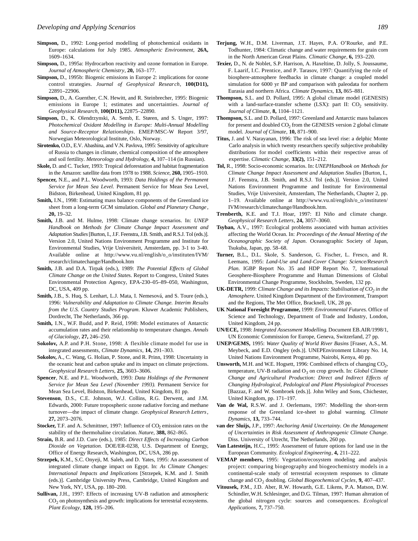- **Simpson,** D., 1992: Long-period modelling of photochemical oxidants in Europe: calculations for July 1985. *Atmospheric Environment*, **26A,** 1609–1634.
- **Simpson,** D., 1995a: Hydrocarbon reactivity and ozone formation in Europe. *Journal of Atmospheric Chemistry*, **20,** 163–177.
- **Simpson,** D., 1995b: Biogenic emissions in Europe 2: implications for ozone control strategies. *Journal of Geophysical Research*, 100(D11), 22891–22906.
- **Simpson,** D., A. Guenther, C.N. Hewitt, and R. Steinbrecher, 1995: Biogenic emissions in Europe 1; estimates and uncertainties. *Journal of Geophysical Research*, **100(D11),** 22875–22890.
- **Simpson,** D., K. Olendrzynski, A. Semb, E. Støren, and S. Unger, 1997: *Photochemical Oxidant Modelling in Europe: Multi-Annual Modelling and Source-Receptor Relationships*. EMEP/MSC-W Report 3/97, Norwegian Meteorological Institute, Oslo, Norway.
- Sirotenko, O.D., E.V. Abashina, and V.N. Pavlova, 1995: Sensitivity of agriculture of Russia to changes in climate, chemical composition of the atmosphere and soil fertility. *Meteorology and Hydrology*, **4,** 107–114 (in Russian).
- **Skole, D.** and C. Tucker, 1993: Tropical deforestation and habitat fragmentation in the Amazon: satellite data from 1978 to 1988. *Science*, **260**, 1905-1910.
- **Spencer,** N.E., and P.L. Woodworth, 1993: *Data Holdings of the Permanent Service for Mean Sea Level*. Permanent Service for Mean Sea Level, Bidston, Birkenhead, United Kingdom, 81 pp.
- **Smith,** I.N., 1998: Estimating mass balance components of the Greenland ice sheet from a long-term GCM simulation. *Global and Planetary Change* , **20,** 19–32.
- **Smith,** J.B. and M. Hulme, 1998: Climate change scenarios. In: *UNEP Handbook on Methods for Climate Change Impact Assessment and Adaptation Studies*[Burton, I., J.F. Feenstra, J.B. Smith, and R.S.J. Tol (eds.)]. Version 2.0, United Nations Environment Programme and Institute for Environmental Studies, Vrije Universiteit, Amsterdam, pp. 3-1 to 3-40. Available online at http://www.vu.nl/english/o\_o/instituten/IVM/ research/climatechange/Handbook.htm
- **Smith,** J.B. and D.A. Tirpak (eds.), 1989: *The Potential Effects of Global Climate Change on the United State*s. Report to Congress, United States Environmental Protection Agency, EPA-230–05–89–050, Washington, DC, USA, 409 pp.
- **Smith,** J.B., S. Huq, S. Lenhart, L.J. Mata, I. Nemesová, and S. Toure (eds.), 1996: *Vulnerability and Adaptation to Climate Change. Interim Results from the U.S. Country Studies Program*. Kluwer Academic Publishers, Dordrecht, The Netherlands, 366 pp.
- Smith, I.N., W.F. Budd, and P. Reid, 1998: Model estimates of Antarctic accumulation rates and their relationship to temperature changes. *Annals of Glaciology*, **27,** 246–250.
- **Sokolov,** A.P. and P.H. Stone, 1998: A flexible climate model for use in integrated assessments, *Climate Dynamics*, 14, 291-303.
- **Sokolov,** A., C. Wang, G. Holian, P. Stone, and R. Prinn, 1998: Uncertainty in the oceanic heat and carbon uptake and its impact on climate projections. *Geophysical Research Letters*, **25,** 3603–3606.
- **Spencer**, N.E. and P.L. Woodworth, 1993: *Data Holdings of the Permanent Service for Mean Sea Level (November 1993)*. Permanent Service for Mean Sea Level, Bidston, Birkenhead, United Kingdom, 81 pp.
- Stevenson, D.S., C.E. Johnson, W.J. Collins, R.G. Derwent, and J.M. Edwards, 2000: Future tropospheric ozone radiative forcing and methane turnover—the impact of climate change. *Geophysical Research Letters*, **27,** 2073–2076.
- **Stocker,** T.F. and A. Schmittner, 1997: Influence of CO<sub>2</sub> emission rates on the stability of the thermohaline circulation. *Nature*, **388,** 862–865.
- **Strain,** B.R. and J.D. Cure (eds.), 1985: *Direct Effects of Increasing Carbon Dioxide on Vegetation*. DOE/ER-0238, U.S. Department of Energy, Office of Energy Research, Washington, DC, USA, 286 pp.
- **Strzepek,** K.M., S.C. Onyeji, M. Saleh, and D. Yates, 1995: An assessment of integrated climate change impact on Egypt. In: *As Climate Changes: International Impacts and Implications* [Strzepek, K.M. and J. Smith (eds.)]. Cambridge University Press, Cambridge, United Kingdom and New York, NY, USA, pp. 180–200.
- **Sullivan,** J.H., 1997: Effects of increasing UV-B radiation and atmospheric  $CO<sub>2</sub>$  on photosynthesis and growth: implications for terrestrial ecosystems. *Plant Ecology*, **128,** 195–206.
- Terjung, W.H., D.M. Liverman, J.T. Hayes, P.A. O'Rourke, and P.E. Todhunter, 1984: Climatic change and water requirements for grain corn in the North American Great Plains. *Climatic Change*, **6,** 193–220.
- **Texier,** D., N. de Noblet, S.P. Harrison, A. Haxeltine, D. Jolly, S. Joussaume, F. Laarif, I.C. Prentice, and P. Tarasov, 1997: Quantifying the role of biosphere-atmosphere feedbacks in climate change: a coupled model simulation for 6000 yr BP and comparison with paleodata for northern Eurasia and northern Africa. *Climate Dynamics*, **13,** 865–881.
- **Thompson,** S.L. and D. Pollard, 1995: A global climate model (GENESIS) with a land-surface-transfer scheme (LSX): part II:  $CO_2$  sensitivity. *Journal of Climate*, **8,** 1104–1121.
- **Thompson,** S.L. and D. Pollard, 1997: Greenland and Antarctic mass balances for present and doubled  $CO<sub>2</sub>$  from the GENESIS version 2 global climate model. *Journal of Climate*, **10,** 871–900.
- **Titus,** J. and V. Narayanan, 1996: The risk of sea level rise: a delphic Monte Carlo analysis in which twenty researchers specify subjective probability distributions for model coefficients within their respective areas of expertise. *Climatic Change*, 33(2), 151–212.
- **Tol,** R., 1998: Socio-economic scenarios. In: *UNEPHandbook on Methods for Climate Change Impact Assessment and Adaptation Studies* [Burton, I., J.F. Feenstra, J.B. Smith, and R.S.J. Tol (eds.)]. Version 2.0, United Nations Environment Programme and Institute for Environmental Studies, Vrije Universiteit, Amsterdam, The Netherlands, Chapter 2, pp. 1–19. Available online at http://www.vu.nl/english/o\_o/instituten/ IVM/research/climatechange/Handbook.htm.
- Trenberth, K.E. and T.J. Hoar, 1997: El Niño and climate change. *Geophysical Research Letters*, **24,** 3057–3060.
- **Tsyban,** A.V., 1997: Ecological problems associated with human activities affecting the World Ocean. In: *Proceedings of the Annual Meeting of the Oceanographic Society of Japan*. Oceanographic Society of Japan, Tsukuba, Japan, pp. 58–68.
- **Turner,** B.L., D.L. Skole, S. Sanderson, G. Fischer, L. Fresco, and R. Leemans, 1995: *Land-Use and Land-Cover Change: Science/Research Plan*. IGBP Report No. 35 and HDP Report No. 7, International Geosphere-Biosphere Programme and Human Dimensions of Global Environmental Change Programme, Stockholm, Sweden, 132 pp.
- **UK-DETR,** 1999: *Climate Change and its Impacts: Stabilisation of CO<sup>2</sup> in the Atmosphere*. United Kingdom Department of the Environment, Transport and the Regions, The Met Office, Bracknell, UK, 28 pp.
- **UK National Foresight Programme,** 1999: *Environmental Futures*. Office of Science and Technology, Department of Trade and Industry, London, United Kingdom, 24 pp.
- **UN/ECE,** 1998: *Integrated Assessment Modelling*. Document EB.AIR/1998/1, UN Economic Commission for Europe, Geneva, Switzerland, 27 pp.
- **UNEP/GEMS,** 1995: *Water Quality of World River Basins* [Fraser, A.S., M. Meybeck, and E.D. Ongley (eds.)]. UNEPEnvironment Library No. 14, United Nations Environment Programme, Nairobi, Kenya, 40 pp.
- Unsworth, M.H. and W.E. Hogsett, 1996: Combined effects of changing CO<sub>2</sub>, temperature, UV-B radiation and O<sub>3</sub> on crop growth. In: *Global Climate Change and Agricultural Production: Direct and Indirect Effects of Changing Hydrological, Pedological and Plant Physiological Processes* [Bazzaz, F. and W. Sombroek (eds.)]. John Wiley and Sons, Chichester, United Kingdom, pp. 171–197.
- **Van de Wal,** R.S.W. and J. Oerlemans, 1997: Modelling the short-term response of the Greenland ice-sheet to global warming. *Climate Dynamics*, **13,** 733–744.
- **van der Sluijs,** J.P., 1997: *Anchoring Amid Uncertainty. On the Management of Uncertainties in Risk Assessment of Anthropogenic Climate Change*. Diss. University of Utrecht, The Netherlands, 260 pp.
- **Van Latesteijn,** H.C., 1995: Assessment of future options for land use in the European Community. *Ecological Engineering*, **4,** 211–222.
- **VEMAP** members, 1995: Vegetation/ecosystem modeling and analysis project: comparing biogeography and biogeochemistry models in a continental-scale study of terrestrial ecosystem responses to climate change and CO<sup>2</sup> doubling. *Global Biogeochemical Cycles*, **9,** 407–437.
- **Vitousek,** P.M., J.D. Aber, R.W. Howarth, G.E. Likens, P.A. Matson, D.W. Schindler,W.H. Schlesinger, and D.G. Tilman, 1997: Human alteration of the global nitrogen cycle: sources and consequences. *Ecological Applications*, **7,** 737–750.